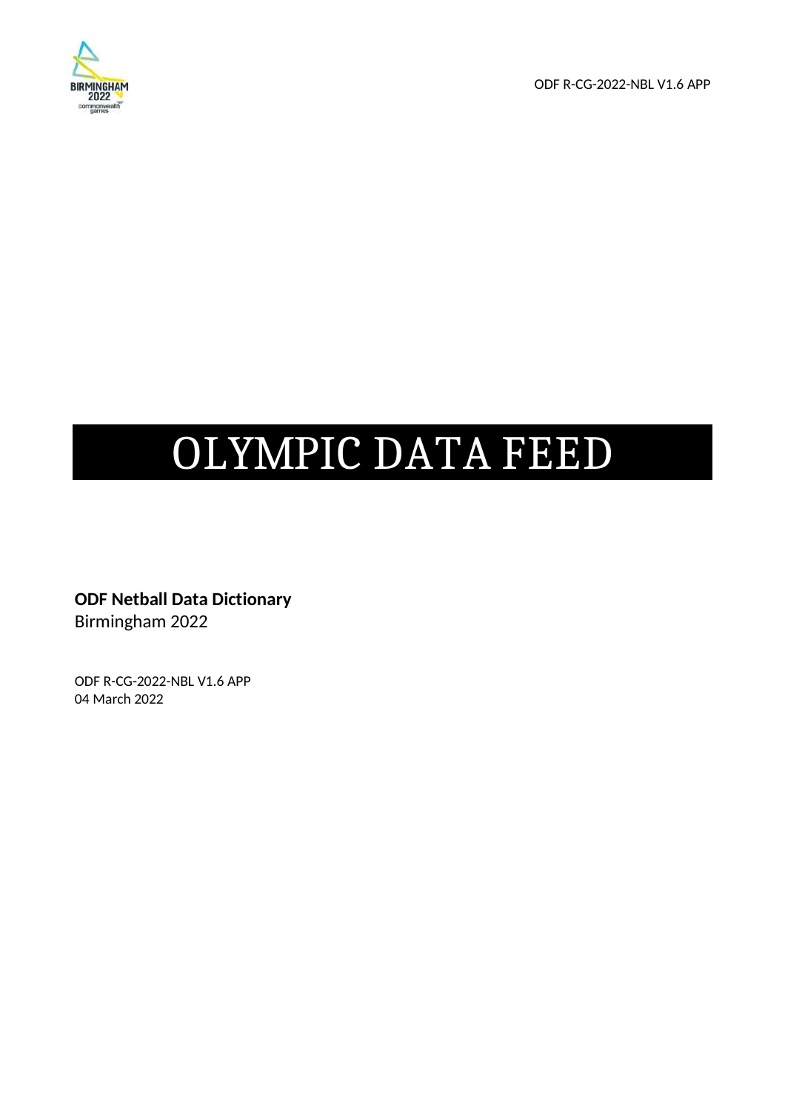

ODF R-CG-2022-NBL V1.6 APP

# OLYMPIC DATA FEED

**ODF Netball Data Dictionary**  Birmingham 2022

ODF R-CG-2022-NBL V1.6 APP 04 March 2022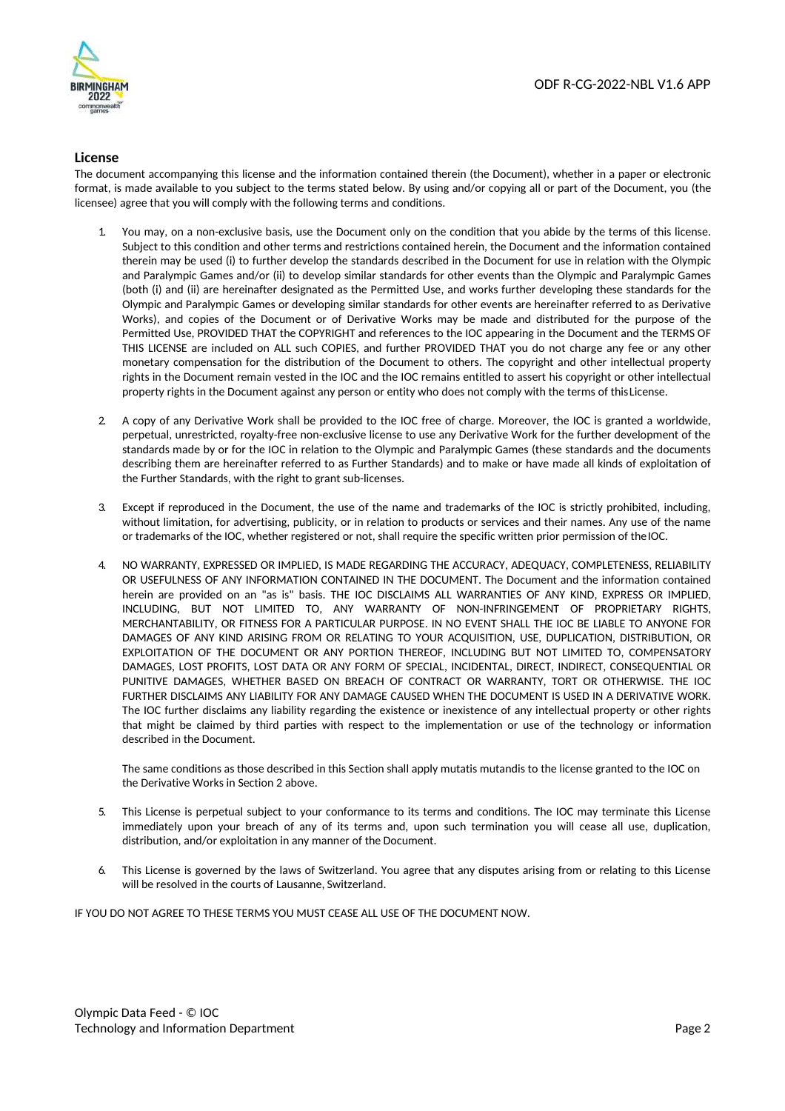

#### **License**

The document accompanying this license and the information contained therein (the Document), whether in a paper or electronic format, is made available to you subject to the terms stated below. By using and/or copying all or part of the Document, you (the licensee) agree that you will comply with the following terms and conditions.

- 1. You may, on a non-exclusive basis, use the Document only on the condition that you abide by the terms of this license. Subject to this condition and other terms and restrictions contained herein, the Document and the information contained therein may be used (i) to further develop the standards described in the Document for use in relation with the Olympic and Paralympic Games and/or (ii) to develop similar standards for other events than the Olympic and Paralympic Games (both (i) and (ii) are hereinafter designated as the Permitted Use, and works further developing these standards for the Olympic and Paralympic Games or developing similar standards for other events are hereinafter referred to as Derivative Works), and copies of the Document or of Derivative Works may be made and distributed for the purpose of the Permitted Use, PROVIDED THAT the COPYRIGHT and references to the IOC appearing in the Document and the TERMS OF THIS LICENSE are included on ALL such COPIES, and further PROVIDED THAT you do not charge any fee or any other monetary compensation for the distribution of the Document to others. The copyright and other intellectual property rights in the Document remain vested in the IOC and the IOC remains entitled to assert his copyright or other intellectual property rights in the Document against any person or entity who does not comply with the terms of this License.
- 2. A copy of any Derivative Work shall be provided to the IOC free of charge. Moreover, the IOC is granted a worldwide, perpetual, unrestricted, royalty-free non-exclusive license to use any Derivative Work for the further development of the standards made by or for the IOC in relation to the Olympic and Paralympic Games (these standards and the documents describing them are hereinafter referred to as Further Standards) and to make or have made all kinds of exploitation of the Further Standards, with the right to grant sub-licenses.
- 3. Except if reproduced in the Document, the use of the name and trademarks of the IOC is strictly prohibited, including, without limitation, for advertising, publicity, or in relation to products or services and their names. Any use of the name or trademarks of the IOC, whether registered or not, shall require the specific written prior permission of the IOC.
- 4. NO WARRANTY, EXPRESSED OR IMPLIED, IS MADE REGARDING THE ACCURACY, ADEQUACY, COMPLETENESS, RELIABILITY OR USEFULNESS OF ANY INFORMATION CONTAINED IN THE DOCUMENT. The Document and the information contained herein are provided on an "as is" basis. THE IOC DISCLAIMS ALL WARRANTIES OF ANY KIND, EXPRESS OR IMPLIED, INCLUDING, BUT NOT LIMITED TO, ANY WARRANTY OF NON-INFRINGEMENT OF PROPRIETARY RIGHTS, MERCHANTABILITY, OR FITNESS FOR A PARTICULAR PURPOSE. IN NO EVENT SHALL THE IOC BE LIABLE TO ANYONE FOR DAMAGES OF ANY KIND ARISING FROM OR RELATING TO YOUR ACQUISITION, USE, DUPLICATION, DISTRIBUTION, OR EXPLOITATION OF THE DOCUMENT OR ANY PORTION THEREOF, INCLUDING BUT NOT LIMITED TO, COMPENSATORY DAMAGES, LOST PROFITS, LOST DATA OR ANY FORM OF SPECIAL, INCIDENTAL, DIRECT, INDIRECT, CONSEQUENTIAL OR PUNITIVE DAMAGES, WHETHER BASED ON BREACH OF CONTRACT OR WARRANTY, TORT OR OTHERWISE. THE IOC FURTHER DISCLAIMS ANY LIABILITY FOR ANY DAMAGE CAUSED WHEN THE DOCUMENT IS USED IN A DERIVATIVE WORK. The IOC further disclaims any liability regarding the existence or inexistence of any intellectual property or other rights that might be claimed by third parties with respect to the implementation or use of the technology or information described in the Document.

The same conditions as those described in this Section shall apply mutatis mutandis to the license granted to the IOC on the Derivative Works in Section 2 above.

- 5. This License is perpetual subject to your conformance to its terms and conditions. The IOC may terminate this License immediately upon your breach of any of its terms and, upon such termination you will cease all use, duplication, distribution, and/or exploitation in any manner of the Document.
- This License is governed by the laws of Switzerland. You agree that any disputes arising from or relating to this License will be resolved in the courts of Lausanne, Switzerland.

IF YOU DO NOT AGREE TO THESE TERMS YOU MUST CEASE ALL USE OF THE DOCUMENT NOW.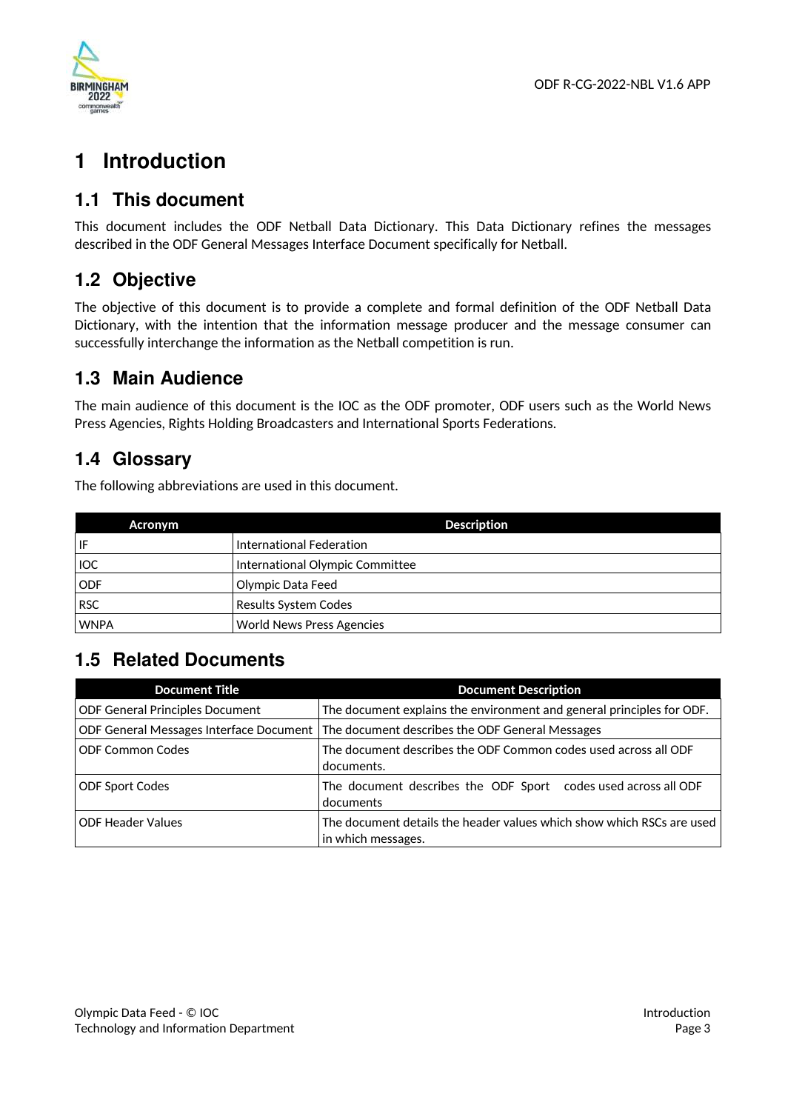

# **1 Introduction**

# **1.1 This document**

This document includes the ODF Netball Data Dictionary. This Data Dictionary refines the messages described in the ODF General Messages Interface Document specifically for Netball.

# **1.2 Objective**

The objective of this document is to provide a complete and formal definition of the ODF Netball Data Dictionary, with the intention that the information message producer and the message consumer can successfully interchange the information as the Netball competition is run.

# **1.3 Main Audience**

The main audience of this document is the IOC as the ODF promoter, ODF users such as the World News Press Agencies, Rights Holding Broadcasters and International Sports Federations.

# **1.4 Glossary**

The following abbreviations are used in this document.

| Acronym     | <b>Description</b>               |
|-------------|----------------------------------|
| IF          | International Federation         |
| <b>IOC</b>  | International Olympic Committee  |
| <b>ODF</b>  | Olympic Data Feed                |
| <b>RSC</b>  | Results System Codes             |
| <b>WNPA</b> | <b>World News Press Agencies</b> |

# **1.5 Related Documents**

| <b>Document Title</b>                   | <b>Document Description</b>                                                                 |
|-----------------------------------------|---------------------------------------------------------------------------------------------|
| <b>ODF General Principles Document</b>  | The document explains the environment and general principles for ODF.                       |
| ODF General Messages Interface Document | The document describes the ODF General Messages                                             |
| <b>ODF Common Codes</b>                 | The document describes the ODF Common codes used across all ODF<br>documents.               |
| <b>ODF Sport Codes</b>                  | The document describes the ODF Sport codes used across all ODF<br>documents                 |
| <b>ODF Header Values</b>                | The document details the header values which show which RSCs are used<br>in which messages. |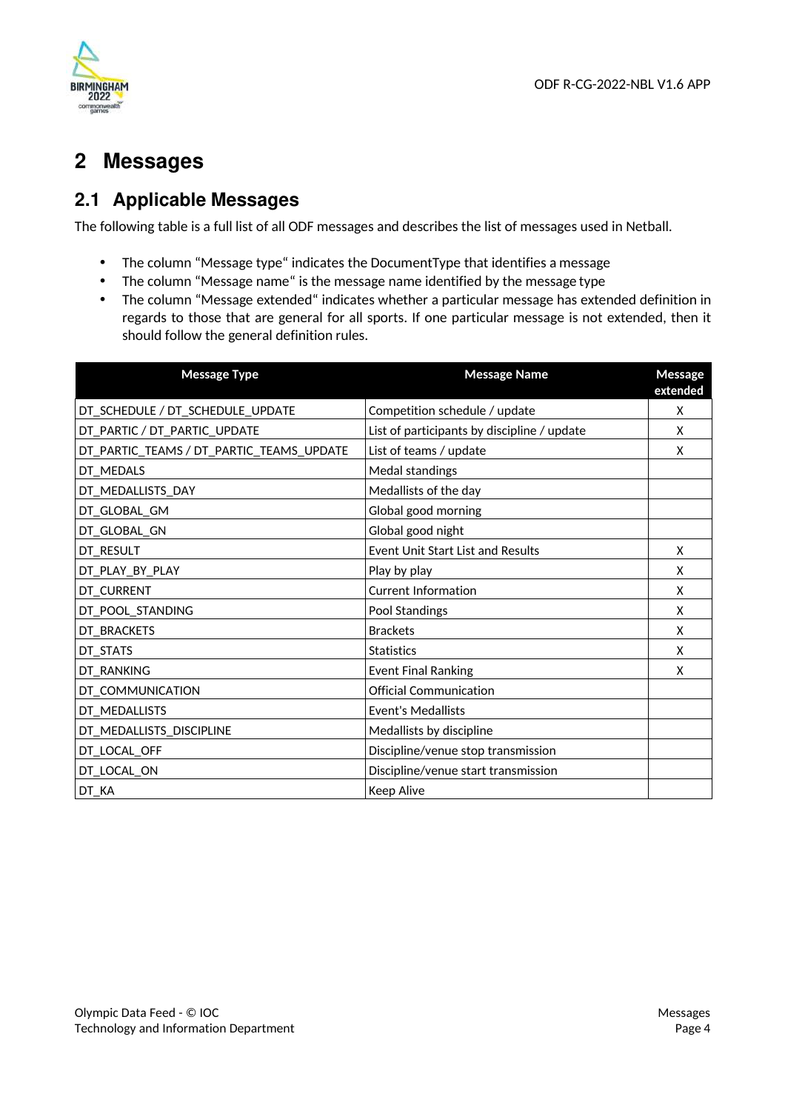

# **2 Messages**

# **2.1 Applicable Messages**

The following table is a full list of all ODF messages and describes the list of messages used in Netball.

- The column "Message type" indicates the DocumentType that identifies a message
- The column "Message name" is the message name identified by the message type
- The column "Message extended" indicates whether a particular message has extended definition in regards to those that are general for all sports. If one particular message is not extended, then it should follow the general definition rules.

| <b>Message Type</b>                      | <b>Message Name</b>                         | Message<br>extended |
|------------------------------------------|---------------------------------------------|---------------------|
| DT_SCHEDULE / DT_SCHEDULE_UPDATE         | Competition schedule / update               | X                   |
| DT_PARTIC / DT_PARTIC_UPDATE             | List of participants by discipline / update | X                   |
| DT_PARTIC_TEAMS / DT_PARTIC_TEAMS_UPDATE | List of teams / update                      | X                   |
| DT_MEDALS                                | Medal standings                             |                     |
| DT_MEDALLISTS_DAY                        | Medallists of the day                       |                     |
| DT_GLOBAL_GM                             | Global good morning                         |                     |
| DT_GLOBAL_GN                             | Global good night                           |                     |
| DT_RESULT                                | Event Unit Start List and Results           | X                   |
| DT_PLAY_BY_PLAY                          | Play by play                                | X                   |
| DT_CURRENT                               | <b>Current Information</b>                  | X                   |
| DT_POOL_STANDING                         | Pool Standings                              | X                   |
| DT_BRACKETS                              | <b>Brackets</b>                             | X                   |
| DT_STATS                                 | <b>Statistics</b>                           | X                   |
| DT_RANKING                               | <b>Event Final Ranking</b>                  | X                   |
| DT_COMMUNICATION                         | <b>Official Communication</b>               |                     |
| DT_MEDALLISTS                            | <b>Event's Medallists</b>                   |                     |
| DT_MEDALLISTS_DISCIPLINE                 | Medallists by discipline                    |                     |
| DT_LOCAL_OFF                             | Discipline/venue stop transmission          |                     |
| DT_LOCAL_ON                              | Discipline/venue start transmission         |                     |
| DT_KA                                    | <b>Keep Alive</b>                           |                     |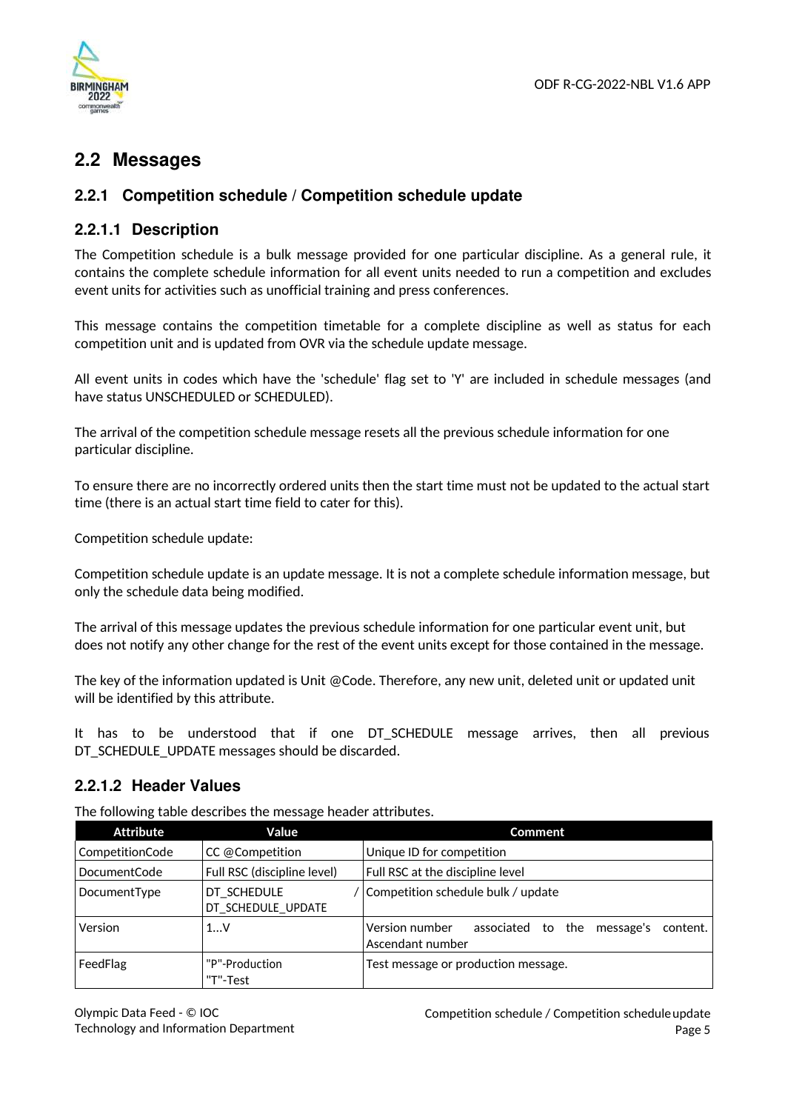

# **2.2 Messages**

# **2.2.1 Competition schedule / Competition schedule update**

### **2.2.1.1 Description**

The Competition schedule is a bulk message provided for one particular discipline. As a general rule, it contains the complete schedule information for all event units needed to run a competition and excludes event units for activities such as unofficial training and press conferences.

This message contains the competition timetable for a complete discipline as well as status for each competition unit and is updated from OVR via the schedule update message.

All event units in codes which have the 'schedule' flag set to 'Y' are included in schedule messages (and have status UNSCHEDULED or SCHEDULED).

The arrival of the competition schedule message resets all the previous schedule information for one particular discipline.

To ensure there are no incorrectly ordered units then the start time must not be updated to the actual start time (there is an actual start time field to cater for this).

Competition schedule update:

Competition schedule update is an update message. It is not a complete schedule information message, but only the schedule data being modified.

The arrival of this message updates the previous schedule information for one particular event unit, but does not notify any other change for the rest of the event units except for those contained in the message.

The key of the information updated is Unit @Code. Therefore, any new unit, deleted unit or updated unit will be identified by this attribute.

It has to be understood that if one DT\_SCHEDULE message arrives, then all previous DT\_SCHEDULE\_UPDATE messages should be discarded.

### **2.2.1.2 Header Values**

The following table describes the message header attributes.

| <b>Attribute</b> | Value                             | <b>Comment</b>                                                                      |
|------------------|-----------------------------------|-------------------------------------------------------------------------------------|
| CompetitionCode  | CC @Competition                   | Unique ID for competition                                                           |
| DocumentCode     | Full RSC (discipline level)       | Full RSC at the discipline level                                                    |
| DocumentType     | DT SCHEDULE<br>DT_SCHEDULE_UPDATE | Competition schedule bulk / update                                                  |
| Version          | 1V                                | Version number<br>associated<br>to the<br>message's<br>content.<br>Ascendant number |
| FeedFlag         | "P"-Production<br>"T"-Test        | Test message or production message.                                                 |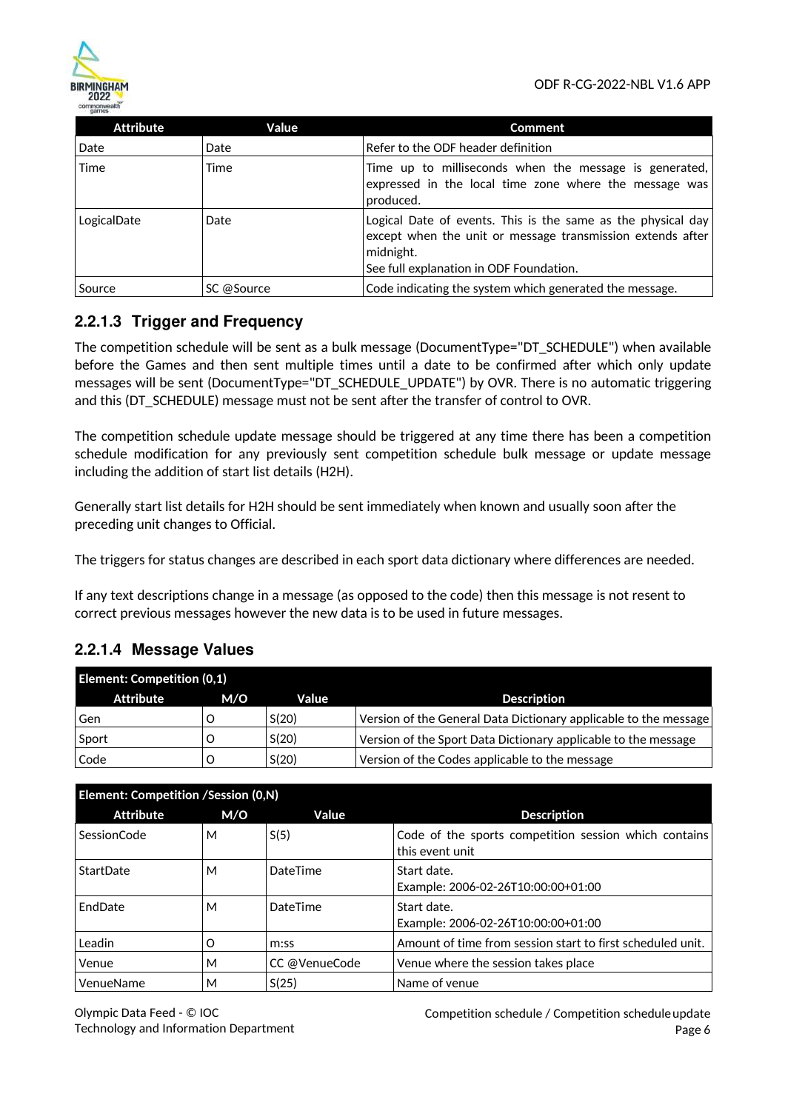

| <b>Attribute</b> | Value      | <b>Comment</b>                                                                                                                                                                     |
|------------------|------------|------------------------------------------------------------------------------------------------------------------------------------------------------------------------------------|
| Date             | Date       | Refer to the ODF header definition                                                                                                                                                 |
| Time             | Time       | Time up to milliseconds when the message is generated,<br>expressed in the local time zone where the message was<br>produced.                                                      |
| LogicalDate      | Date       | Logical Date of events. This is the same as the physical day<br>except when the unit or message transmission extends after<br>midnight.<br>See full explanation in ODF Foundation. |
| Source           | SC @Source | Code indicating the system which generated the message.                                                                                                                            |

# **2.2.1.3 Trigger and Frequency**

The competition schedule will be sent as a bulk message (DocumentType="DT\_SCHEDULE") when available before the Games and then sent multiple times until a date to be confirmed after which only update messages will be sent (DocumentType="DT\_SCHEDULE\_UPDATE") by OVR. There is no automatic triggering and this (DT\_SCHEDULE) message must not be sent after the transfer of control to OVR.

The competition schedule update message should be triggered at any time there has been a competition schedule modification for any previously sent competition schedule bulk message or update message including the addition of start list details (H2H).

Generally start list details for H2H should be sent immediately when known and usually soon after the preceding unit changes to Official.

The triggers for status changes are described in each sport data dictionary where differences are needed.

If any text descriptions change in a message (as opposed to the code) then this message is not resent to correct previous messages however the new data is to be used in future messages.

## **2.2.1.4 Message Values**

| <b>Element: Competition (0,1)</b> |     |       |                                                                  |
|-----------------------------------|-----|-------|------------------------------------------------------------------|
| Attribute                         | M/O | Value | <b>Description</b>                                               |
| Gen                               |     | S(20) | Version of the General Data Dictionary applicable to the message |
| Sport                             |     | S(20) | Version of the Sport Data Dictionary applicable to the message   |
| Code                              |     | S(20) | Version of the Codes applicable to the message                   |

| Element: Competition /Session (0,N) |     |                 |                                                                          |
|-------------------------------------|-----|-----------------|--------------------------------------------------------------------------|
| <b>Attribute</b>                    | M/O | Value           | <b>Description</b>                                                       |
| <b>SessionCode</b>                  | м   | S(5)            | Code of the sports competition session which contains<br>this event unit |
| StartDate                           | м   | DateTime        | Start date.<br>Example: 2006-02-26T10:00:00+01:00                        |
| EndDate                             | м   | <b>DateTime</b> | Start date.<br>Example: 2006-02-26T10:00:00+01:00                        |
| Leadin                              | O   | m:ss            | Amount of time from session start to first scheduled unit.               |
| Venue                               | м   | CC @VenueCode   | Venue where the session takes place                                      |
| VenueName                           | м   | S(25)           | Name of venue                                                            |

Competition schedule / Competition schedule update Page 6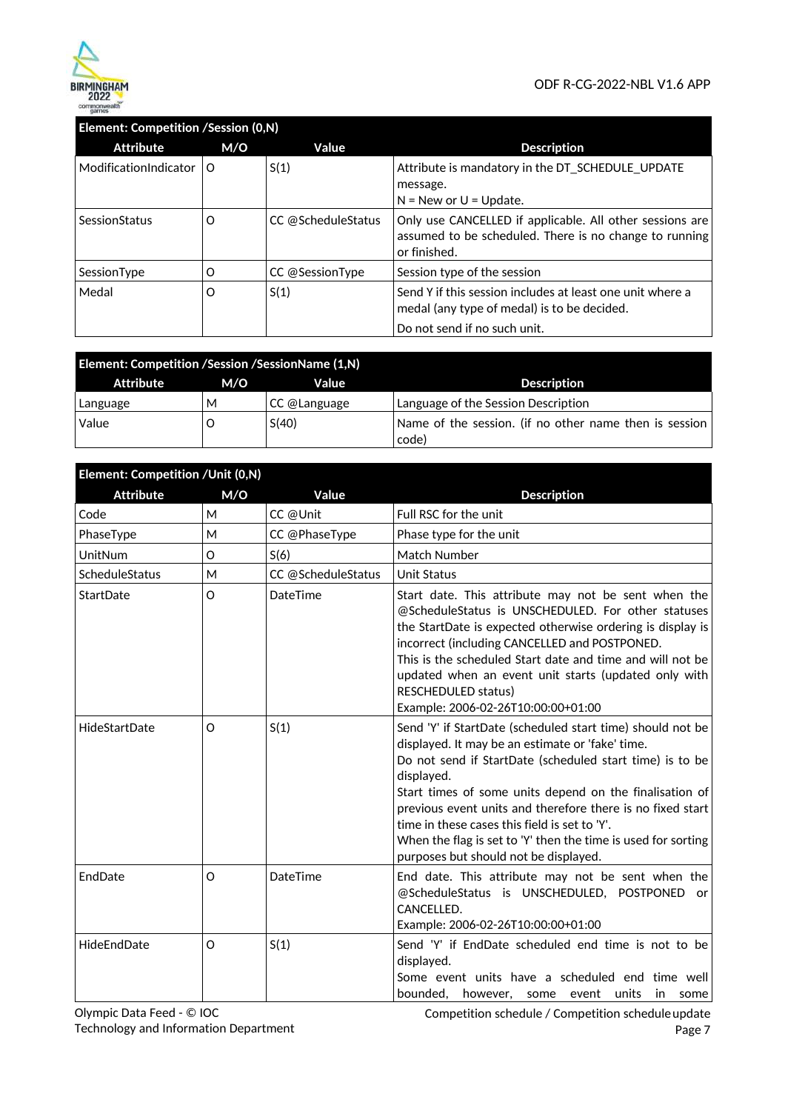

## **Element: Competition /Session (0,N)**

| <b>Attribute</b>          | M/O      | Value              | <b>Description</b>                                                                                                                       |
|---------------------------|----------|--------------------|------------------------------------------------------------------------------------------------------------------------------------------|
| ModificationIndicator   O |          | S(1)               | Attribute is mandatory in the DT_SCHEDULE_UPDATE<br>message.<br>$N = New$ or $U = Update$ .                                              |
| SessionStatus             | O        | CC @ScheduleStatus | Only use CANCELLED if applicable. All other sessions are<br>assumed to be scheduled. There is no change to running<br>or finished.       |
| SessionType               | $\Omega$ | CC @SessionType    | Session type of the session                                                                                                              |
| Medal                     | $\Omega$ | S(1)               | Send Y if this session includes at least one unit where a<br>medal (any type of medal) is to be decided.<br>Do not send if no such unit. |

| Element: Competition / Session / Session Name (1, N) |     |              |                                                                 |  |
|------------------------------------------------------|-----|--------------|-----------------------------------------------------------------|--|
| Attribute                                            | M/O | Value        | <b>Description</b>                                              |  |
| Language                                             | м   | CC @Language | Language of the Session Description                             |  |
| Value                                                |     | S(40)        | Name of the session. (if no other name then is session<br>code) |  |

| Element: Competition /Unit (0,N) |         |                    |                                                                                                                                                                                                                                                                                                                                                                                                                                                                              |
|----------------------------------|---------|--------------------|------------------------------------------------------------------------------------------------------------------------------------------------------------------------------------------------------------------------------------------------------------------------------------------------------------------------------------------------------------------------------------------------------------------------------------------------------------------------------|
| <b>Attribute</b>                 | M/O     | Value              | <b>Description</b>                                                                                                                                                                                                                                                                                                                                                                                                                                                           |
| Code                             | M       | CC @Unit           | Full RSC for the unit                                                                                                                                                                                                                                                                                                                                                                                                                                                        |
| PhaseType                        | M       | CC @PhaseType      | Phase type for the unit                                                                                                                                                                                                                                                                                                                                                                                                                                                      |
| UnitNum                          | O       | S(6)               | Match Number                                                                                                                                                                                                                                                                                                                                                                                                                                                                 |
| ScheduleStatus                   | M       | CC @ScheduleStatus | <b>Unit Status</b>                                                                                                                                                                                                                                                                                                                                                                                                                                                           |
| StartDate                        | O       | DateTime           | Start date. This attribute may not be sent when the<br>@ScheduleStatus is UNSCHEDULED. For other statuses<br>the StartDate is expected otherwise ordering is display is<br>incorrect (including CANCELLED and POSTPONED.<br>This is the scheduled Start date and time and will not be<br>updated when an event unit starts (updated only with<br>RESCHEDULED status)<br>Example: 2006-02-26T10:00:00+01:00                                                                   |
| HideStartDate                    | O       | S(1)               | Send 'Y' if StartDate (scheduled start time) should not be<br>displayed. It may be an estimate or 'fake' time.<br>Do not send if StartDate (scheduled start time) is to be<br>displayed.<br>Start times of some units depend on the finalisation of<br>previous event units and therefore there is no fixed start<br>time in these cases this field is set to 'Y'.<br>When the flag is set to 'Y' then the time is used for sorting<br>purposes but should not be displayed. |
| EndDate                          | O       | DateTime           | End date. This attribute may not be sent when the<br>@ScheduleStatus is UNSCHEDULED, POSTPONED<br>or<br>CANCELLED.<br>Example: 2006-02-26T10:00:00+01:00                                                                                                                                                                                                                                                                                                                     |
| HideEndDate                      | $\circ$ | S(1)               | Send 'Y' if EndDate scheduled end time is not to be<br>displayed.<br>Some event units have a scheduled end time well<br>bounded,<br>units<br>in<br>however,<br>event<br>some<br>some                                                                                                                                                                                                                                                                                         |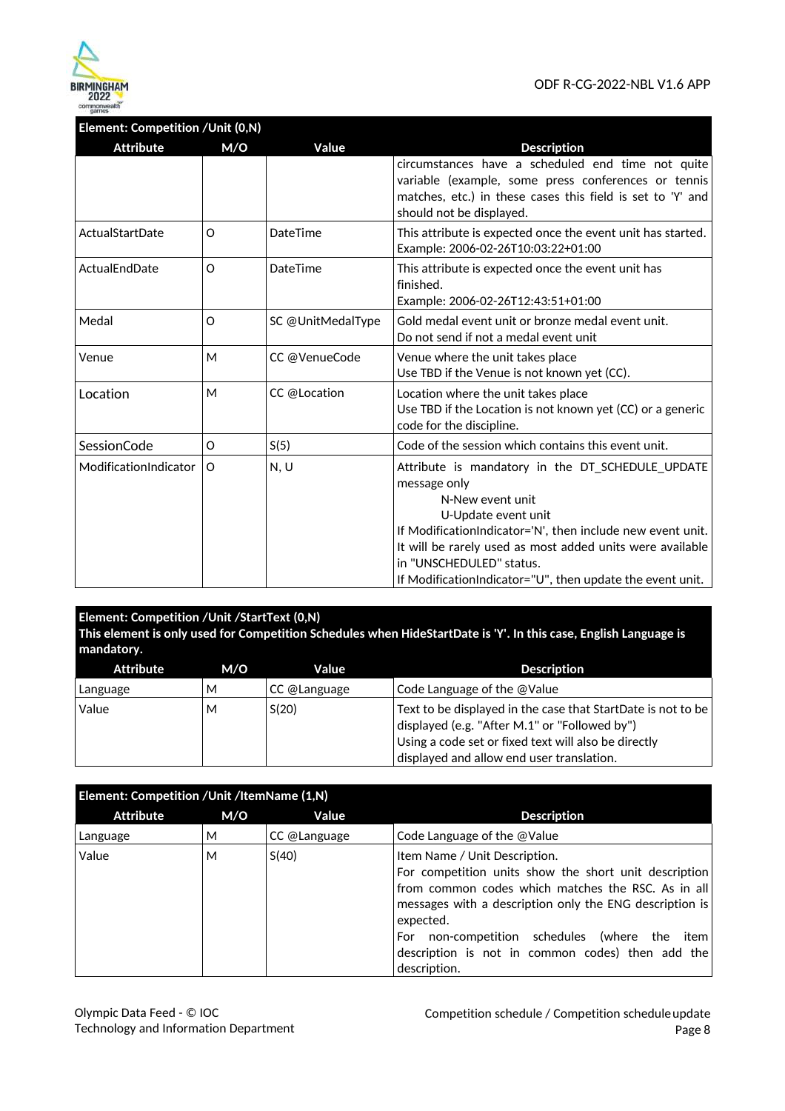

# **Element: Competition /Unit (0,N)**

| <b>Attribute</b>      | M/O      | Value             | <b>Description</b>                                                                                                                                                                                                                                                                                                               |
|-----------------------|----------|-------------------|----------------------------------------------------------------------------------------------------------------------------------------------------------------------------------------------------------------------------------------------------------------------------------------------------------------------------------|
|                       |          |                   | circumstances have a scheduled end time not quite<br>variable (example, some press conferences or tennis<br>matches, etc.) in these cases this field is set to 'Y' and<br>should not be displayed.                                                                                                                               |
| ActualStartDate       | O        | DateTime          | This attribute is expected once the event unit has started.<br>Example: 2006-02-26T10:03:22+01:00                                                                                                                                                                                                                                |
| ActualEndDate         | $\Omega$ | DateTime          | This attribute is expected once the event unit has<br>finished.<br>Example: 2006-02-26T12:43:51+01:00                                                                                                                                                                                                                            |
| Medal                 | O        | SC @UnitMedalType | Gold medal event unit or bronze medal event unit.<br>Do not send if not a medal event unit                                                                                                                                                                                                                                       |
| Venue                 | M        | CC @VenueCode     | Venue where the unit takes place<br>Use TBD if the Venue is not known yet (CC).                                                                                                                                                                                                                                                  |
| Location              | М        | CC @Location      | Location where the unit takes place<br>Use TBD if the Location is not known yet (CC) or a generic<br>code for the discipline.                                                                                                                                                                                                    |
| SessionCode           | O        | S(5)              | Code of the session which contains this event unit.                                                                                                                                                                                                                                                                              |
| ModificationIndicator | O        | N, U              | Attribute is mandatory in the DT SCHEDULE UPDATE<br>message only<br>N-New event unit<br>U-Update event unit<br>If ModificationIndicator='N', then include new event unit.<br>It will be rarely used as most added units were available<br>in "UNSCHEDULED" status.<br>If Modification Indicator="U", then update the event unit. |

### **Element: Competition /Unit /StartText (0,N)**

**This element is only used for Competition Schedules when HideStartDate is 'Y'. In this case, English Language is mandatory.** 

| Attribute | M/O | Value        | <b>Description</b>                                                                                                                                                                                                 |
|-----------|-----|--------------|--------------------------------------------------------------------------------------------------------------------------------------------------------------------------------------------------------------------|
| Language  | м   | CC @Language | Code Language of the @Value                                                                                                                                                                                        |
| Value     | М   | S(20)        | Text to be displayed in the case that StartDate is not to be<br>displayed (e.g. "After M.1" or "Followed by")<br>Using a code set or fixed text will also be directly<br>displayed and allow end user translation. |

|           | Element: Competition / Unit / ItemName (1,N) |              |                                                                                                                                                                                                                                                                                                                                               |  |
|-----------|----------------------------------------------|--------------|-----------------------------------------------------------------------------------------------------------------------------------------------------------------------------------------------------------------------------------------------------------------------------------------------------------------------------------------------|--|
| Attribute | M/O                                          | Value        | <b>Description</b>                                                                                                                                                                                                                                                                                                                            |  |
| Language  | M                                            | CC @Language | Code Language of the @Value                                                                                                                                                                                                                                                                                                                   |  |
| Value     | М                                            | S(40)        | Item Name / Unit Description.<br>For competition units show the short unit description<br>from common codes which matches the RSC. As in all<br>messages with a description only the ENG description is<br>expected.<br>non-competition schedules (where the item)<br>For<br>description is not in common codes) then add the<br>description. |  |

Olympic Data Feed - © IOC Technology and Information Department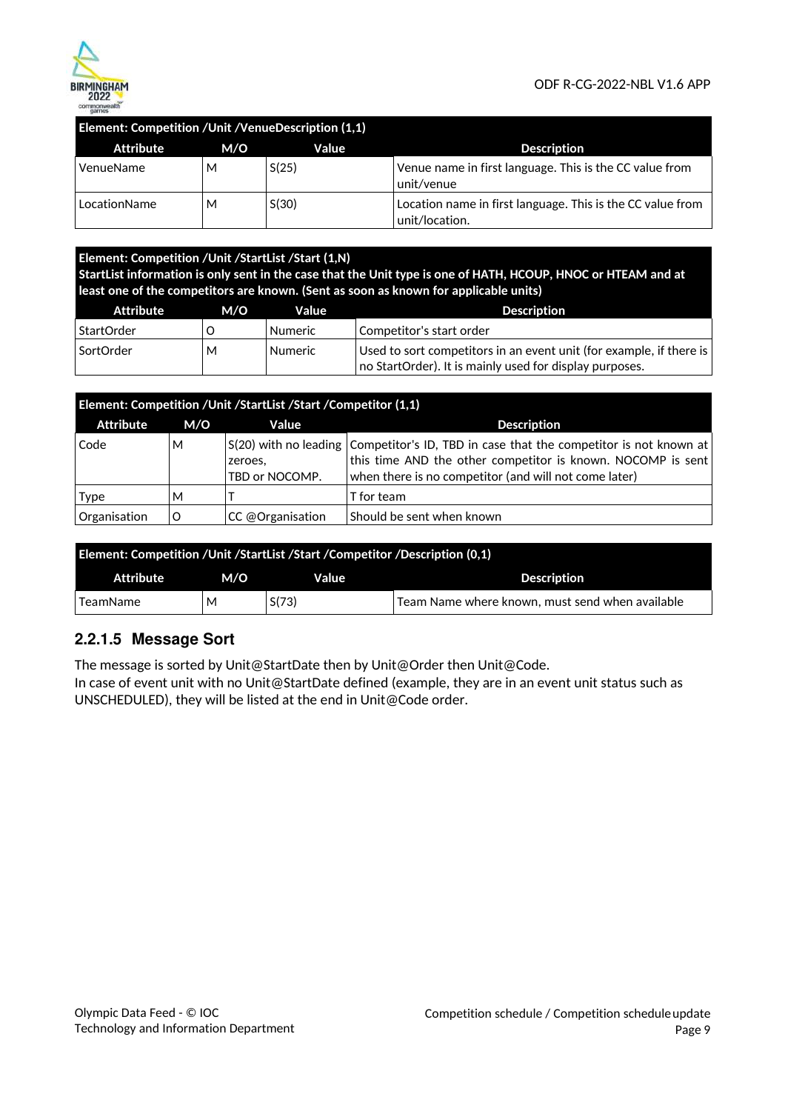

### **Element: Competition /Unit /VenueDescription (1,1)**

| Attribute    | M/O | Value | <b>Description</b>                                                           |
|--------------|-----|-------|------------------------------------------------------------------------------|
| VenueName    | м   | S(25) | Venue name in first language. This is the CC value from<br>unit/venue        |
| LocationName | М   | S(30) | Location name in first language. This is the CC value from<br>unit/location. |

### **Element: Competition /Unit /StartList /Start (1,N) StartList information is only sent in the case that the Unit type is one of HATH, HCOUP, HNOC or HTEAM and at least one of the competitors are known. (Sent as soon as known for applicable units)**

| Attribute  | M/O | Value          | Description                                                         |
|------------|-----|----------------|---------------------------------------------------------------------|
| StartOrder |     | <b>Numeric</b> | Competitor's start order                                            |
| SortOrder  | M   | <b>Numeric</b> | Used to sort competitors in an event unit (for example, if there is |
|            |     |                | no StartOrder). It is mainly used for display purposes.             |

| Element: Competition / Unit / StartList / Start / Competitor (1,1) |     |                           |                                                                                                                                                                                                                |
|--------------------------------------------------------------------|-----|---------------------------|----------------------------------------------------------------------------------------------------------------------------------------------------------------------------------------------------------------|
| Attribute                                                          | M/O | Value                     | <b>Description</b>                                                                                                                                                                                             |
| Code                                                               | М   | zeroes.<br>TBD or NOCOMP. | S(20) with no leading Competitor's ID, TBD in case that the competitor is not known at<br>this time AND the other competitor is known. NOCOMP is sent<br>when there is no competitor (and will not come later) |
| <b>Type</b>                                                        | М   |                           | T for team                                                                                                                                                                                                     |
| Organisation                                                       |     | CC @Organisation          | Should be sent when known                                                                                                                                                                                      |

| <b>Element: Competition / Unit / StartList / Start / Competitor / Description (0.1)</b> |     |       |                                                                |
|-----------------------------------------------------------------------------------------|-----|-------|----------------------------------------------------------------|
| Attribute                                                                               | M/O | Value | <b>Description</b>                                             |
| TeamName                                                                                | М   | S(73) | $\overline{a}$ Team Name where known, must send when available |

## **2.2.1.5 Message Sort**

The message is sorted by Unit@StartDate then by Unit@Order then Unit@Code.

In case of event unit with no Unit@StartDate defined (example, they are in an event unit status such as UNSCHEDULED), they will be listed at the end in Unit@Code order.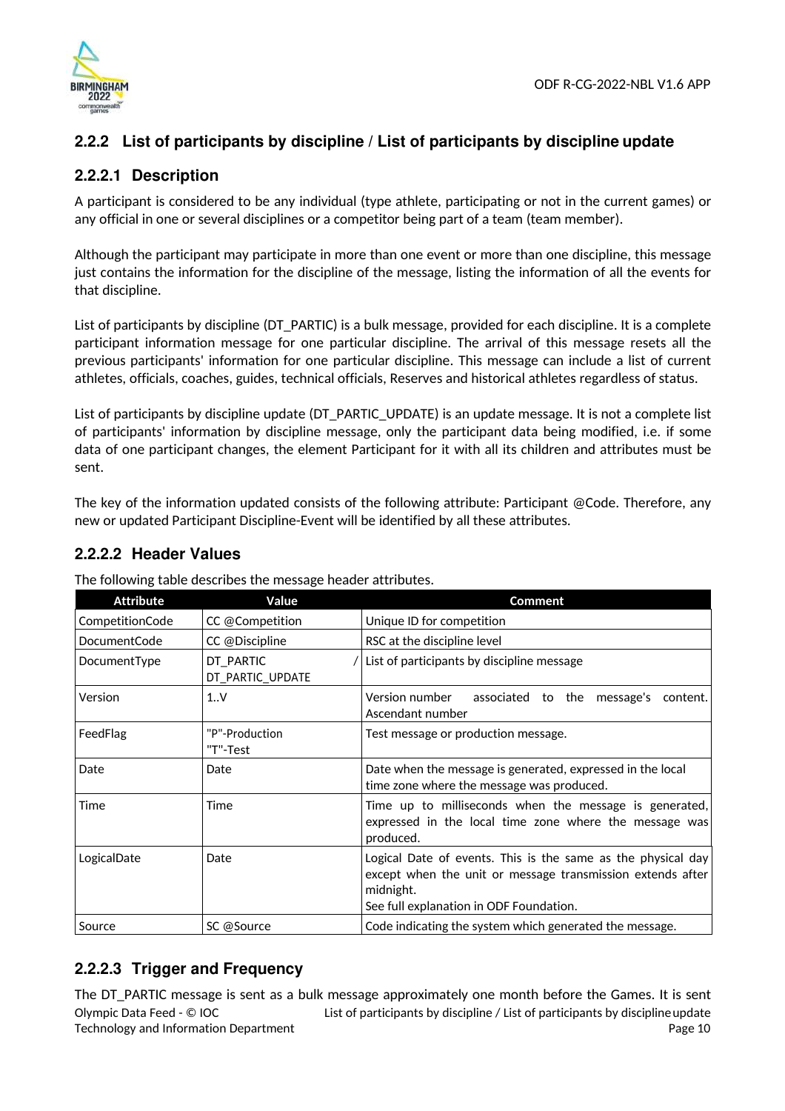

# **2.2.2 List of participants by discipline / List of participants by discipline update**

### **2.2.2.1 Description**

A participant is considered to be any individual (type athlete, participating or not in the current games) or any official in one or several disciplines or a competitor being part of a team (team member).

Although the participant may participate in more than one event or more than one discipline, this message just contains the information for the discipline of the message, listing the information of all the events for that discipline.

List of participants by discipline (DT\_PARTIC) is a bulk message, provided for each discipline. It is a complete participant information message for one particular discipline. The arrival of this message resets all the previous participants' information for one particular discipline. This message can include a list of current athletes, officials, coaches, guides, technical officials, Reserves and historical athletes regardless of status.

List of participants by discipline update (DT\_PARTIC\_UPDATE) is an update message. It is not a complete list of participants' information by discipline message, only the participant data being modified, i.e. if some data of one participant changes, the element Participant for it with all its children and attributes must be sent.

The key of the information updated consists of the following attribute: Participant @Code. Therefore, any new or updated Participant Discipline-Event will be identified by all these attributes.

### **2.2.2.2 Header Values**

| <b>Attribute</b>    | Value                         | <b>Comment</b>                                                                                                                                                                     |
|---------------------|-------------------------------|------------------------------------------------------------------------------------------------------------------------------------------------------------------------------------|
| CompetitionCode     | CC @Competition               | Unique ID for competition                                                                                                                                                          |
| <b>DocumentCode</b> | CC @Discipline                | RSC at the discipline level                                                                                                                                                        |
| DocumentType        | DT PARTIC<br>DT_PARTIC_UPDATE | List of participants by discipline message                                                                                                                                         |
| Version             | 1.1V                          | Version number<br>associated to the message's<br>content.<br>Ascendant number                                                                                                      |
| FeedFlag            | "P"-Production<br>"T"-Test    | Test message or production message.                                                                                                                                                |
| Date                | Date                          | Date when the message is generated, expressed in the local<br>time zone where the message was produced.                                                                            |
| Time                | Time                          | Time up to milliseconds when the message is generated,<br>expressed in the local time zone where the message was<br>produced.                                                      |
| LogicalDate         | Date                          | Logical Date of events. This is the same as the physical day<br>except when the unit or message transmission extends after<br>midnight.<br>See full explanation in ODF Foundation. |
| Source              | SC @Source                    | Code indicating the system which generated the message.                                                                                                                            |

The following table describes the message header attributes.

# **2.2.2.3 Trigger and Frequency**

Olympic Data Feed - © IOC Technology and Information Department List of participants by discipline / List of participants by disciplineupdate Page 10 The DT\_PARTIC message is sent as a bulk message approximately one month before the Games. It is sent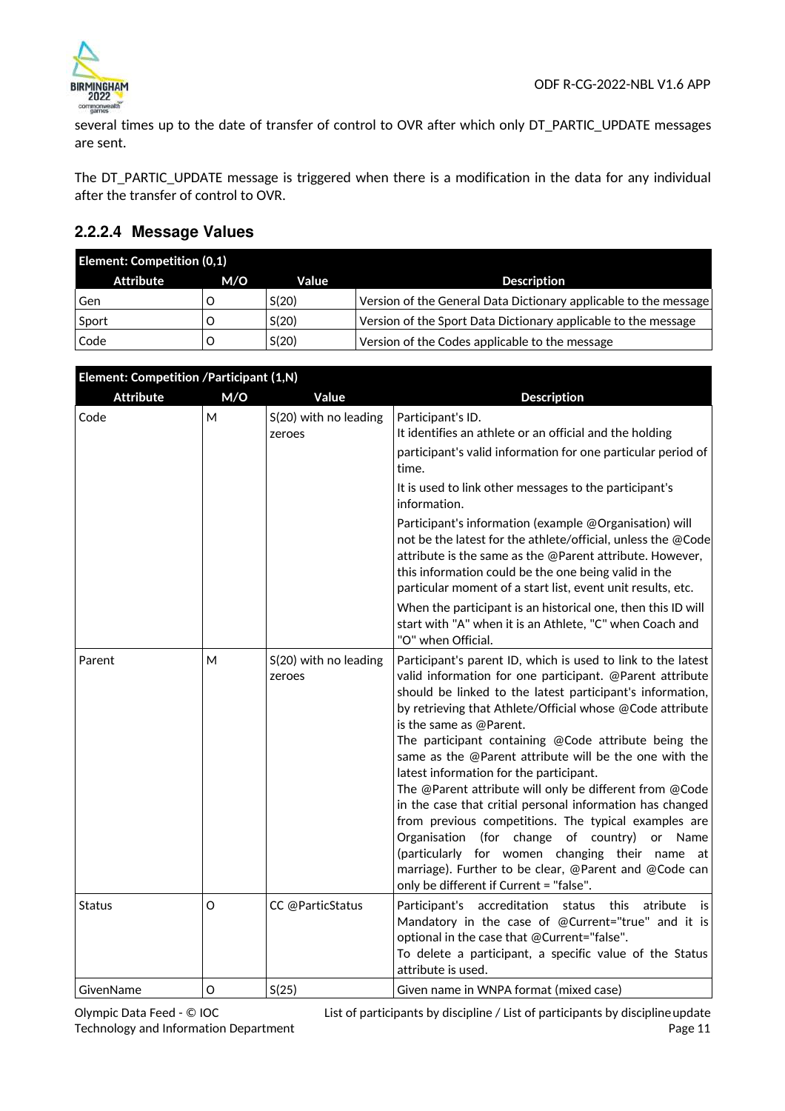

several times up to the date of transfer of control to OVR after which only DT\_PARTIC\_UPDATE messages are sent.

The DT\_PARTIC\_UPDATE message is triggered when there is a modification in the data for any individual after the transfer of control to OVR.

### **2.2.2.4 Message Values**

| <b>Element: Competition (0,1)</b> |     |       |                                                                  |
|-----------------------------------|-----|-------|------------------------------------------------------------------|
| Attribute                         | M/O | Value | <b>Description</b>                                               |
| Gen                               |     | S(20) | Version of the General Data Dictionary applicable to the message |
| Sport                             |     | S(20) | Version of the Sport Data Dictionary applicable to the message   |
| Code                              |     | S(20) | Version of the Codes applicable to the message                   |

| Element: Competition /Participant (1,N) |     |                                 |                                                                                                                                                                                                                                                                                                                                                                                                                                                                                                                                                                                                                                                                                                                                                                                                                                     |
|-----------------------------------------|-----|---------------------------------|-------------------------------------------------------------------------------------------------------------------------------------------------------------------------------------------------------------------------------------------------------------------------------------------------------------------------------------------------------------------------------------------------------------------------------------------------------------------------------------------------------------------------------------------------------------------------------------------------------------------------------------------------------------------------------------------------------------------------------------------------------------------------------------------------------------------------------------|
| <b>Attribute</b>                        | M/O | Value                           | <b>Description</b>                                                                                                                                                                                                                                                                                                                                                                                                                                                                                                                                                                                                                                                                                                                                                                                                                  |
| Code                                    | М   | S(20) with no leading<br>zeroes | Participant's ID.<br>It identifies an athlete or an official and the holding<br>participant's valid information for one particular period of                                                                                                                                                                                                                                                                                                                                                                                                                                                                                                                                                                                                                                                                                        |
|                                         |     |                                 | time.                                                                                                                                                                                                                                                                                                                                                                                                                                                                                                                                                                                                                                                                                                                                                                                                                               |
|                                         |     |                                 | It is used to link other messages to the participant's<br>information.                                                                                                                                                                                                                                                                                                                                                                                                                                                                                                                                                                                                                                                                                                                                                              |
|                                         |     |                                 | Participant's information (example @Organisation) will<br>not be the latest for the athlete/official, unless the @Code<br>attribute is the same as the @Parent attribute. However,<br>this information could be the one being valid in the<br>particular moment of a start list, event unit results, etc.                                                                                                                                                                                                                                                                                                                                                                                                                                                                                                                           |
|                                         |     |                                 | When the participant is an historical one, then this ID will<br>start with "A" when it is an Athlete, "C" when Coach and<br>"O" when Official.                                                                                                                                                                                                                                                                                                                                                                                                                                                                                                                                                                                                                                                                                      |
| Parent                                  | M   | S(20) with no leading<br>zeroes | Participant's parent ID, which is used to link to the latest<br>valid information for one participant. @Parent attribute<br>should be linked to the latest participant's information,<br>by retrieving that Athlete/Official whose @Code attribute<br>is the same as @Parent.<br>The participant containing @Code attribute being the<br>same as the @Parent attribute will be the one with the<br>latest information for the participant.<br>The @Parent attribute will only be different from @Code<br>in the case that critial personal information has changed<br>from previous competitions. The typical examples are<br>Organisation (for change of country)<br>or Name<br>(particularly for women changing their name at<br>marriage). Further to be clear, @Parent and @Code can<br>only be different if Current = "false". |
| Status                                  | O   | CC @ParticStatus                | Participant's accreditation status<br>atribute<br>this<br>is<br>Mandatory in the case of @Current="true" and it is<br>optional in the case that @Current="false".<br>To delete a participant, a specific value of the Status<br>attribute is used.                                                                                                                                                                                                                                                                                                                                                                                                                                                                                                                                                                                  |
| GivenName                               | O   | S(25)                           | Given name in WNPA format (mixed case)                                                                                                                                                                                                                                                                                                                                                                                                                                                                                                                                                                                                                                                                                                                                                                                              |

Olympic Data Feed - © IOC Technology and Information Department List of participants by discipline / List of participants by disciplineupdate Page 11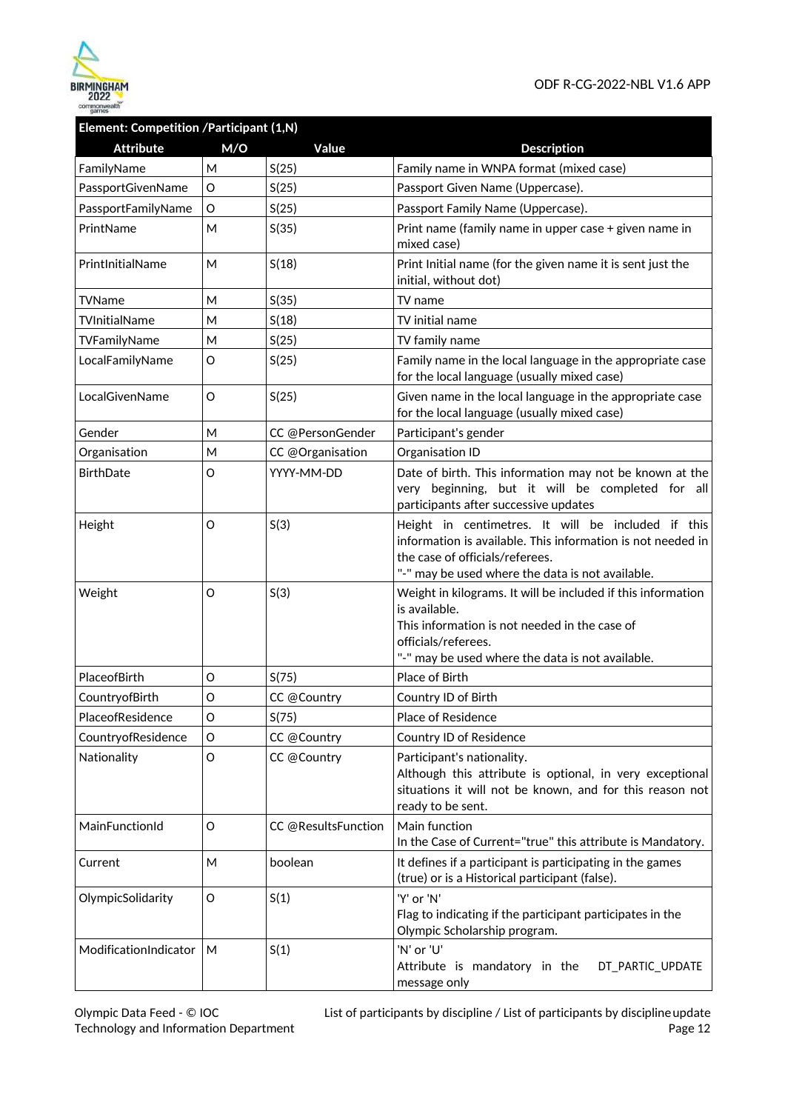

### **Element: Competition /Participant (1,N)**

| <b>Attribute</b>      | M/O | Value               | <b>Description</b>                                                                                                                                                                                        |
|-----------------------|-----|---------------------|-----------------------------------------------------------------------------------------------------------------------------------------------------------------------------------------------------------|
| FamilyName            | M   | S(25)               | Family name in WNPA format (mixed case)                                                                                                                                                                   |
| PassportGivenName     | O   | S(25)               | Passport Given Name (Uppercase).                                                                                                                                                                          |
| PassportFamilyName    | O   | S(25)               | Passport Family Name (Uppercase).                                                                                                                                                                         |
| PrintName             | M   | S(35)               | Print name (family name in upper case + given name in<br>mixed case)                                                                                                                                      |
| PrintInitialName      | M   | S(18)               | Print Initial name (for the given name it is sent just the<br>initial, without dot)                                                                                                                       |
| TVName                | M   | S(35)               | TV name                                                                                                                                                                                                   |
| TVInitialName         | Μ   | S(18)               | TV initial name                                                                                                                                                                                           |
| TVFamilyName          | М   | S(25)               | TV family name                                                                                                                                                                                            |
| LocalFamilyName       | O   | S(25)               | Family name in the local language in the appropriate case<br>for the local language (usually mixed case)                                                                                                  |
| LocalGivenName        | O   | S(25)               | Given name in the local language in the appropriate case<br>for the local language (usually mixed case)                                                                                                   |
| Gender                | M   | CC @PersonGender    | Participant's gender                                                                                                                                                                                      |
| Organisation          | M   | CC @Organisation    | Organisation ID                                                                                                                                                                                           |
| <b>BirthDate</b>      | O   | YYYY-MM-DD          | Date of birth. This information may not be known at the<br>very beginning, but it will be completed for all<br>participants after successive updates                                                      |
| Height                | O   | S(3)                | Height in centimetres. It will be included if this<br>information is available. This information is not needed in<br>the case of officials/referees.<br>"-" may be used where the data is not available.  |
| Weight                | O   | S(3)                | Weight in kilograms. It will be included if this information<br>is available.<br>This information is not needed in the case of<br>officials/referees.<br>"-" may be used where the data is not available. |
| PlaceofBirth          | O   | S(75)               | Place of Birth                                                                                                                                                                                            |
| CountryofBirth        | O   | CC @Country         | Country ID of Birth                                                                                                                                                                                       |
| PlaceofResidence      | O   | S(75)               | Place of Residence                                                                                                                                                                                        |
| CountryofResidence    | O   | CC @Country         | Country ID of Residence                                                                                                                                                                                   |
| Nationality           | O   | CC @Country         | Participant's nationality.<br>Although this attribute is optional, in very exceptional<br>situations it will not be known, and for this reason not<br>ready to be sent.                                   |
| MainFunctionId        | O   | CC @ResultsFunction | Main function<br>In the Case of Current="true" this attribute is Mandatory.                                                                                                                               |
| Current               | Μ   | boolean             | It defines if a participant is participating in the games<br>(true) or is a Historical participant (false).                                                                                               |
| OlympicSolidarity     | O   | S(1)                | 'Y' or 'N'<br>Flag to indicating if the participant participates in the<br>Olympic Scholarship program.                                                                                                   |
| ModificationIndicator | M   | S(1)                | 'N' or 'U'<br>Attribute is mandatory in the<br>DT_PARTIC_UPDATE<br>message only                                                                                                                           |

List of participants by discipline / List of participants by disciplineupdate Page 12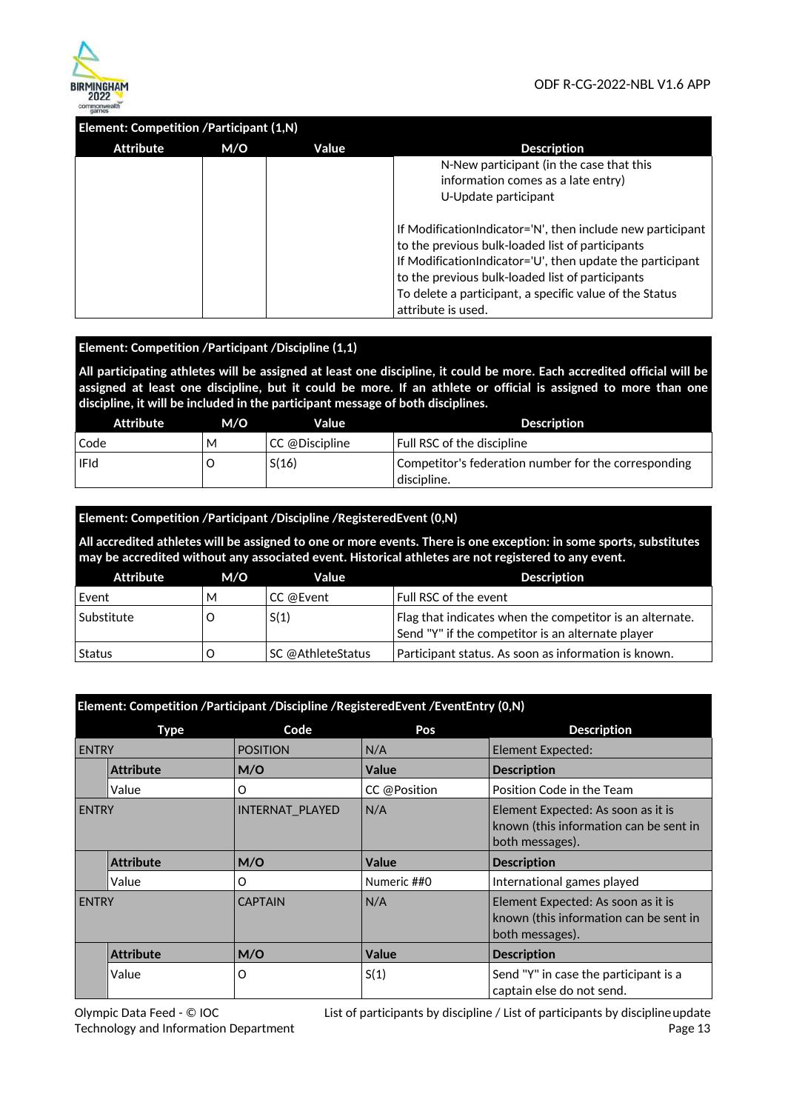

### **Element: Competition /Participant (1,N)**

| Attribute | M/O | Value | <b>Description</b>                                         |
|-----------|-----|-------|------------------------------------------------------------|
|           |     |       | N-New participant (in the case that this                   |
|           |     |       | information comes as a late entry)                         |
|           |     |       | U-Update participant                                       |
|           |     |       |                                                            |
|           |     |       | If ModificationIndicator='N', then include new participant |
|           |     |       | to the previous bulk-loaded list of participants           |
|           |     |       | If ModificationIndicator='U', then update the participant  |
|           |     |       | to the previous bulk-loaded list of participants           |
|           |     |       | To delete a participant, a specific value of the Status    |
|           |     |       | attribute is used.                                         |

### **Element: Competition /Participant /Discipline (1,1)**

**All participating athletes will be assigned at least one discipline, it could be more. Each accredited official will be assigned at least one discipline, but it could be more. If an athlete or official is assigned to more than one discipline, it will be included in the participant message of both disciplines.** 

| Attribute   | M/O | Value          | Description                                          |
|-------------|-----|----------------|------------------------------------------------------|
| Code        | M   | CC @Discipline | Full RSC of the discipline                           |
| <b>IFId</b> |     | S(16)          | Competitor's federation number for the corresponding |
|             |     |                | discipline.                                          |

### **Element: Competition /Participant /Discipline /RegisteredEvent (0,N)**

**All accredited athletes will be assigned to one or more events. There is one exception: in some sports, substitutes may be accredited without any associated event. Historical athletes are not registered to any event.** 

| Attribute   | M/O | Value             | <b>Description</b>                                                                                            |
|-------------|-----|-------------------|---------------------------------------------------------------------------------------------------------------|
| Event       | M   | CC @Event         | Full RSC of the event                                                                                         |
| Substitute_ |     | S(1)              | Flag that indicates when the competitor is an alternate.<br>Send "Y" if the competitor is an alternate player |
| Status      |     | SC @AthleteStatus | Participant status. As soon as information is known.                                                          |

| Element: Competition /Participant /Discipline /RegisteredEvent /EventEntry (0,N) |                  |                 |              |                                                                                                 |
|----------------------------------------------------------------------------------|------------------|-----------------|--------------|-------------------------------------------------------------------------------------------------|
|                                                                                  | <b>Type</b>      | Code            | Pos          | <b>Description</b>                                                                              |
| <b>ENTRY</b>                                                                     |                  | <b>POSITION</b> | N/A          | <b>Element Expected:</b>                                                                        |
|                                                                                  | <b>Attribute</b> | M/O             | Value        | <b>Description</b>                                                                              |
|                                                                                  | Value            | O               | CC @Position | Position Code in the Team                                                                       |
| <b>ENTRY</b>                                                                     |                  | INTERNAT_PLAYED | N/A          | Element Expected: As soon as it is<br>known (this information can be sent in<br>both messages). |
|                                                                                  | <b>Attribute</b> | M/O             | <b>Value</b> | <b>Description</b>                                                                              |
|                                                                                  | Value            | O               | Numeric ##0  | International games played                                                                      |
| <b>ENTRY</b>                                                                     |                  | <b>CAPTAIN</b>  | N/A          | Element Expected: As soon as it is<br>known (this information can be sent in<br>both messages). |
|                                                                                  | <b>Attribute</b> | M/O             | Value        | <b>Description</b>                                                                              |
|                                                                                  | Value            | O               | S(1)         | Send "Y" in case the participant is a<br>captain else do not send.                              |

Olympic Data Feed - © IOC Technology and Information Department

List of participants by discipline / List of participants by disciplineupdate Page 13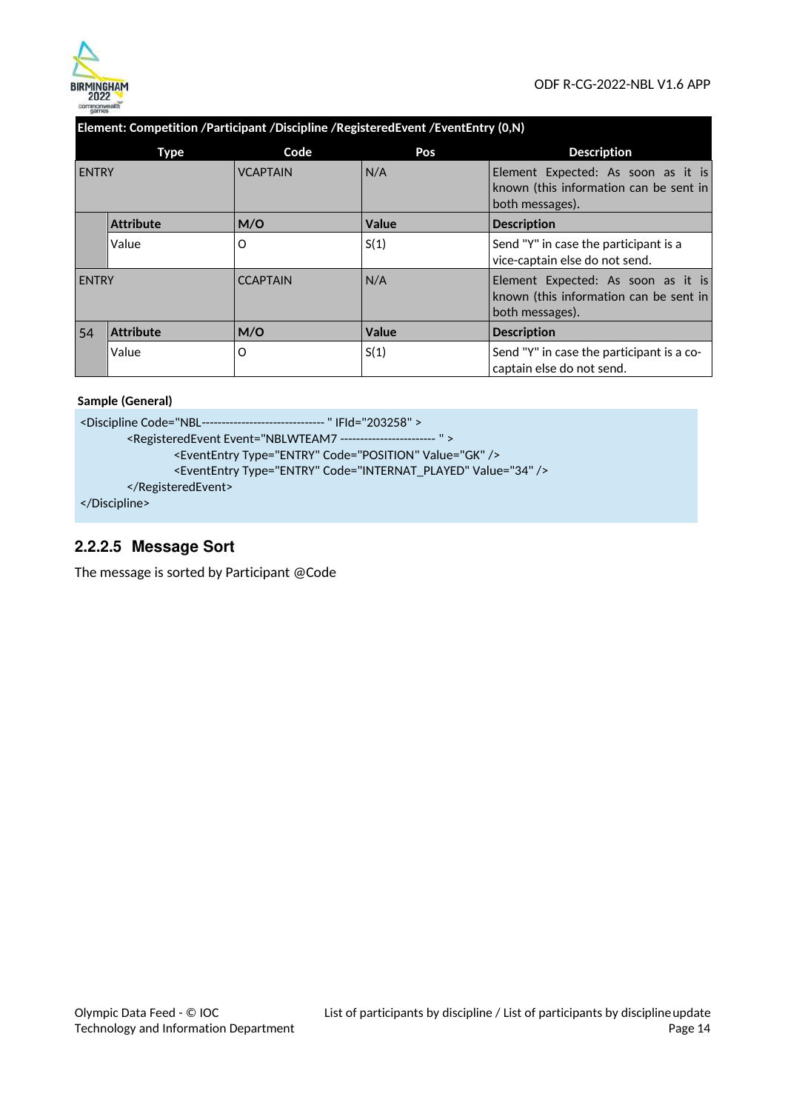

### **Element: Competition /Participant /Discipline /RegisteredEvent /EventEntry (0,N)**

|              | Type             | Code            | Pos   | <b>Description</b>                                                                              |
|--------------|------------------|-----------------|-------|-------------------------------------------------------------------------------------------------|
| <b>ENTRY</b> |                  | <b>VCAPTAIN</b> | N/A   | Element Expected: As soon as it is<br>known (this information can be sent in<br>both messages). |
|              | <b>Attribute</b> | M/O             | Value | <b>Description</b>                                                                              |
|              | Value            | O               | S(1)  | Send "Y" in case the participant is a<br>vice-captain else do not send.                         |
| <b>ENTRY</b> |                  | <b>CCAPTAIN</b> | N/A   | Element Expected: As soon as it is<br>known (this information can be sent in<br>both messages). |
| 54           | <b>Attribute</b> | M/O             | Value | <b>Description</b>                                                                              |
|              | Value            | O               | S(1)  | Send "Y" in case the participant is a co-<br>captain else do not send.                          |

### **Sample (General)**

<Discipline Code="NBL ------------------------------- " IFId="203258" > <RegisteredEvent Event="NBLWTEAM7 ------------------------ " > <EventEntry Type="ENTRY" Code="POSITION" Value="GK" /> <EventEntry Type="ENTRY" Code="INTERNAT\_PLAYED" Value="34" /> </RegisteredEvent> </Discipline>

## **2.2.2.5 Message Sort**

The message is sorted by Participant @Code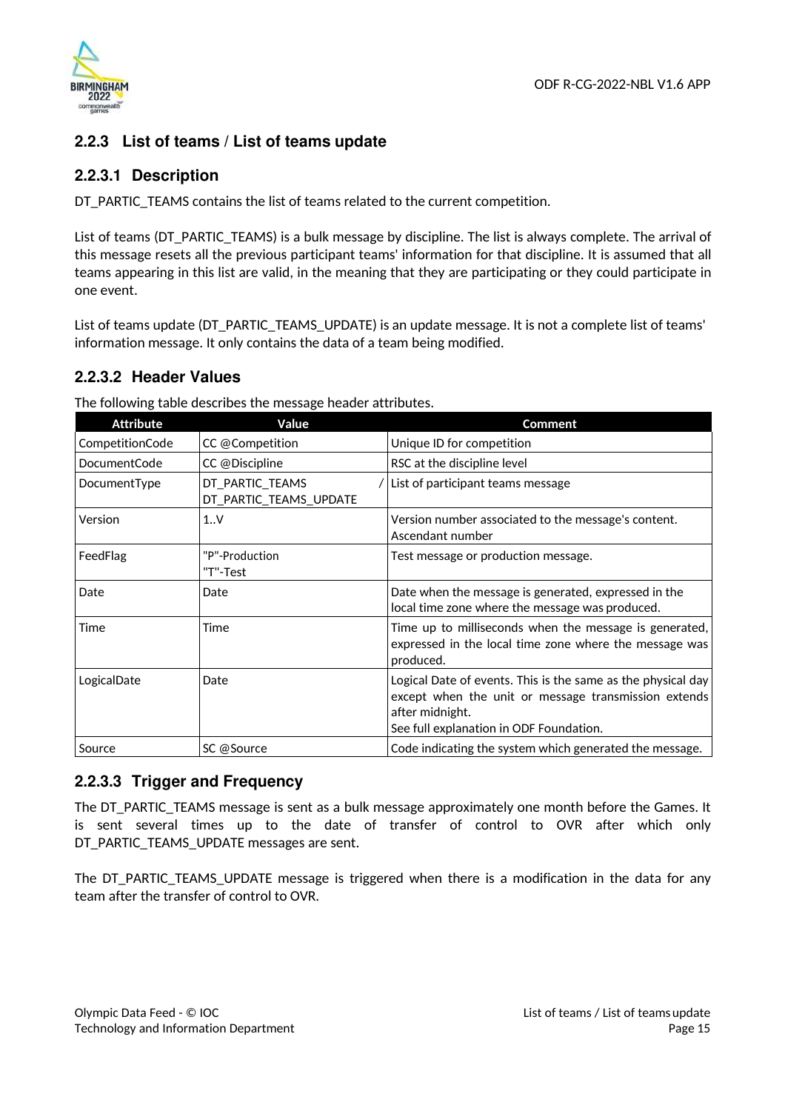

### **2.2.3 List of teams / List of teams update**

### **2.2.3.1 Description**

DT\_PARTIC\_TEAMS contains the list of teams related to the current competition.

List of teams (DT\_PARTIC\_TEAMS) is a bulk message by discipline. The list is always complete. The arrival of this message resets all the previous participant teams' information for that discipline. It is assumed that all teams appearing in this list are valid, in the meaning that they are participating or they could participate in one event.

List of teams update (DT\_PARTIC\_TEAMS\_UPDATE) is an update message. It is not a complete list of teams' information message. It only contains the data of a team being modified.

### **2.2.3.2 Header Values**

The following table describes the message header attributes.

| <b>Attribute</b> | Value                                     | Comment                                                                                                                                                                            |
|------------------|-------------------------------------------|------------------------------------------------------------------------------------------------------------------------------------------------------------------------------------|
| CompetitionCode  | CC @Competition                           | Unique ID for competition                                                                                                                                                          |
| DocumentCode     | CC @Discipline                            | RSC at the discipline level                                                                                                                                                        |
| DocumentType     | DT_PARTIC_TEAMS<br>DT_PARTIC_TEAMS_UPDATE | List of participant teams message                                                                                                                                                  |
| Version          | 1.0V                                      | Version number associated to the message's content.<br>Ascendant number                                                                                                            |
| FeedFlag         | "P"-Production<br>"T"-Test                | Test message or production message.                                                                                                                                                |
| Date             | Date                                      | Date when the message is generated, expressed in the<br>local time zone where the message was produced.                                                                            |
| Time             | Time                                      | Time up to milliseconds when the message is generated,<br>expressed in the local time zone where the message was<br>produced.                                                      |
| LogicalDate      | Date                                      | Logical Date of events. This is the same as the physical day<br>except when the unit or message transmission extends<br>after midnight.<br>See full explanation in ODF Foundation. |
| Source           | SC @Source                                | Code indicating the system which generated the message.                                                                                                                            |

### **2.2.3.3 Trigger and Frequency**

The DT\_PARTIC\_TEAMS message is sent as a bulk message approximately one month before the Games. It is sent several times up to the date of transfer of control to OVR after which only DT\_PARTIC\_TEAMS\_UPDATE messages are sent.

The DT\_PARTIC\_TEAMS\_UPDATE message is triggered when there is a modification in the data for any team after the transfer of control to OVR.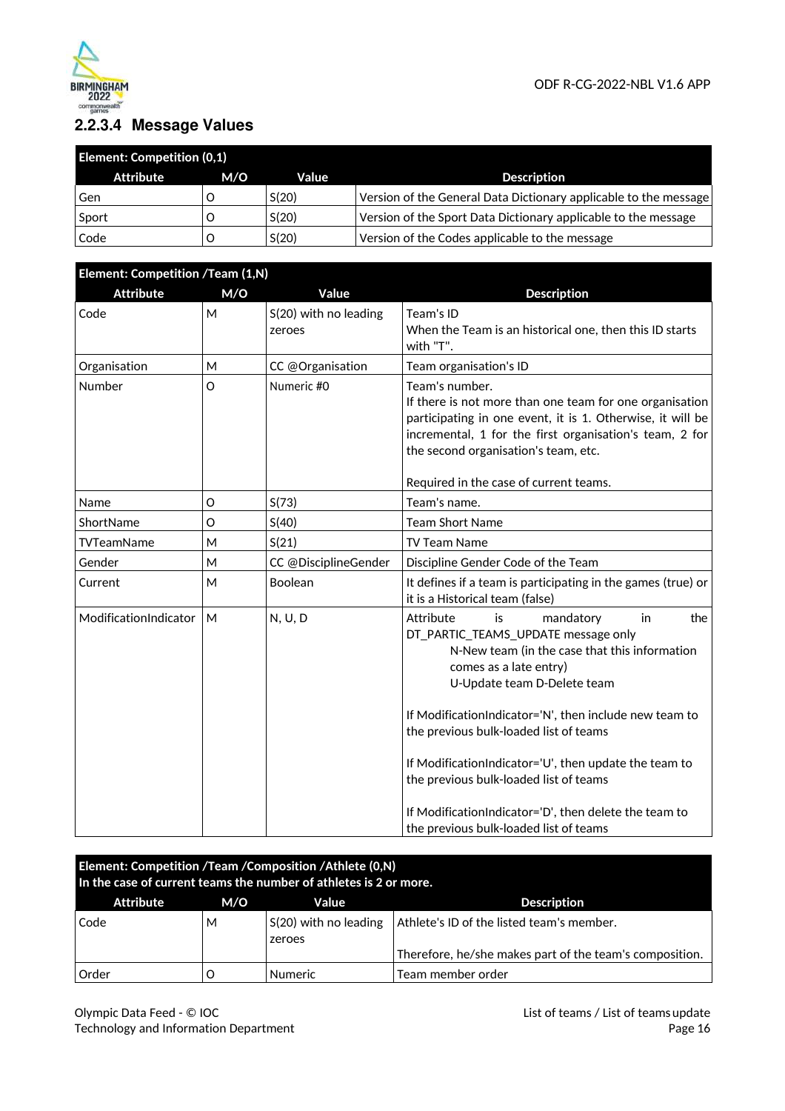

# **2.2.3.4 Message Values**

| <b>Element: Competition (0,1)</b> |     |       |                                                                  |  |
|-----------------------------------|-----|-------|------------------------------------------------------------------|--|
| Attribute                         | M/O | Value | <b>Description</b>                                               |  |
| Gen                               |     | S(20) | Version of the General Data Dictionary applicable to the message |  |
| Sport                             |     | S(20) | Version of the Sport Data Dictionary applicable to the message   |  |
| Code                              |     | S(20) | Version of the Codes applicable to the message                   |  |

| Element: Competition /Team (1,N) |         |                                 |                                                                                                                                                                                                                                                                                                                                                                                                                                                            |  |
|----------------------------------|---------|---------------------------------|------------------------------------------------------------------------------------------------------------------------------------------------------------------------------------------------------------------------------------------------------------------------------------------------------------------------------------------------------------------------------------------------------------------------------------------------------------|--|
| <b>Attribute</b>                 | M/O     | Value                           | <b>Description</b>                                                                                                                                                                                                                                                                                                                                                                                                                                         |  |
| Code                             | M       | S(20) with no leading<br>zeroes | Team's ID<br>When the Team is an historical one, then this ID starts<br>with "T".                                                                                                                                                                                                                                                                                                                                                                          |  |
| Organisation                     | M       | CC @Organisation                | Team organisation's ID                                                                                                                                                                                                                                                                                                                                                                                                                                     |  |
| Number                           | $\circ$ | Numeric #0                      | Team's number.<br>If there is not more than one team for one organisation<br>participating in one event, it is 1. Otherwise, it will be<br>incremental, 1 for the first organisation's team, 2 for<br>the second organisation's team, etc.<br>Required in the case of current teams.                                                                                                                                                                       |  |
| Name                             | O       | S(73)                           | Team's name.                                                                                                                                                                                                                                                                                                                                                                                                                                               |  |
| ShortName                        | O       | S(40)                           | <b>Team Short Name</b>                                                                                                                                                                                                                                                                                                                                                                                                                                     |  |
| <b>TVTeamName</b>                | M       | S(21)                           | <b>TV Team Name</b>                                                                                                                                                                                                                                                                                                                                                                                                                                        |  |
| Gender                           | M       | CC @DisciplineGender            | Discipline Gender Code of the Team                                                                                                                                                                                                                                                                                                                                                                                                                         |  |
| Current                          | м       | Boolean                         | It defines if a team is participating in the games (true) or<br>it is a Historical team (false)                                                                                                                                                                                                                                                                                                                                                            |  |
| ModificationIndicator            | M       | N, U, D                         | Attribute<br>is<br>mandatory<br>the<br>in<br>DT_PARTIC_TEAMS_UPDATE message only<br>N-New team (in the case that this information<br>comes as a late entry)<br>U-Update team D-Delete team<br>If ModificationIndicator='N', then include new team to<br>the previous bulk-loaded list of teams<br>If ModificationIndicator='U', then update the team to<br>the previous bulk-loaded list of teams<br>If ModificationIndicator='D', then delete the team to |  |
|                                  |         |                                 | the previous bulk-loaded list of teams                                                                                                                                                                                                                                                                                                                                                                                                                     |  |

| Element: Competition /Team /Composition /Athlete (0,N)<br>In the case of current teams the number of athletes is 2 or more. |   |                                   |                                                         |
|-----------------------------------------------------------------------------------------------------------------------------|---|-----------------------------------|---------------------------------------------------------|
| <b>Attribute</b><br><b>Description</b><br>M/O<br>Value                                                                      |   |                                   |                                                         |
| Code                                                                                                                        | м | $S(20)$ with no leading<br>zeroes | Athlete's ID of the listed team's member.               |
|                                                                                                                             |   |                                   | Therefore, he/she makes part of the team's composition. |
| Order                                                                                                                       |   | <b>Numeric</b>                    | Team member order                                       |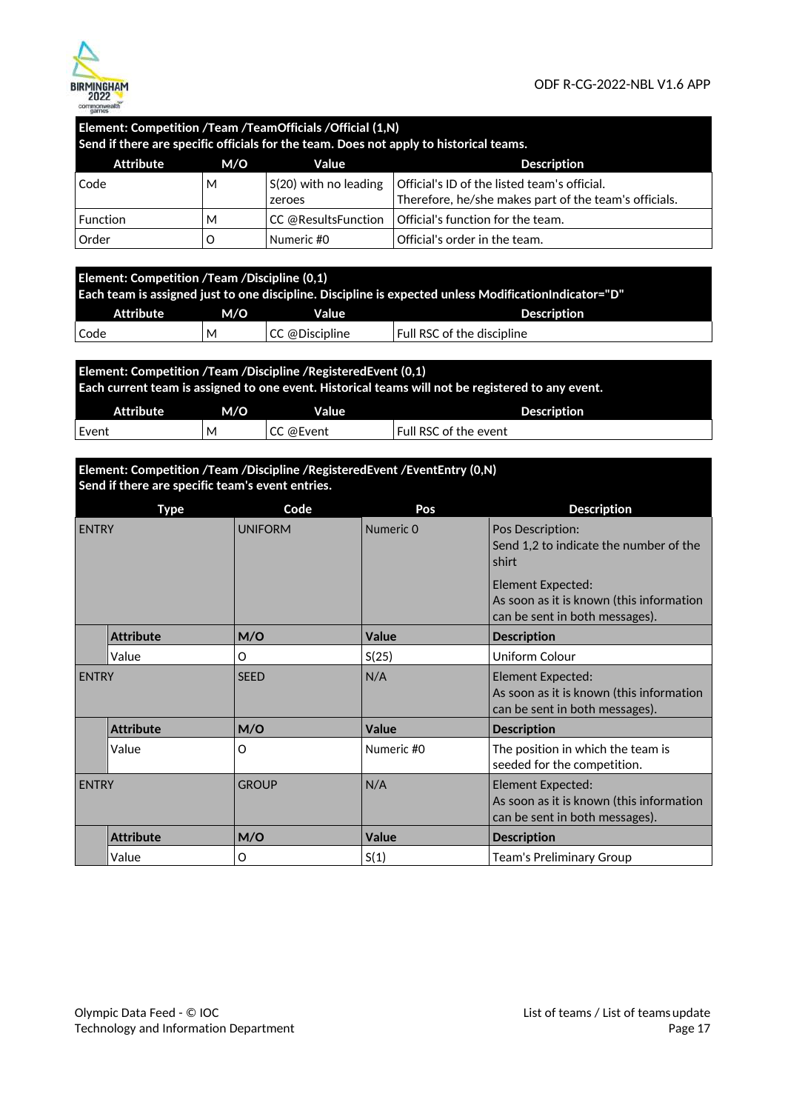

| Element: Competition / Team / Team Officials / Official (1,N)<br>Send if there are specific officials for the team. Does not apply to historical teams. |                                    |                                   |                                                                                                       |  |  |  |
|---------------------------------------------------------------------------------------------------------------------------------------------------------|------------------------------------|-----------------------------------|-------------------------------------------------------------------------------------------------------|--|--|--|
| Attribute                                                                                                                                               | <b>Description</b><br>Value<br>M/O |                                   |                                                                                                       |  |  |  |
| Code                                                                                                                                                    | м                                  | $S(20)$ with no leading<br>zeroes | Official's ID of the listed team's official.<br>Therefore, he/she makes part of the team's officials. |  |  |  |
| <b>Function</b>                                                                                                                                         | м                                  | CC @ResultsFunction               | Official's function for the team.                                                                     |  |  |  |
| Order                                                                                                                                                   |                                    | Numeric #0                        | Official's order in the team.                                                                         |  |  |  |

| Element: Competition $\sqrt{\phantom{a}}$ Team /Discipline (0,1)<br>Each team is assigned just to one discipline. Discipline is expected unless Modification Indicator="D" |     |       |                            |  |
|----------------------------------------------------------------------------------------------------------------------------------------------------------------------------|-----|-------|----------------------------|--|
| Attribute                                                                                                                                                                  | M/O | Value | <b>Description</b>         |  |
| CC @Discipline<br>l Code<br>м                                                                                                                                              |     |       | Full RSC of the discipline |  |

| Element: Competition / Team / Discipline / Registered Event (0,1)<br>Each current team is assigned to one event. Historical teams will not be registered to any event. |     |           |                       |  |
|------------------------------------------------------------------------------------------------------------------------------------------------------------------------|-----|-----------|-----------------------|--|
| Attribute                                                                                                                                                              | M/O | Value     | Description           |  |
| I Event                                                                                                                                                                | м   | CC @Event | Full RSC of the event |  |

### **Element: Competition /Team /Discipline /RegisteredEvent /EventEntry (0,N) Send if there are specific team's event entries.**

| Type         |                  | Code           | Pos        | <b>Description</b>                                                                                                                                                     |
|--------------|------------------|----------------|------------|------------------------------------------------------------------------------------------------------------------------------------------------------------------------|
| <b>ENTRY</b> |                  | <b>UNIFORM</b> | Numeric 0  | Pos Description:<br>Send 1,2 to indicate the number of the<br>shirt<br>Element Expected:<br>As soon as it is known (this information<br>can be sent in both messages). |
|              | <b>Attribute</b> | M/O            | Value      | <b>Description</b>                                                                                                                                                     |
|              | Value            | O              | S(25)      | Uniform Colour                                                                                                                                                         |
| <b>ENTRY</b> |                  | <b>SEED</b>    | N/A        | Element Expected:<br>As soon as it is known (this information<br>can be sent in both messages).                                                                        |
|              | <b>Attribute</b> | M/O            | Value      | <b>Description</b>                                                                                                                                                     |
|              | Value            | O              | Numeric #0 | The position in which the team is<br>seeded for the competition.                                                                                                       |
| <b>ENTRY</b> |                  | <b>GROUP</b>   | N/A        | Element Expected:<br>As soon as it is known (this information<br>can be sent in both messages).                                                                        |
|              | <b>Attribute</b> | M/O            | Value      | <b>Description</b>                                                                                                                                                     |
|              | Value            | O              | S(1)       | Team's Preliminary Group                                                                                                                                               |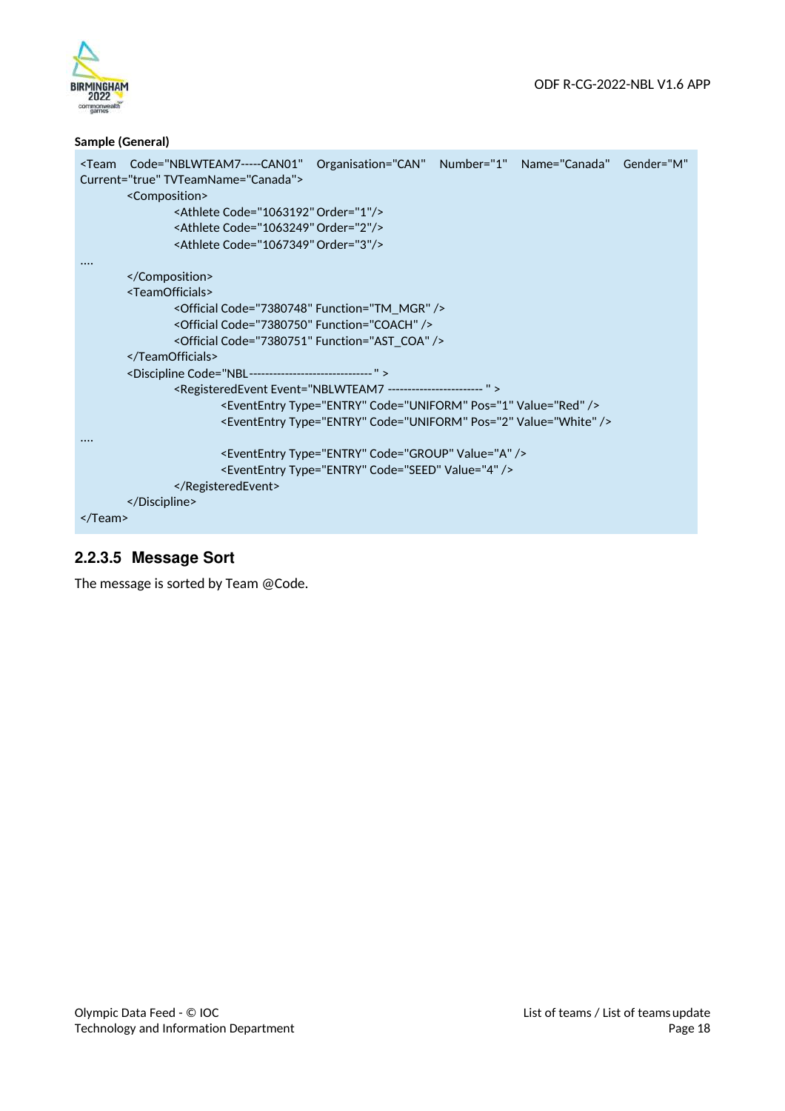



### **Sample (General)**

|                 | <team <="" code="NBLWTEAM7-----CAN01" gender="M" name="Canada" number="1" organisation="CAN" th=""><th></th></team> |  |  |  |  |  |  |  |
|-----------------|---------------------------------------------------------------------------------------------------------------------|--|--|--|--|--|--|--|
|                 | Current="true" TVTeamName="Canada">                                                                                 |  |  |  |  |  |  |  |
|                 | <composition></composition>                                                                                         |  |  |  |  |  |  |  |
|                 | <athlete code="1063192" order="1"></athlete>                                                                        |  |  |  |  |  |  |  |
|                 | <athlete code="1063249" order="2"></athlete>                                                                        |  |  |  |  |  |  |  |
|                 | <athlete code="1067349" order="3"></athlete>                                                                        |  |  |  |  |  |  |  |
|                 |                                                                                                                     |  |  |  |  |  |  |  |
|                 |                                                                                                                     |  |  |  |  |  |  |  |
|                 | <teamofficials></teamofficials>                                                                                     |  |  |  |  |  |  |  |
|                 | <official code="7380748" function="TM_MGR"></official>                                                              |  |  |  |  |  |  |  |
|                 | <official code="7380750" function="COACH"></official>                                                               |  |  |  |  |  |  |  |
|                 | <official code="7380751" function="AST_COA"></official>                                                             |  |  |  |  |  |  |  |
|                 |                                                                                                                     |  |  |  |  |  |  |  |
|                 | <discipline code="NBL-------------------------------"></discipline>                                                 |  |  |  |  |  |  |  |
|                 | <registeredevent event="NBLWTEAM7 ------------------------"></registeredevent>                                      |  |  |  |  |  |  |  |
|                 | <evententry code="UNIFORM" pos="1" type="ENTRY" value="Red"></evententry>                                           |  |  |  |  |  |  |  |
|                 | <evententry code="UNIFORM" pos="2" type="ENTRY" value="White"></evententry>                                         |  |  |  |  |  |  |  |
|                 |                                                                                                                     |  |  |  |  |  |  |  |
|                 | <evententry code="GROUP" type="ENTRY" value="A"></evententry>                                                       |  |  |  |  |  |  |  |
|                 | <evententry code="SEED" type="ENTRY" value="4"></evententry>                                                        |  |  |  |  |  |  |  |
|                 |                                                                                                                     |  |  |  |  |  |  |  |
|                 |                                                                                                                     |  |  |  |  |  |  |  |
| $\langle$ Team> |                                                                                                                     |  |  |  |  |  |  |  |
|                 |                                                                                                                     |  |  |  |  |  |  |  |

# **2.2.3.5 Message Sort**

The message is sorted by Team @Code.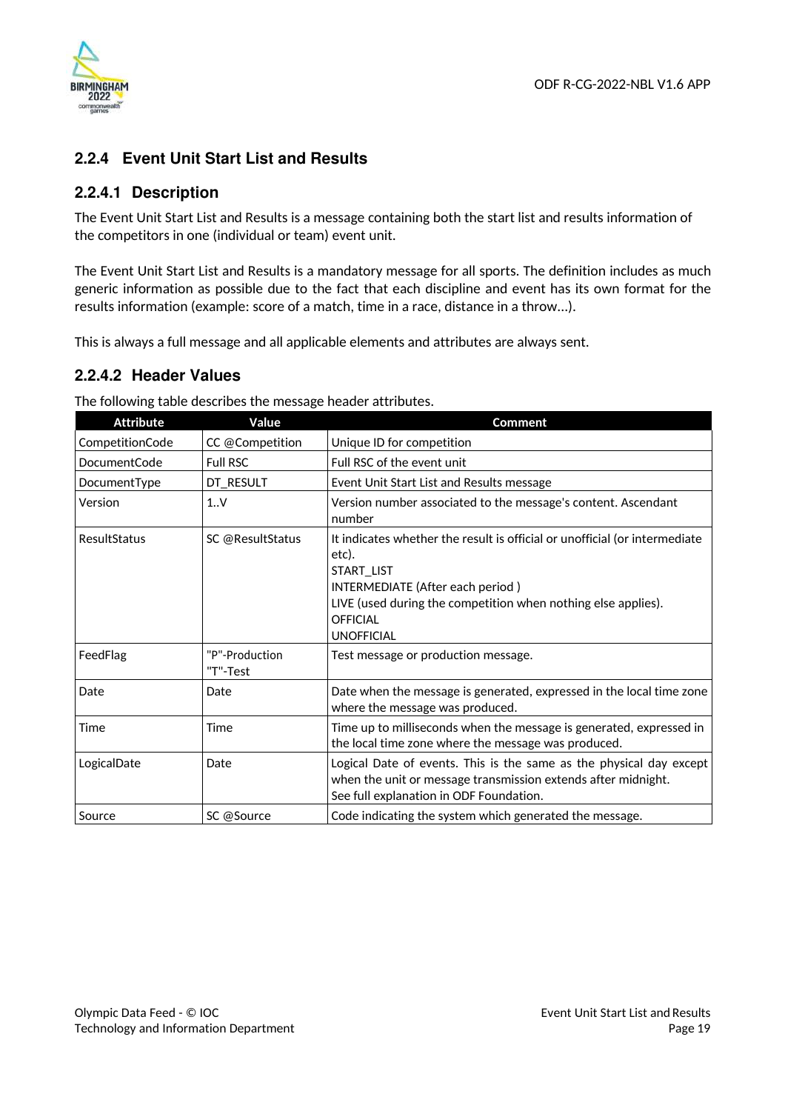

# **2.2.4 Event Unit Start List and Results**

### **2.2.4.1 Description**

The Event Unit Start List and Results is a message containing both the start list and results information of the competitors in one (individual or team) event unit.

The Event Unit Start List and Results is a mandatory message for all sports. The definition includes as much generic information as possible due to the fact that each discipline and event has its own format for the results information (example: score of a match, time in a race, distance in a throw...).

This is always a full message and all applicable elements and attributes are always sent.

## **2.2.4.2 Header Values**

The following table describes the message header attributes.

| <b>Attribute</b> | Value                      | <b>Comment</b>                                                                                                                                                                                                                                 |
|------------------|----------------------------|------------------------------------------------------------------------------------------------------------------------------------------------------------------------------------------------------------------------------------------------|
| CompetitionCode  | CC @Competition            | Unique ID for competition                                                                                                                                                                                                                      |
| DocumentCode     | <b>Full RSC</b>            | Full RSC of the event unit                                                                                                                                                                                                                     |
| DocumentType     | DT_RESULT                  | Event Unit Start List and Results message                                                                                                                                                                                                      |
| Version          | 1.0V                       | Version number associated to the message's content. Ascendant<br>number                                                                                                                                                                        |
| ResultStatus     | SC @ResultStatus           | It indicates whether the result is official or unofficial (or intermediate<br>etc).<br>START_LIST<br>INTERMEDIATE (After each period)<br>LIVE (used during the competition when nothing else applies).<br><b>OFFICIAL</b><br><b>UNOFFICIAL</b> |
| FeedFlag         | "P"-Production<br>"T"-Test | Test message or production message.                                                                                                                                                                                                            |
| Date             | Date                       | Date when the message is generated, expressed in the local time zone<br>where the message was produced.                                                                                                                                        |
| Time             | Time                       | Time up to milliseconds when the message is generated, expressed in<br>the local time zone where the message was produced.                                                                                                                     |
| LogicalDate      | Date                       | Logical Date of events. This is the same as the physical day except<br>when the unit or message transmission extends after midnight.<br>See full explanation in ODF Foundation.                                                                |
| Source           | SC @Source                 | Code indicating the system which generated the message.                                                                                                                                                                                        |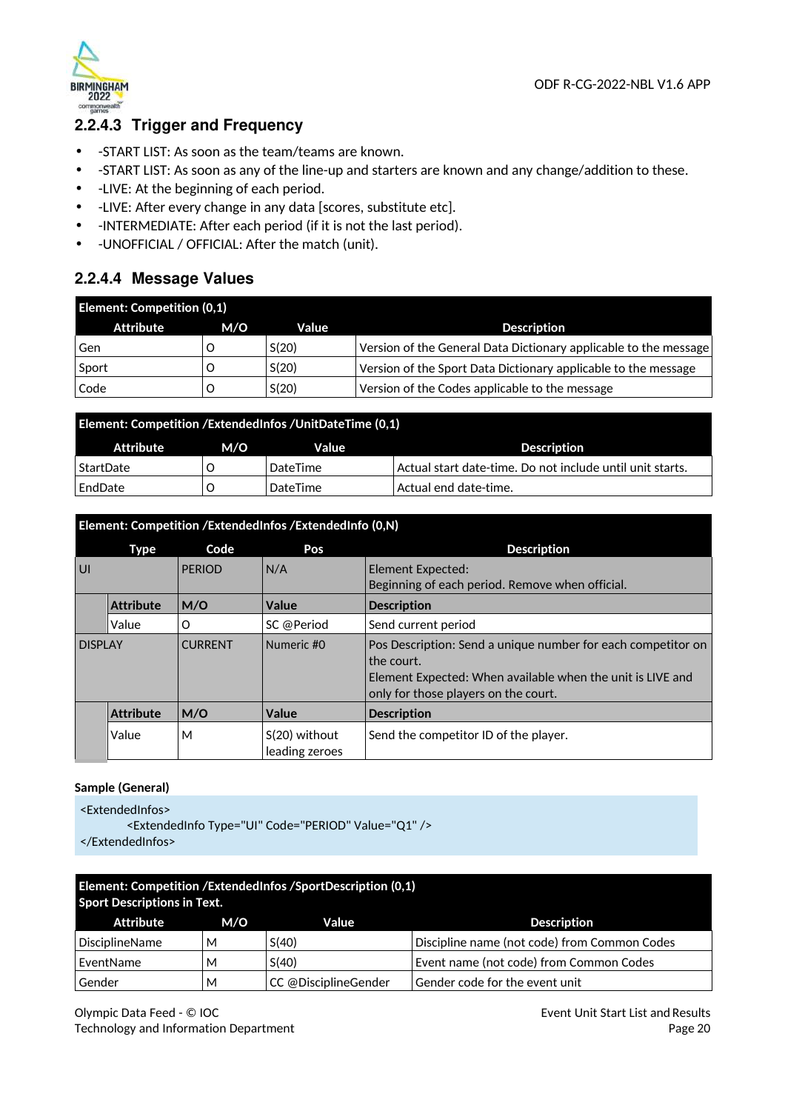



# **2.2.4.3 Trigger and Frequency**

- -START LIST: As soon as the team/teams are known.
- -START LIST: As soon as any of the line-up and starters are known and any change/addition to these.
- -LIVE: At the beginning of each period.
- -LIVE: After every change in any data [scores, substitute etc].
- -INTERMEDIATE: After each period (if it is not the last period).
- -UNOFFICIAL / OFFICIAL: After the match (unit).

### **2.2.4.4 Message Values**

| <b>Element: Competition (0,1)</b> |     |       |                                                                  |  |
|-----------------------------------|-----|-------|------------------------------------------------------------------|--|
| Attribute                         | M/O | Value | <b>Description</b>                                               |  |
| Gen                               |     | S(20) | Version of the General Data Dictionary applicable to the message |  |
| Sport                             |     | S(20) | Version of the Sport Data Dictionary applicable to the message   |  |
| Code                              |     | S(20) | Version of the Codes applicable to the message                   |  |

| <b>Element: Competition /ExtendedInfos / UnitDateTime (0,1)</b> |     |                 |                                                           |  |
|-----------------------------------------------------------------|-----|-----------------|-----------------------------------------------------------|--|
| Attribute                                                       | M/O | Value           | <b>Description</b>                                        |  |
| StartDate                                                       |     | DateTime        | Actual start date-time. Do not include until unit starts. |  |
| EndDate                                                         |     | <b>DateTime</b> | Actual end date-time.                                     |  |

|                | Element: Competition /ExtendedInfos /ExtendedInfo (0,N) |                |                                   |                                                                                                                                                                                  |  |  |
|----------------|---------------------------------------------------------|----------------|-----------------------------------|----------------------------------------------------------------------------------------------------------------------------------------------------------------------------------|--|--|
|                | Type                                                    | Code           | Pos                               | <b>Description</b>                                                                                                                                                               |  |  |
| UI             |                                                         | <b>PERIOD</b>  | N/A                               | Element Expected:<br>Beginning of each period. Remove when official.                                                                                                             |  |  |
|                | <b>Attribute</b>                                        | M/O            | Value                             | <b>Description</b>                                                                                                                                                               |  |  |
|                | Value                                                   | O              | SC @Period                        | Send current period                                                                                                                                                              |  |  |
| <b>DISPLAY</b> |                                                         | <b>CURRENT</b> | Numeric #0                        | Pos Description: Send a unique number for each competitor on<br>the court.<br>Element Expected: When available when the unit is LIVE and<br>only for those players on the court. |  |  |
|                | <b>Attribute</b>                                        | M/O            | Value                             | <b>Description</b>                                                                                                                                                               |  |  |
|                | Value                                                   | М              | $S(20)$ without<br>leading zeroes | Send the competitor ID of the player.                                                                                                                                            |  |  |

### **Sample (General)**

<ExtendedInfos>

<ExtendedInfo Type="UI" Code="PERIOD" Value="Q1" /> </ExtendedInfos>

| Element: Competition /ExtendedInfos /SportDescription (0,1)<br><b>Sport Descriptions in Text.</b> |     |                      |                                              |  |  |
|---------------------------------------------------------------------------------------------------|-----|----------------------|----------------------------------------------|--|--|
| Attribute                                                                                         | M/O | Value                | <b>Description</b>                           |  |  |
| <b>DisciplineName</b>                                                                             | м   | S(40)                | Discipline name (not code) from Common Codes |  |  |
| EventName                                                                                         | М   | S(40)                | Event name (not code) from Common Codes      |  |  |
| Gender                                                                                            | м   | CC @DisciplineGender | Gender code for the event unit               |  |  |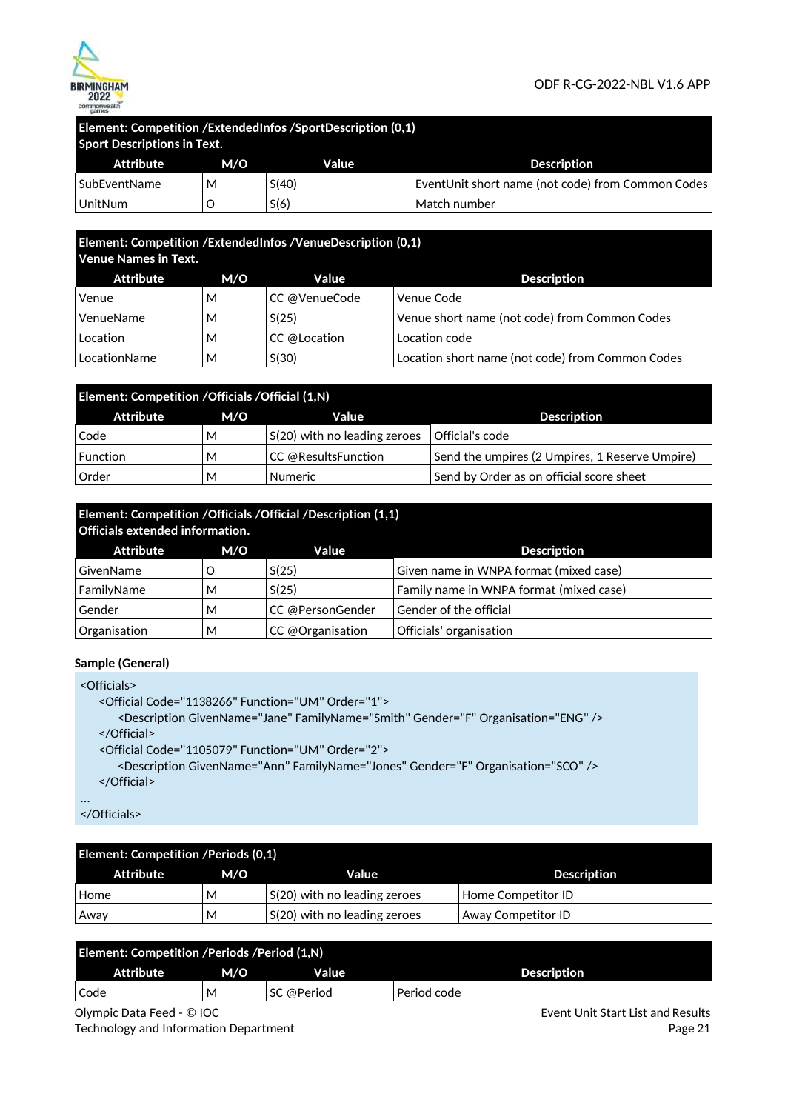

# **Element: Competition /ExtendedInfos /SportDescription (0,1)**

| <b>Sport Descriptions in Text.</b> |     |       |                                                   |  |
|------------------------------------|-----|-------|---------------------------------------------------|--|
| Attribute                          | M/O | Value | <b>Description</b>                                |  |
| l SubEventName                     | м   | S(40) | EventUnit short name (not code) from Common Codes |  |
| UnitNum                            |     | S(6)  | Match number                                      |  |

# **Element: Competition /ExtendedInfos /VenueDescription (0,1)**

| <b>Venue Names in Text.</b> |     |               |                                                  |  |
|-----------------------------|-----|---------------|--------------------------------------------------|--|
| Attribute                   | M/O | Value         | <b>Description</b>                               |  |
| Venue                       | м   | CC @VenueCode | Venue Code                                       |  |
| VenueName                   | м   | S(25)         | Venue short name (not code) from Common Codes    |  |
| Location                    | м   | CC @Location  | Location code                                    |  |
| LocationName                | м   | S(30)         | Location short name (not code) from Common Codes |  |

| Element: Competition / Officials / Official (1,N) |     |                                         |                                                |  |  |
|---------------------------------------------------|-----|-----------------------------------------|------------------------------------------------|--|--|
| Attribute                                         | M/O | Value                                   | <b>Description</b>                             |  |  |
| Code                                              | м   | $\mathsf{S}(20)$ with no leading zeroes | Official's code                                |  |  |
| $\sf{Function}$                                   | M   | CC @ResultsFunction                     | Send the umpires (2 Umpires, 1 Reserve Umpire) |  |  |
| Order                                             | м   | <b>Numeric</b>                          | Send by Order as on official score sheet       |  |  |

# **Element: Competition /Officials /Official /Description (1,1)**

| <b>Officials extended information.</b> |     |                  |                                         |  |  |
|----------------------------------------|-----|------------------|-----------------------------------------|--|--|
| Attribute                              | M/O | Value            | <b>Description</b>                      |  |  |
| GivenName                              |     | S(25)            | Given name in WNPA format (mixed case)  |  |  |
| FamilyName                             | м   | S(25)            | Family name in WNPA format (mixed case) |  |  |
| Gender                                 | M   | CC @PersonGender | Gender of the official                  |  |  |
| Organisation                           | M   | CC @Organisation | Officials' organisation                 |  |  |

### **Sample (General)**

```
<Officials> 
   <Official Code="1138266" Function="UM" Order="1"> 
      <Description GivenName="Jane" FamilyName="Smith" Gender="F" Organisation="ENG" /> 
   </Official> 
   <Official Code="1105079" Function="UM" Order="2"> 
      <Description GivenName="Ann" FamilyName="Jones" Gender="F" Organisation="SCO" /> 
   </Official>
```
...

</Officials>

| <b>Element: Competition / Periods (0,1)</b> |     |                              |                           |  |  |
|---------------------------------------------|-----|------------------------------|---------------------------|--|--|
| Attribute                                   | M/O | <b>Value</b>                 | <b>Description</b>        |  |  |
| Home                                        | М   | S(20) with no leading zeroes | Home Competitor ID        |  |  |
| Away                                        | м   | S(20) with no leading zeroes | <b>Away Competitor ID</b> |  |  |

| <b>Element: Competition /Periods /Period (1,N)</b> |     |            |                    |  |
|----------------------------------------------------|-----|------------|--------------------|--|
| <b>Attribute</b>                                   | M/O | Value      | <b>Description</b> |  |
| Code                                               | M   | SC @Period | Period code        |  |

Olympic Data Feed - © IOC Technology and Information Department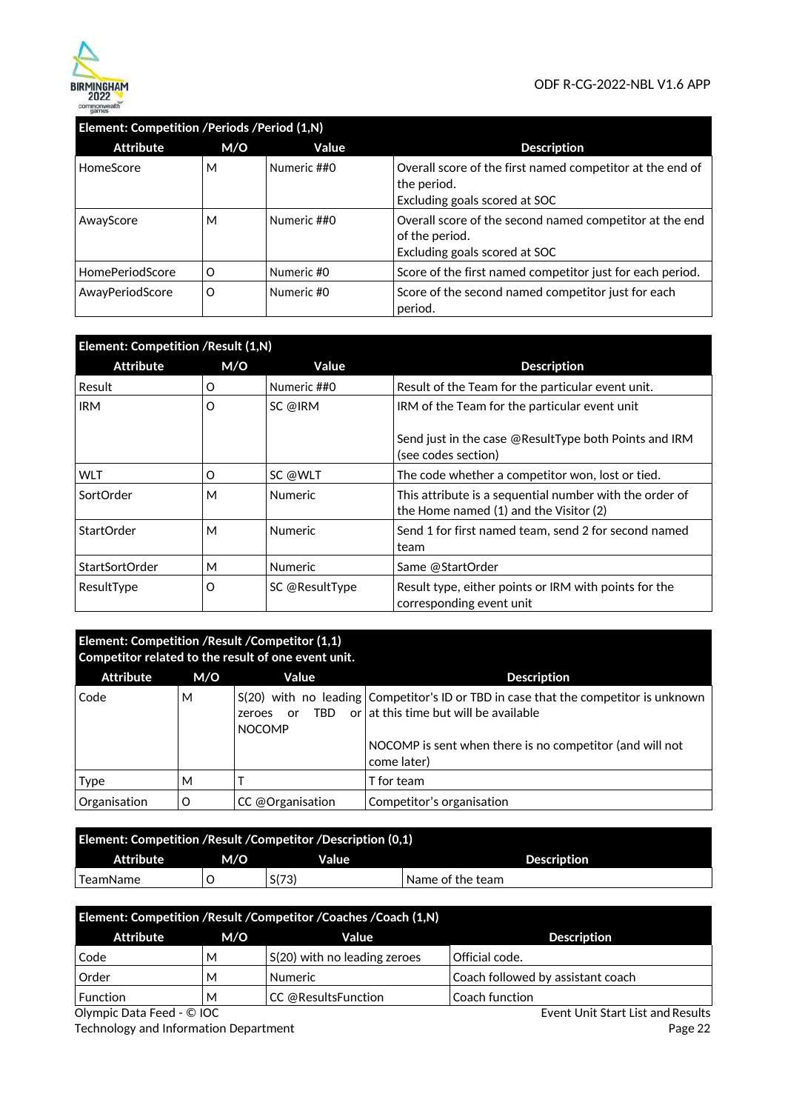

|                        | Element: Competition /Periods /Period (1,N) |             |                                                                                                            |  |  |
|------------------------|---------------------------------------------|-------------|------------------------------------------------------------------------------------------------------------|--|--|
| <b>Attribute</b>       | M/O                                         | Value       | <b>Description</b>                                                                                         |  |  |
| HomeScore              | М                                           | Numeric ##0 | Overall score of the first named competitor at the end of<br>the period.<br>Excluding goals scored at SOC  |  |  |
| AwayScore              | М                                           | Numeric ##0 | Overall score of the second named competitor at the end<br>of the period.<br>Excluding goals scored at SOC |  |  |
| <b>HomePeriodScore</b> | Ω                                           | Numeric #0  | Score of the first named competitor just for each period.                                                  |  |  |
| AwayPeriodScore        | O                                           | Numeric #0  | Score of the second named competitor just for each<br>period.                                              |  |  |

| Element: Competition / Result (1, N) |     |                |                                                                                                   |  |
|--------------------------------------|-----|----------------|---------------------------------------------------------------------------------------------------|--|
| <b>Attribute</b>                     | M/O | Value          | <b>Description</b>                                                                                |  |
| Result                               | O   | Numeric ##0    | Result of the Team for the particular event unit.                                                 |  |
| <b>IRM</b>                           | O   | SC @IRM        | IRM of the Team for the particular event unit                                                     |  |
|                                      |     |                | Send just in the case @ResultType both Points and IRM<br>(see codes section)                      |  |
| <b>WLT</b>                           | O   | SC @WLT        | The code whether a competitor won, lost or tied.                                                  |  |
| SortOrder                            | М   | <b>Numeric</b> | This attribute is a sequential number with the order of<br>the Home named (1) and the Visitor (2) |  |
| StartOrder                           | М   | <b>Numeric</b> | Send 1 for first named team, send 2 for second named<br>team                                      |  |
| <b>StartSortOrder</b>                | М   | <b>Numeric</b> | Same @StartOrder                                                                                  |  |
| ResultType                           | O   | SC @ResultType | Result type, either points or IRM with points for the<br>corresponding event unit                 |  |

### **Element: Competition /Result /Competitor (1,1) Competitor related to the result of one event unit.**

| <b>Attribute</b> | M/O | Value                                 | <b>Description</b>                                                                                                             |
|------------------|-----|---------------------------------------|--------------------------------------------------------------------------------------------------------------------------------|
| Code             | М   | TRD.<br>or<br>zeroes<br><b>NOCOMP</b> | $S(20)$ with no leading Competitor's ID or TBD in case that the competitor is unknown<br>or at this time but will be available |
|                  |     |                                       | NOCOMP is sent when there is no competitor (and will not<br>come later)                                                        |
| Type             | M   |                                       | T for team                                                                                                                     |
| Organisation     | O   | CC @Organisation                      | Competitor's organisation                                                                                                      |

| Element: Competition / Result / Competitor / Description (0.1) |     |       |                    |  |
|----------------------------------------------------------------|-----|-------|--------------------|--|
| Attribute                                                      | M/O | Value | <b>Description</b> |  |
| ' TeamName                                                     |     | S(73) | Name of the team   |  |

| Element: Competition /Result /Competitor /Coaches /Coach (1,N) |     |                              |                                   |  |
|----------------------------------------------------------------|-----|------------------------------|-----------------------------------|--|
| Attribute                                                      | M/O | Value                        | <b>Description</b>                |  |
| Code                                                           | М   | S(20) with no leading zeroes | Official code.                    |  |
| Order                                                          | м   | <b>Numeric</b>               | Coach followed by assistant coach |  |
| <b>Function</b><br>_ _ _ _ _ _                                 | м   | CC @ResultsFunction          | Coach function                    |  |

Olympic Data Feed - © IOC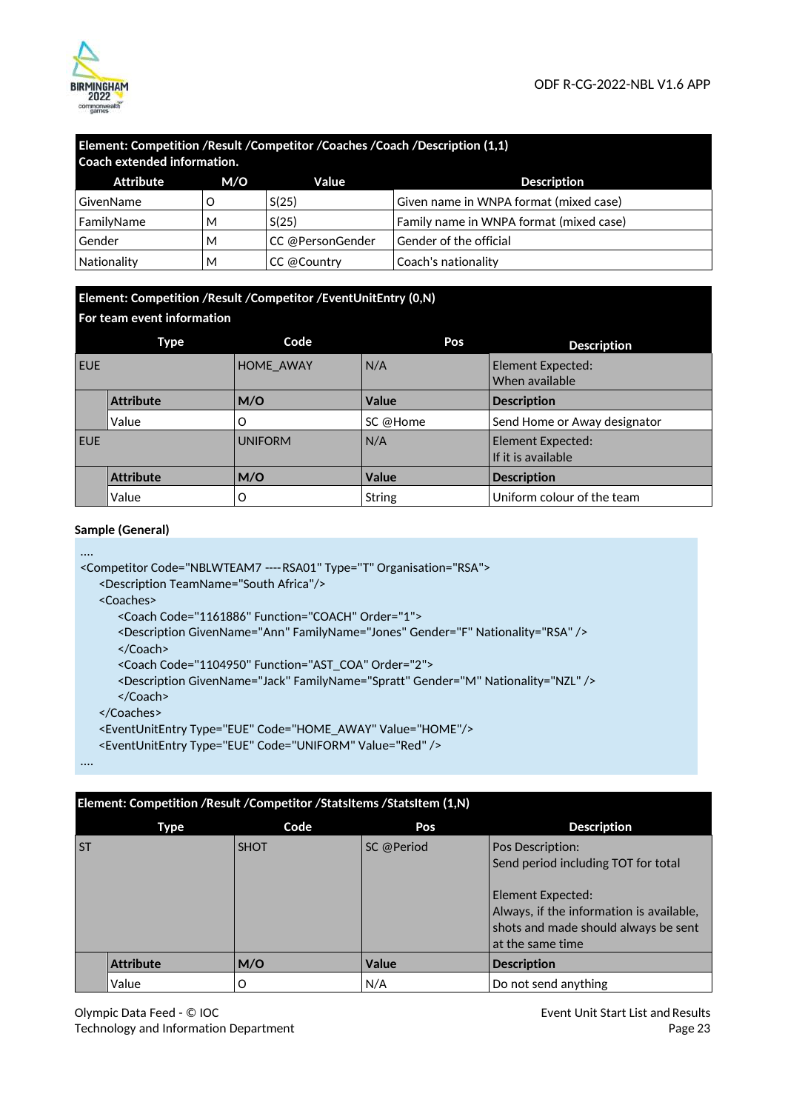

| Element: Competition /Result /Competitor /Coaches /Coach /Description (1,1)<br><b>Coach extended information.</b> |     |                  |                                         |  |
|-------------------------------------------------------------------------------------------------------------------|-----|------------------|-----------------------------------------|--|
| Attribute                                                                                                         | M/O | Value            | <b>Description</b>                      |  |
| GivenName                                                                                                         |     | S(25)            | Given name in WNPA format (mixed case)  |  |
| FamilyName                                                                                                        | м   | S(25)            | Family name in WNPA format (mixed case) |  |
| Gender                                                                                                            | м   | CC @PersonGender | Gender of the official                  |  |
| <b>Nationality</b>                                                                                                | М   | CC @Country      | Coach's nationality                     |  |

### **Element: Competition /Result /Competitor /EventUnitEntry (0,N) For team event information**

|            | Type             | Code             | Pos           | <b>Description</b>                      |  |  |
|------------|------------------|------------------|---------------|-----------------------------------------|--|--|
| <b>EUE</b> |                  | <b>HOME AWAY</b> | N/A           | Element Expected:<br>When available     |  |  |
|            | <b>Attribute</b> | M/O              | <b>Value</b>  | <b>Description</b>                      |  |  |
|            | Value            | O                | SC @Home      | Send Home or Away designator            |  |  |
| <b>EUE</b> |                  | <b>UNIFORM</b>   | N/A           | Element Expected:<br>If it is available |  |  |
|            | <b>Attribute</b> | M/O              | Value         | <b>Description</b>                      |  |  |
|            | Value            | O                | <b>String</b> | Uniform colour of the team              |  |  |

#### **Sample (General)**

```
.... 
<Competitor Code="NBLWTEAM7 ---- RSA01" Type="T" Organisation="RSA"> 
   <Description TeamName="South Africa"/> 
   <Coaches> 
      <Coach Code="1161886" Function="COACH" Order="1"> 
      <Description GivenName="Ann" FamilyName="Jones" Gender="F" Nationality="RSA" /> 
      </Coach> 
      <Coach Code="1104950" Function="AST_COA" Order="2">
      <Description GivenName="Jack" FamilyName="Spratt" Gender="M" Nationality="NZL" /> 
      </Coach>
```
</Coaches>

```
<EventUnitEntry Type="EUE" Code="HOME_AWAY" Value="HOME"/>
```

```
<EventUnitEntry Type="EUE" Code="UNIFORM" Value="Red" />
```
....

|           | Element: Competition / Result / Competitor / StatsItems / StatsItem (1,N) |             |              |                                                                                                                                                                                             |  |
|-----------|---------------------------------------------------------------------------|-------------|--------------|---------------------------------------------------------------------------------------------------------------------------------------------------------------------------------------------|--|
| Type      |                                                                           | Code        | Pos          | <b>Description</b>                                                                                                                                                                          |  |
| <b>ST</b> |                                                                           | <b>SHOT</b> | SC @Period   | <b>Pos Description:</b><br>Send period including TOT for total<br>Element Expected:<br>Always, if the information is available,<br>shots and made should always be sent<br>at the same time |  |
|           | <b>Attribute</b>                                                          | M/O         | <b>Value</b> | <b>Description</b>                                                                                                                                                                          |  |
|           | Value                                                                     | O           | N/A          | Do not send anything                                                                                                                                                                        |  |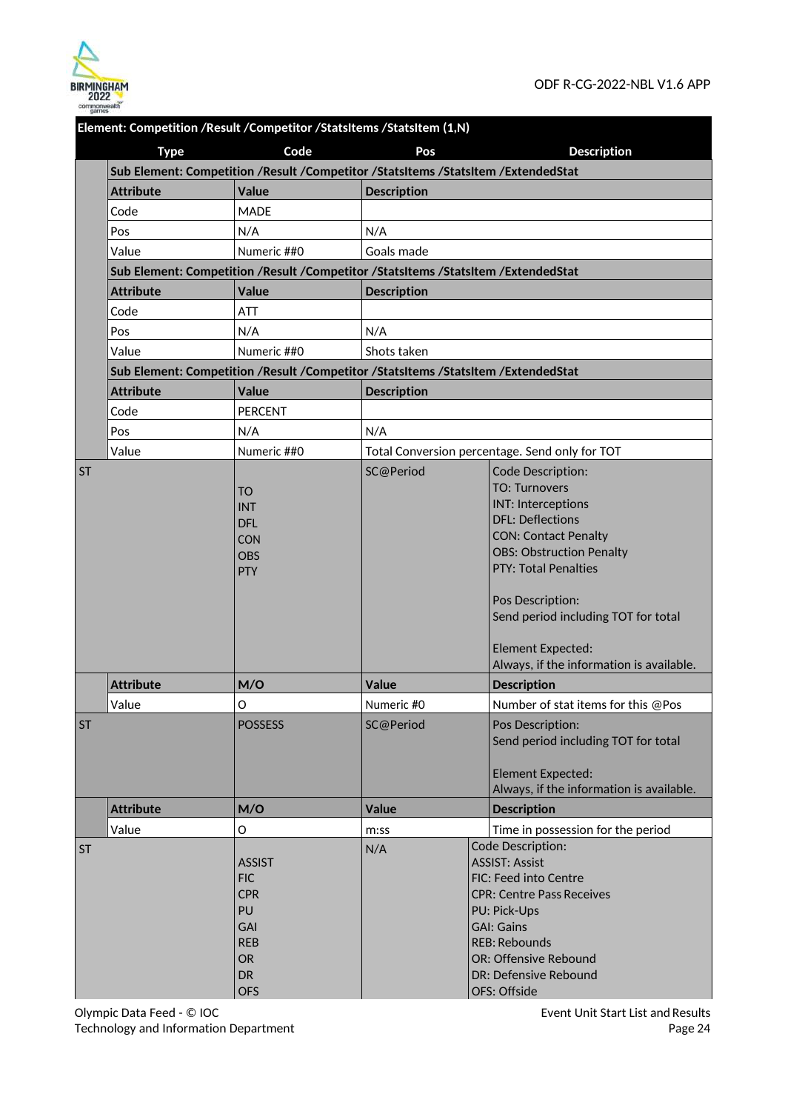

|           | Element: Competition /Result /Competitor /StatsItems /StatsItem (1,N) |                                                                                                              |                    |                                                                                                                                                                                                                                        |  |  |
|-----------|-----------------------------------------------------------------------|--------------------------------------------------------------------------------------------------------------|--------------------|----------------------------------------------------------------------------------------------------------------------------------------------------------------------------------------------------------------------------------------|--|--|
|           | <b>Type</b>                                                           | Code                                                                                                         | Pos                | <b>Description</b>                                                                                                                                                                                                                     |  |  |
|           |                                                                       | Sub Element: Competition /Result /Competitor /StatsItems /StatsItem /ExtendedStat                            |                    |                                                                                                                                                                                                                                        |  |  |
|           | <b>Attribute</b>                                                      | Value                                                                                                        | <b>Description</b> |                                                                                                                                                                                                                                        |  |  |
|           | Code                                                                  | <b>MADE</b>                                                                                                  |                    |                                                                                                                                                                                                                                        |  |  |
|           | Pos                                                                   | N/A                                                                                                          | N/A                |                                                                                                                                                                                                                                        |  |  |
|           | Value                                                                 | Numeric ##0                                                                                                  | Goals made         |                                                                                                                                                                                                                                        |  |  |
|           |                                                                       | Sub Element: Competition /Result /Competitor /StatsItems /StatsItem /ExtendedStat                            |                    |                                                                                                                                                                                                                                        |  |  |
|           | <b>Attribute</b>                                                      | <b>Value</b>                                                                                                 | <b>Description</b> |                                                                                                                                                                                                                                        |  |  |
|           | Code                                                                  | ATT                                                                                                          |                    |                                                                                                                                                                                                                                        |  |  |
|           | Pos                                                                   | N/A                                                                                                          | N/A                |                                                                                                                                                                                                                                        |  |  |
|           | Value                                                                 | Numeric ##0                                                                                                  | Shots taken        |                                                                                                                                                                                                                                        |  |  |
|           |                                                                       | Sub Element: Competition /Result /Competitor /StatsItems /StatsItem /ExtendedStat                            |                    |                                                                                                                                                                                                                                        |  |  |
|           | <b>Attribute</b>                                                      | <b>Value</b>                                                                                                 | <b>Description</b> |                                                                                                                                                                                                                                        |  |  |
|           | Code                                                                  | <b>PERCENT</b>                                                                                               |                    |                                                                                                                                                                                                                                        |  |  |
|           | Pos                                                                   | N/A                                                                                                          | N/A                |                                                                                                                                                                                                                                        |  |  |
|           | Value                                                                 | Numeric ##0                                                                                                  |                    | Total Conversion percentage. Send only for TOT                                                                                                                                                                                         |  |  |
| <b>ST</b> |                                                                       | <b>TO</b><br><b>INT</b><br><b>DFL</b><br><b>CON</b><br><b>OBS</b><br><b>PTY</b>                              | SC@Period          | <b>Code Description:</b><br><b>TO: Turnovers</b><br><b>INT: Interceptions</b><br><b>DFL: Deflections</b><br><b>CON: Contact Penalty</b><br><b>OBS: Obstruction Penalty</b><br><b>PTY: Total Penalties</b><br>Pos Description:          |  |  |
|           |                                                                       |                                                                                                              |                    | Send period including TOT for total<br><b>Element Expected:</b><br>Always, if the information is available.                                                                                                                            |  |  |
|           | <b>Attribute</b>                                                      | M/O                                                                                                          | <b>Value</b>       | <b>Description</b>                                                                                                                                                                                                                     |  |  |
|           | Value                                                                 | O                                                                                                            | Numeric #0         | Number of stat items for this @Pos                                                                                                                                                                                                     |  |  |
| <b>ST</b> |                                                                       | <b>POSSESS</b>                                                                                               | SC@Period          | Pos Description:<br>Send period including TOT for total<br><b>Element Expected:</b><br>Always, if the information is available.                                                                                                        |  |  |
|           | <b>Attribute</b>                                                      | M/O                                                                                                          | <b>Value</b>       | <b>Description</b>                                                                                                                                                                                                                     |  |  |
|           | Value                                                                 | O                                                                                                            | m:ss               | Time in possession for the period                                                                                                                                                                                                      |  |  |
| <b>ST</b> |                                                                       | <b>ASSIST</b><br><b>FIC</b><br><b>CPR</b><br>PU<br>GAI<br><b>REB</b><br><b>OR</b><br><b>DR</b><br><b>OFS</b> | N/A                | Code Description:<br><b>ASSIST: Assist</b><br>FIC: Feed into Centre<br><b>CPR: Centre Pass Receives</b><br>PU: Pick-Ups<br><b>GAI: Gains</b><br><b>REB: Rebounds</b><br>OR: Offensive Rebound<br>DR: Defensive Rebound<br>OFS: Offside |  |  |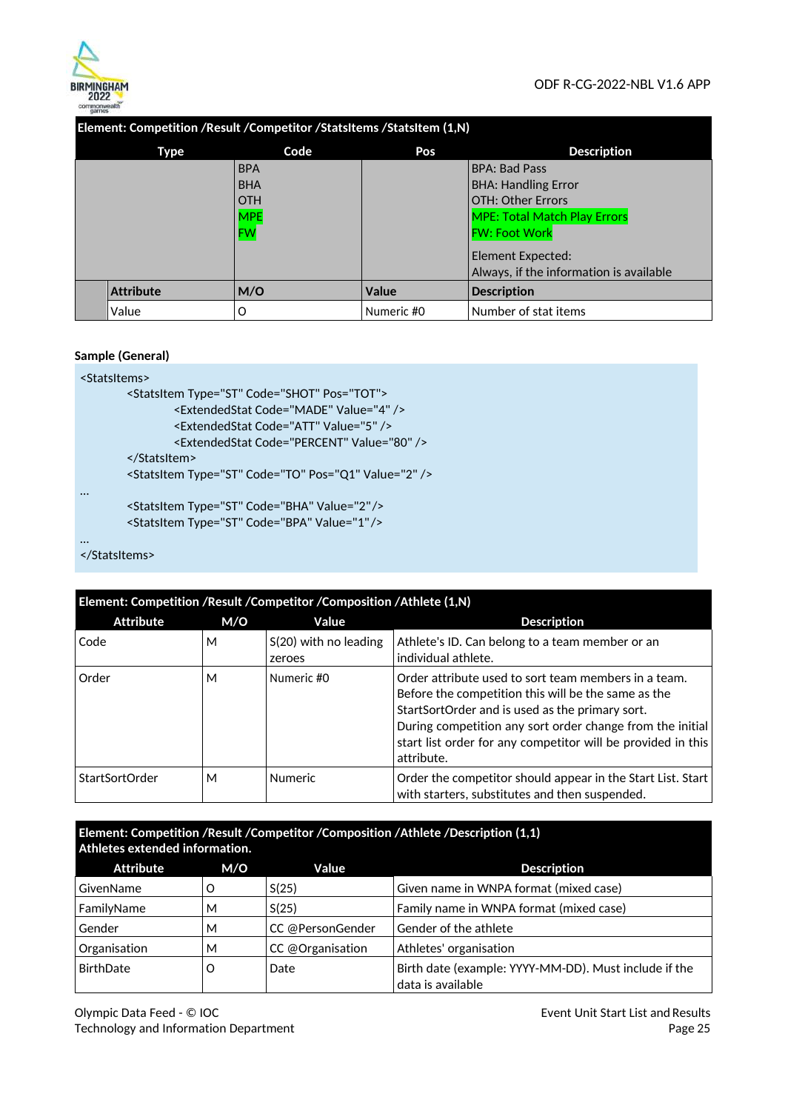

| Element: Competition /Result /Competitor /StatsItems /StatsItem (1.N) |            |              |                                         |
|-----------------------------------------------------------------------|------------|--------------|-----------------------------------------|
| Type                                                                  | Code       | Pos          | <b>Description</b>                      |
|                                                                       | <b>BPA</b> |              | <b>BPA: Bad Pass</b>                    |
|                                                                       | <b>BHA</b> |              | <b>BHA: Handling Error</b>              |
|                                                                       | <b>OTH</b> |              | OTH: Other Errors                       |
|                                                                       | <b>MPE</b> |              | <b>MPE: Total Match Play Errors</b>     |
|                                                                       | FW         |              | <b>FW: Foot Work</b>                    |
|                                                                       |            |              | Element Expected:                       |
|                                                                       |            |              | Always, if the information is available |
| <b>Attribute</b>                                                      | M/O        | <b>Value</b> | <b>Description</b>                      |
| Value                                                                 | O          | Numeric #0   | Number of stat items                    |

#### **Element: Competition /Result /Competitor /StatsItems /StatsItem (1,N)**

#### **Sample (General)**

# <StatsItems>

```
<StatsItem Type="ST" Code="SHOT" Pos="TOT"> 
                <ExtendedStat Code="MADE" Value="4" /> 
                <ExtendedStat Code="ATT" Value="5" /> 
                <ExtendedStat Code="PERCENT" Value="80" /> 
        </StatsItem> 
        <StatsItem Type="ST" Code="TO" Pos="Q1" Value="2" /> 
…
        <StatsItem Type="ST" Code="BHA" Value="2" /> 
        <StatsItem Type="ST" Code="BPA" Value="1" /> 
…
```

```
</StatsItems>
```
#### **Element: Competition /Result /Competitor /Composition /Athlete (1,N) Attribute M/O Value Description**  Code  $\vert M \vert$  S(20) with no leading zeroes Athlete's ID. Can belong to a team member or an individual athlete. Order M Numeric #0 Order attribute used to sort team members in a team. Before the competition this will be the same as the StartSortOrder and is used as the primary sort. During competition any sort order change from the initial start list order for any competitor will be provided in this attribute. StartSortOrder M Numeric **Order the competitor should appear in the Start List. Start** with starters, substitutes and then suspended.

### **Element: Competition /Result /Competitor /Composition /Athlete /Description (1,1) Athletes extended information.**

| <b>Attribute</b> | M/O | Value                                            | <b>Description</b>                                                         |
|------------------|-----|--------------------------------------------------|----------------------------------------------------------------------------|
| GivenName        |     | S(25)                                            | Given name in WNPA format (mixed case)                                     |
| FamilyName       | M   | S(25)<br>Family name in WNPA format (mixed case) |                                                                            |
| Gender           | M   | CC @PersonGender                                 | Gender of the athlete                                                      |
| Organisation     | М   | CC @Organisation                                 | Athletes' organisation                                                     |
| BirthDate        | O   | Date                                             | Birth date (example: YYYY-MM-DD). Must include if the<br>data is available |

Olympic Data Feed - © IOC Technology and Information Department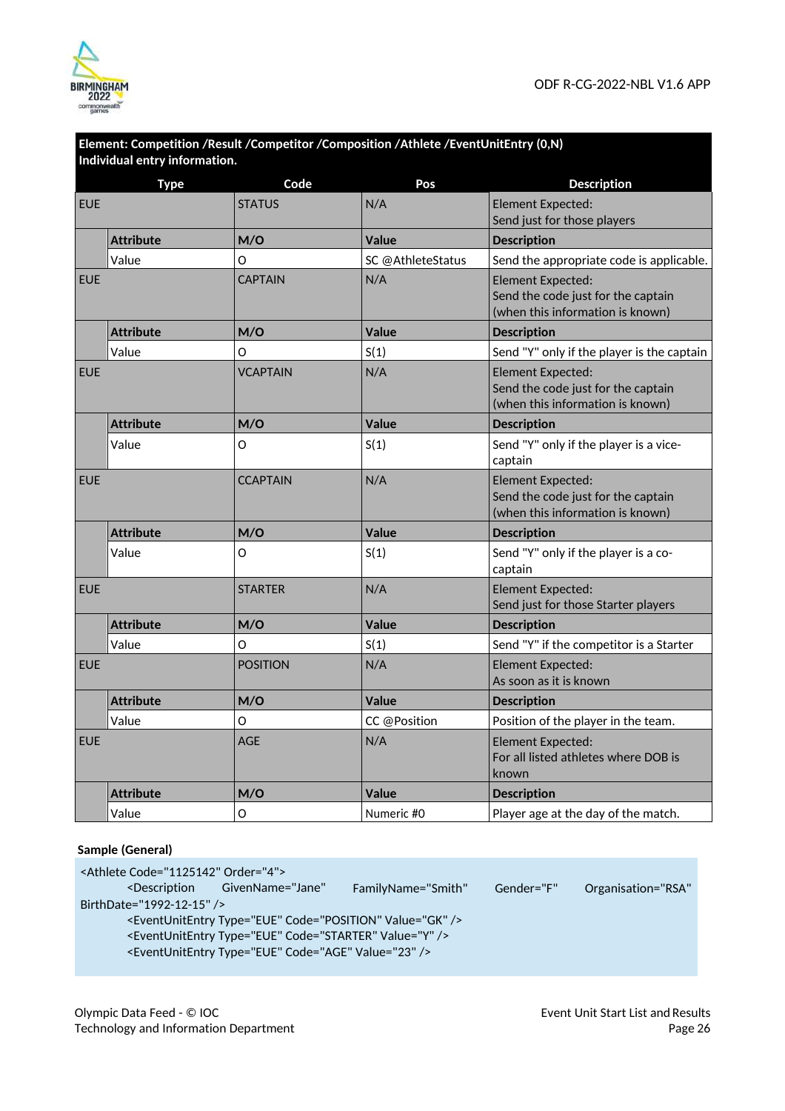

|            | Individual entry information. |                 | Element: Competition /Result /Competitor /Composition /Athlete /EventUnitEntry (0,N) |                                                                                                    |  |
|------------|-------------------------------|-----------------|--------------------------------------------------------------------------------------|----------------------------------------------------------------------------------------------------|--|
|            | <b>Type</b>                   | Code            | Pos                                                                                  | <b>Description</b>                                                                                 |  |
| <b>EUE</b> |                               | <b>STATUS</b>   | N/A                                                                                  | Element Expected:<br>Send just for those players                                                   |  |
|            | <b>Attribute</b>              | M/O             | <b>Value</b>                                                                         | <b>Description</b>                                                                                 |  |
|            | Value                         | O               | SC @AthleteStatus                                                                    | Send the appropriate code is applicable.                                                           |  |
| <b>EUE</b> |                               | <b>CAPTAIN</b>  | N/A                                                                                  | Element Expected:<br>Send the code just for the captain<br>(when this information is known)        |  |
|            | <b>Attribute</b>              | M/O             | Value                                                                                | <b>Description</b>                                                                                 |  |
|            | Value                         | O               | S(1)                                                                                 | Send "Y" only if the player is the captain                                                         |  |
| <b>EUE</b> |                               | <b>VCAPTAIN</b> | N/A                                                                                  | <b>Element Expected:</b><br>Send the code just for the captain<br>(when this information is known) |  |
|            | <b>Attribute</b>              | M/O             | <b>Value</b>                                                                         | <b>Description</b>                                                                                 |  |
|            | Value                         | O               | S(1)                                                                                 | Send "Y" only if the player is a vice-<br>captain                                                  |  |
| <b>EUE</b> |                               | <b>CCAPTAIN</b> | N/A                                                                                  | Element Expected:<br>Send the code just for the captain<br>(when this information is known)        |  |
|            | <b>Attribute</b>              | M/O             | <b>Value</b>                                                                         | <b>Description</b>                                                                                 |  |
|            | Value                         | O               | S(1)                                                                                 | Send "Y" only if the player is a co-<br>captain                                                    |  |
| <b>EUE</b> |                               | <b>STARTER</b>  | N/A                                                                                  | Element Expected:<br>Send just for those Starter players                                           |  |
|            | <b>Attribute</b>              | M/O             | Value                                                                                | <b>Description</b>                                                                                 |  |
|            | Value                         | $\circ$         | S(1)                                                                                 | Send "Y" if the competitor is a Starter                                                            |  |
| <b>EUE</b> |                               | <b>POSITION</b> | N/A                                                                                  | <b>Element Expected:</b><br>As soon as it is known                                                 |  |
|            | <b>Attribute</b>              | M/O             | <b>Value</b>                                                                         | <b>Description</b>                                                                                 |  |
|            | Value                         | O               | CC @Position                                                                         | Position of the player in the team.                                                                |  |
| <b>EUE</b> |                               | <b>AGE</b>      | N/A                                                                                  | <b>Element Expected:</b><br>For all listed athletes where DOB is<br>known                          |  |
|            | <b>Attribute</b>              | M/O             | <b>Value</b>                                                                         | <b>Description</b>                                                                                 |  |
|            | Value                         | O               | Numeric #0                                                                           | Player age at the day of the match.                                                                |  |

# **Sample (General)**

| <athlete code="1125142" order="4"></athlete> |                                                                                                                                  |                    |            |                    |
|----------------------------------------------|----------------------------------------------------------------------------------------------------------------------------------|--------------------|------------|--------------------|
|                                              | <description <="" givenname="Jane" td=""><td>FamilyName="Smith"</td><td>Gender="F"</td><td>Organisation="RSA"</td></description> | FamilyName="Smith" | Gender="F" | Organisation="RSA" |
| BirthDate="1992-12-15" />                    |                                                                                                                                  |                    |            |                    |
|                                              | <eventunitentry code="POSITION" type="EUE" value="GK"></eventunitentry>                                                          |                    |            |                    |
|                                              | <eventunitentry code="STARTER" type="EUE" value="Y"></eventunitentry>                                                            |                    |            |                    |
|                                              | <eventunitentry code="AGE" type="EUE" value="23"></eventunitentry>                                                               |                    |            |                    |
|                                              |                                                                                                                                  |                    |            |                    |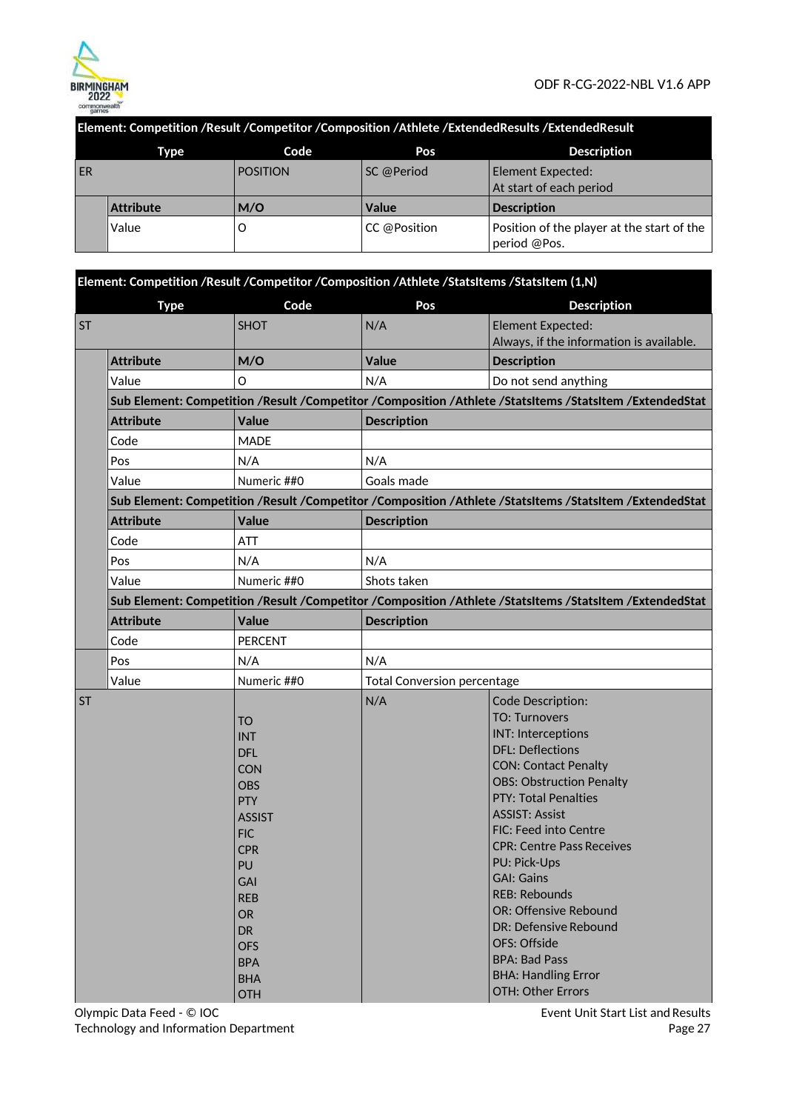

### **Element: Competition /Result /Competitor /Composition /Athlete /ExtendedResults /ExtendedResult**

|           | Type             | Code            | Pos          | <b>Description</b>                                         |
|-----------|------------------|-----------------|--------------|------------------------------------------------------------|
| <b>ER</b> |                  | <b>POSITION</b> | SC @Period   | Element Expected:<br>At start of each period               |
|           | <b>Attribute</b> | M/O             | <b>Value</b> | <b>Description</b>                                         |
|           | Value            |                 | CC @Position | Position of the player at the start of the<br>period @Pos. |

|           | Element: Competition /Result /Competitor /Composition /Athlete /StatsItems /StatsItem (1,N)             |                                                                                                                                                                                                                                                  |                                    |                                                                                                                                                                                                                                                                                                                                                                                                                                                                                                           |  |  |  |  |
|-----------|---------------------------------------------------------------------------------------------------------|--------------------------------------------------------------------------------------------------------------------------------------------------------------------------------------------------------------------------------------------------|------------------------------------|-----------------------------------------------------------------------------------------------------------------------------------------------------------------------------------------------------------------------------------------------------------------------------------------------------------------------------------------------------------------------------------------------------------------------------------------------------------------------------------------------------------|--|--|--|--|
|           | <b>Type</b>                                                                                             | Code                                                                                                                                                                                                                                             | Pos                                | <b>Description</b>                                                                                                                                                                                                                                                                                                                                                                                                                                                                                        |  |  |  |  |
| <b>ST</b> |                                                                                                         | <b>SHOT</b>                                                                                                                                                                                                                                      | N/A                                | Element Expected:<br>Always, if the information is available.                                                                                                                                                                                                                                                                                                                                                                                                                                             |  |  |  |  |
|           | <b>Attribute</b>                                                                                        | M/O                                                                                                                                                                                                                                              | <b>Value</b>                       | <b>Description</b>                                                                                                                                                                                                                                                                                                                                                                                                                                                                                        |  |  |  |  |
|           | Value                                                                                                   | O                                                                                                                                                                                                                                                | N/A                                | Do not send anything                                                                                                                                                                                                                                                                                                                                                                                                                                                                                      |  |  |  |  |
|           | Sub Element: Competition /Result /Competitor /Composition /Athlete /StatsItems /StatsItem /ExtendedStat |                                                                                                                                                                                                                                                  |                                    |                                                                                                                                                                                                                                                                                                                                                                                                                                                                                                           |  |  |  |  |
|           | <b>Attribute</b>                                                                                        | Value                                                                                                                                                                                                                                            | <b>Description</b>                 |                                                                                                                                                                                                                                                                                                                                                                                                                                                                                                           |  |  |  |  |
|           | Code                                                                                                    | <b>MADE</b>                                                                                                                                                                                                                                      |                                    |                                                                                                                                                                                                                                                                                                                                                                                                                                                                                                           |  |  |  |  |
|           | Pos                                                                                                     | N/A                                                                                                                                                                                                                                              | N/A                                |                                                                                                                                                                                                                                                                                                                                                                                                                                                                                                           |  |  |  |  |
|           | Value                                                                                                   | Numeric ##0                                                                                                                                                                                                                                      | Goals made                         |                                                                                                                                                                                                                                                                                                                                                                                                                                                                                                           |  |  |  |  |
|           |                                                                                                         |                                                                                                                                                                                                                                                  |                                    | Sub Element: Competition /Result /Competitor /Composition /Athlete /StatsItems /StatsItem /ExtendedStat                                                                                                                                                                                                                                                                                                                                                                                                   |  |  |  |  |
|           | <b>Attribute</b>                                                                                        | <b>Value</b>                                                                                                                                                                                                                                     | <b>Description</b>                 |                                                                                                                                                                                                                                                                                                                                                                                                                                                                                                           |  |  |  |  |
|           | Code                                                                                                    | <b>ATT</b>                                                                                                                                                                                                                                       |                                    |                                                                                                                                                                                                                                                                                                                                                                                                                                                                                                           |  |  |  |  |
|           | Pos                                                                                                     | N/A                                                                                                                                                                                                                                              | N/A                                |                                                                                                                                                                                                                                                                                                                                                                                                                                                                                                           |  |  |  |  |
|           | Value                                                                                                   | Numeric ##0                                                                                                                                                                                                                                      | Shots taken                        |                                                                                                                                                                                                                                                                                                                                                                                                                                                                                                           |  |  |  |  |
|           | Sub Element: Competition /Result /Competitor /Composition /Athlete /StatsItems /StatsItem /ExtendedStat |                                                                                                                                                                                                                                                  |                                    |                                                                                                                                                                                                                                                                                                                                                                                                                                                                                                           |  |  |  |  |
|           | <b>Attribute</b>                                                                                        | <b>Value</b>                                                                                                                                                                                                                                     | <b>Description</b>                 |                                                                                                                                                                                                                                                                                                                                                                                                                                                                                                           |  |  |  |  |
|           | Code                                                                                                    | <b>PERCENT</b>                                                                                                                                                                                                                                   |                                    |                                                                                                                                                                                                                                                                                                                                                                                                                                                                                                           |  |  |  |  |
|           | Pos                                                                                                     | N/A                                                                                                                                                                                                                                              | N/A                                |                                                                                                                                                                                                                                                                                                                                                                                                                                                                                                           |  |  |  |  |
|           | Value                                                                                                   | Numeric ##0                                                                                                                                                                                                                                      | <b>Total Conversion percentage</b> |                                                                                                                                                                                                                                                                                                                                                                                                                                                                                                           |  |  |  |  |
| <b>ST</b> |                                                                                                         | <b>TO</b><br><b>INT</b><br><b>DFL</b><br><b>CON</b><br><b>OBS</b><br><b>PTY</b><br><b>ASSIST</b><br><b>FIC</b><br><b>CPR</b><br>PU<br><b>GAI</b><br><b>REB</b><br><b>OR</b><br><b>DR</b><br><b>OFS</b><br><b>BPA</b><br><b>BHA</b><br><b>OTH</b> | N/A                                | Code Description:<br><b>TO: Turnovers</b><br><b>INT: Interceptions</b><br><b>DFL: Deflections</b><br><b>CON: Contact Penalty</b><br><b>OBS: Obstruction Penalty</b><br><b>PTY: Total Penalties</b><br><b>ASSIST: Assist</b><br>FIC: Feed into Centre<br><b>CPR: Centre Pass Receives</b><br><b>PU: Pick-Ups</b><br><b>GAI: Gains</b><br><b>REB: Rebounds</b><br>OR: Offensive Rebound<br>DR: Defensive Rebound<br>OFS: Offside<br><b>BPA: Bad Pass</b><br><b>BHA: Handling Error</b><br>OTH: Other Errors |  |  |  |  |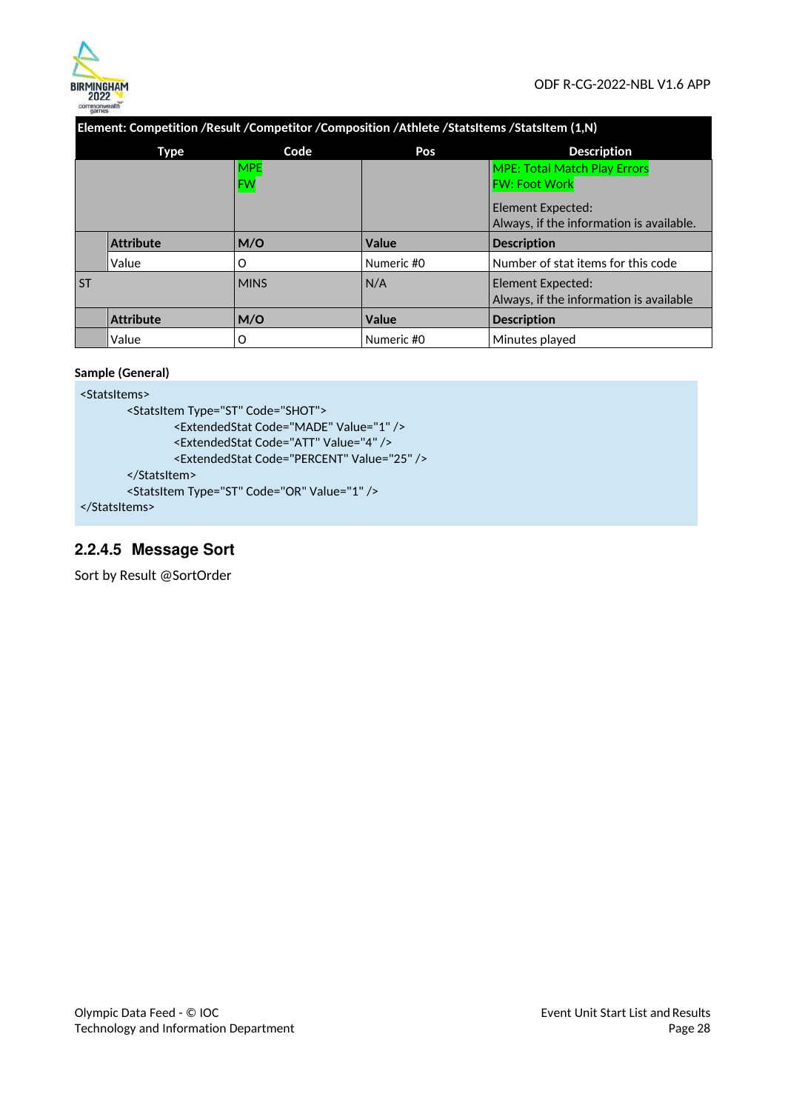

**Element: Competition /Result /Competitor /Composition /Athlete /StatsItems /StatsItem (1,N)** 

|           | <b>Type</b>      | Code        | Pos          | <b>Description</b>                       |
|-----------|------------------|-------------|--------------|------------------------------------------|
|           |                  | <b>MPE</b>  |              | <b>MPE: Total Match Play Errors</b>      |
|           |                  | <b>FW</b>   |              | <b>FW: Foot Work</b>                     |
|           |                  |             |              | Element Expected:                        |
|           |                  |             |              | Always, if the information is available. |
|           | <b>Attribute</b> | M/O         | Value        | <b>Description</b>                       |
|           | Value            | O           | Numeric #0   | Number of stat items for this code       |
| <b>ST</b> |                  | <b>MINS</b> | N/A          | Element Expected:                        |
|           |                  |             |              | Always, if the information is available  |
|           | <b>Attribute</b> | M/O         | <b>Value</b> | <b>Description</b>                       |
|           | Value            | O           | Numeric #0   | Minutes played                           |

### **Sample (General)**

```
<StatsItems> 
       <StatsItem Type="ST" Code="SHOT"> 
                <ExtendedStat Code="MADE" Value="1" /> 
                <ExtendedStat Code="ATT" Value="4" /> 
                <ExtendedStat Code="PERCENT" Value="25" /> 
        </StatsItem> 
        <StatsItem Type="ST" Code="OR" Value="1" />
```
</StatsItems>

# **2.2.4.5 Message Sort**

Sort by Result @SortOrder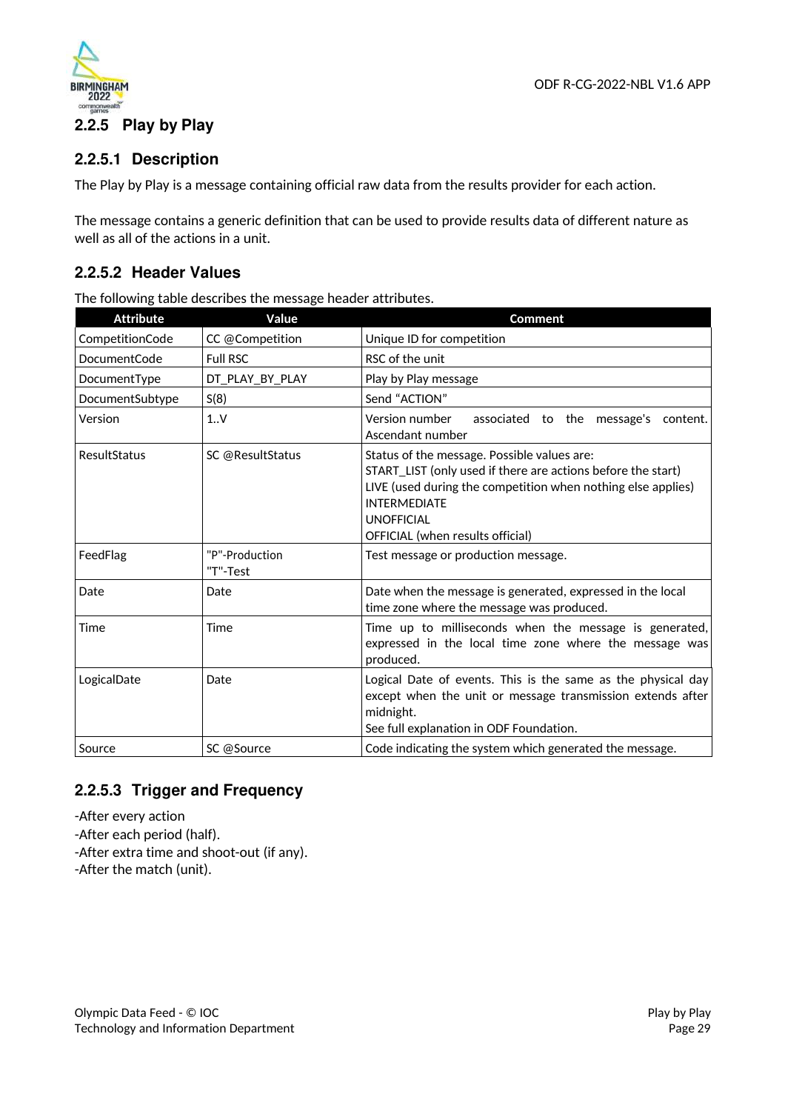



# **2.2.5.1 Description**

The Play by Play is a message containing official raw data from the results provider for each action.

The message contains a generic definition that can be used to provide results data of different nature as well as all of the actions in a unit.

### **2.2.5.2 Header Values**

The following table describes the message header attributes.

| <b>Attribute</b> | Value                      | <b>Comment</b>                                                                                                                                                                                                                                              |
|------------------|----------------------------|-------------------------------------------------------------------------------------------------------------------------------------------------------------------------------------------------------------------------------------------------------------|
| CompetitionCode  | CC @Competition            | Unique ID for competition                                                                                                                                                                                                                                   |
| DocumentCode     | <b>Full RSC</b>            | RSC of the unit                                                                                                                                                                                                                                             |
| DocumentType     | DT_PLAY_BY_PLAY            | Play by Play message                                                                                                                                                                                                                                        |
| DocumentSubtype  | S(8)                       | Send "ACTION"                                                                                                                                                                                                                                               |
| Version          | 1.0V                       | Version number<br>associated to the message's<br>content.<br>Ascendant number                                                                                                                                                                               |
| ResultStatus     | SC @ResultStatus           | Status of the message. Possible values are:<br>START LIST (only used if there are actions before the start)<br>LIVE (used during the competition when nothing else applies)<br><b>INTERMEDIATE</b><br><b>UNOFFICIAL</b><br>OFFICIAL (when results official) |
| FeedFlag         | "P"-Production<br>"T"-Test | Test message or production message.                                                                                                                                                                                                                         |
| Date             | Date                       | Date when the message is generated, expressed in the local<br>time zone where the message was produced.                                                                                                                                                     |
| Time             | Time                       | Time up to milliseconds when the message is generated,<br>expressed in the local time zone where the message was<br>produced.                                                                                                                               |
| LogicalDate      | Date                       | Logical Date of events. This is the same as the physical day<br>except when the unit or message transmission extends after<br>midnight.<br>See full explanation in ODF Foundation.                                                                          |
| Source           | SC @Source                 | Code indicating the system which generated the message.                                                                                                                                                                                                     |

# **2.2.5.3 Trigger and Frequency**

- -After every action
- -After each period (half).
- -After extra time and shoot-out (if any).
- -After the match (unit).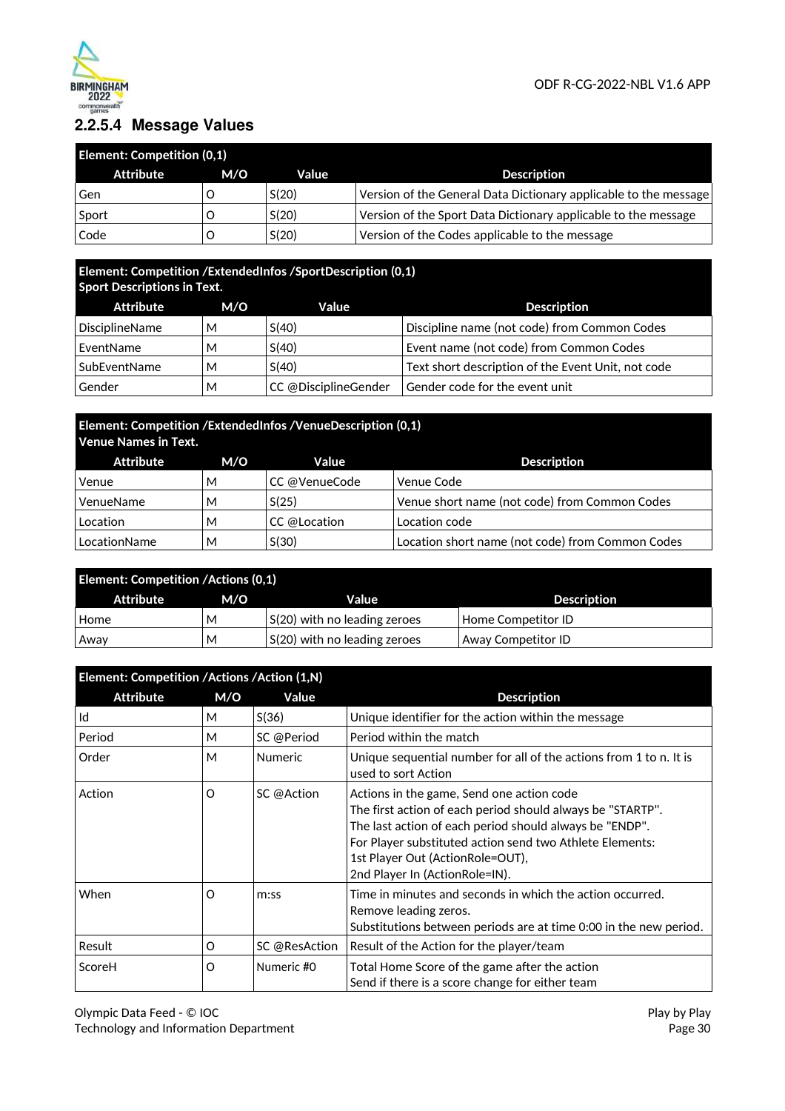

# **2.2.5.4 Message Values**

| <b>Element: Competition (0,1)</b> |     |       |                                                                  |  |  |
|-----------------------------------|-----|-------|------------------------------------------------------------------|--|--|
| Attribute                         | M/O | Value | <b>Description</b>                                               |  |  |
| Gen                               |     | S(20) | Version of the General Data Dictionary applicable to the message |  |  |
| Sport                             |     | S(20) | Version of the Sport Data Dictionary applicable to the message   |  |  |
| Code                              |     | S(20) | Version of the Codes applicable to the message                   |  |  |

# **Element: Competition /ExtendedInfos /SportDescription (0,1)**

| <b>Sport Descriptions in Text.</b> |     |                      |                                                    |  |  |
|------------------------------------|-----|----------------------|----------------------------------------------------|--|--|
| Attribute                          | M/O | Value                | <b>Description</b>                                 |  |  |
| <b>DisciplineName</b>              | м   | S(40)                | Discipline name (not code) from Common Codes       |  |  |
| EventName                          | м   | S(40)                | Event name (not code) from Common Codes            |  |  |
| SubEventName                       | м   | S(40)                | Text short description of the Event Unit, not code |  |  |
| Gender                             | м   | CC @DisciplineGender | Gender code for the event unit                     |  |  |

# **Element: Competition /ExtendedInfos /VenueDescription (0,1) Venue Names in Text.**

| Attribute    | M/O | <b>Value</b>  | <b>Description</b>                               |
|--------------|-----|---------------|--------------------------------------------------|
| Venue        | м   | CC @VenueCode | Venue Code                                       |
| VenueName    | М   | S(25)         | Venue short name (not code) from Common Codes    |
| Location     | м   | CC @Location  | Location code                                    |
| LocationName | М   | S(30)         | Location short name (not code) from Common Codes |

| <b>Element: Competition /Actions (0,1)</b> |     |                                      |                           |  |  |
|--------------------------------------------|-----|--------------------------------------|---------------------------|--|--|
| Attribute                                  | M/O | Value                                | <b>Description</b>        |  |  |
| Home                                       | M   | $\vert$ S(20) with no leading zeroes | Home Competitor ID        |  |  |
| Away                                       | м   | $\vert$ S(20) with no leading zeroes | <b>Away Competitor ID</b> |  |  |

| Element: Competition /Actions /Action (1,N) |     |                |                                                                                                                                                                                                                                                                                                       |  |
|---------------------------------------------|-----|----------------|-------------------------------------------------------------------------------------------------------------------------------------------------------------------------------------------------------------------------------------------------------------------------------------------------------|--|
| <b>Attribute</b>                            | M/O | Value          | <b>Description</b>                                                                                                                                                                                                                                                                                    |  |
| Id                                          | М   | S(36)          | Unique identifier for the action within the message                                                                                                                                                                                                                                                   |  |
| Period                                      | M   | SC @Period     | Period within the match                                                                                                                                                                                                                                                                               |  |
| Order                                       | M   | <b>Numeric</b> | Unique sequential number for all of the actions from 1 to n. It is<br>used to sort Action                                                                                                                                                                                                             |  |
| Action                                      | O   | SC @Action     | Actions in the game, Send one action code<br>The first action of each period should always be "STARTP".<br>The last action of each period should always be "ENDP".<br>For Player substituted action send two Athlete Elements:<br>1st Player Out (Action Role=OUT),<br>2nd Player In (ActionRole=IN). |  |
| When                                        | O   | m:ss           | Time in minutes and seconds in which the action occurred.<br>Remove leading zeros.<br>Substitutions between periods are at time 0:00 in the new period.                                                                                                                                               |  |
| Result                                      | O   | SC @ResAction  | Result of the Action for the player/team                                                                                                                                                                                                                                                              |  |
| ScoreH                                      | O   | Numeric #0     | Total Home Score of the game after the action<br>Send if there is a score change for either team                                                                                                                                                                                                      |  |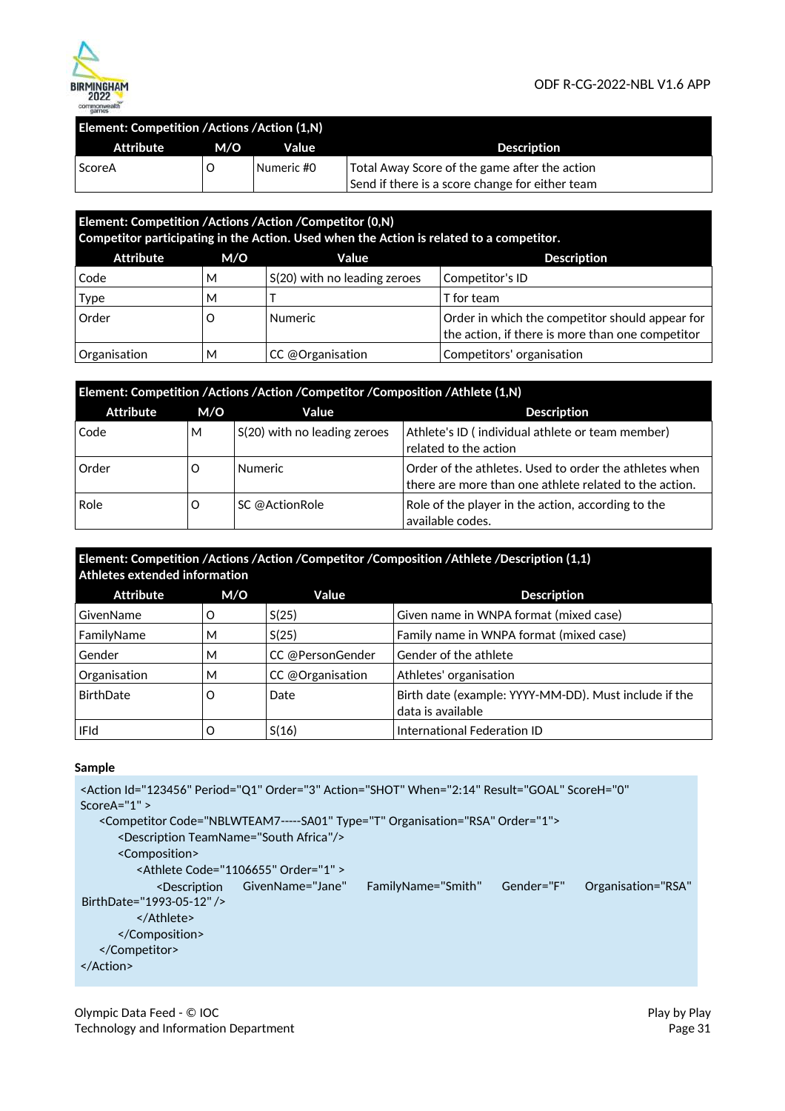

| Element: Competition / Actions / Action (1,N) |     |            |                                                                                                  |  |  |
|-----------------------------------------------|-----|------------|--------------------------------------------------------------------------------------------------|--|--|
| Attribute                                     | M/O | Value      | <b>Description</b>                                                                               |  |  |
| <b>ScoreA</b>                                 |     | Numeric #0 | Total Away Score of the game after the action<br>Send if there is a score change for either team |  |  |

| Element: Competition /Actions /Action /Competitor (0,N)<br>Competitor participating in the Action. Used when the Action is related to a competitor. |   |                              |                                                                                                     |  |  |  |
|-----------------------------------------------------------------------------------------------------------------------------------------------------|---|------------------------------|-----------------------------------------------------------------------------------------------------|--|--|--|
| <b>Attribute</b><br><b>Description</b><br>M/O<br>Value                                                                                              |   |                              |                                                                                                     |  |  |  |
| Code                                                                                                                                                | м | S(20) with no leading zeroes | Competitor's ID                                                                                     |  |  |  |
| <b>Type</b>                                                                                                                                         | м |                              | T for team                                                                                          |  |  |  |
| Order                                                                                                                                               | O | <b>Numeric</b>               | Order in which the competitor should appear for<br>the action, if there is more than one competitor |  |  |  |
| Organisation<br>CC @Organisation<br>м                                                                                                               |   |                              | Competitors' organisation                                                                           |  |  |  |

| Element: Competition /Actions /Action /Competitor /Composition /Athlete (1,N) |     |                              |                                                                                                                  |  |  |
|-------------------------------------------------------------------------------|-----|------------------------------|------------------------------------------------------------------------------------------------------------------|--|--|
| <b>Attribute</b>                                                              | M/O | Value                        | <b>Description</b>                                                                                               |  |  |
| Code                                                                          | М   | S(20) with no leading zeroes | Athlete's ID (individual athlete or team member)<br>related to the action                                        |  |  |
| Order                                                                         | O   | <b>Numeric</b>               | Order of the athletes. Used to order the athletes when<br>there are more than one athlete related to the action. |  |  |
| Role                                                                          | O   | SC @ActionRole               | Role of the player in the action, according to the<br>available codes.                                           |  |  |

### **Element: Competition /Actions /Action /Competitor /Composition /Athlete /Description (1,1) Athletes extended information**

| <b>Attribute</b> | M/O | Value            | <b>Description</b>                                                         |
|------------------|-----|------------------|----------------------------------------------------------------------------|
| GivenName        |     | S(25)            | Given name in WNPA format (mixed case)                                     |
| FamilyName       | M   | S(25)            | Family name in WNPA format (mixed case)                                    |
| Gender           | М   | CC @PersonGender | Gender of the athlete                                                      |
| Organisation     | M   | CC @Organisation | Athletes' organisation                                                     |
| BirthDate        | O   | Date             | Birth date (example: YYYY-MM-DD). Must include if the<br>data is available |
| <b>IFId</b>      |     | S(16)            | International Federation ID                                                |

### **Sample**

```
<Action Id="123456" Period="Q1" Order="3" Action="SHOT" When="2:14" Result="GOAL" ScoreH="0"
ScoreA="1" > 
   <Competitor Code="NBLWTEAM7 ----- SA01" Type="T" Organisation="RSA" Order="1"> 
      <Description TeamName="South Africa"/> 
      <Composition> 
         <Athlete Code="1106655" Order="1" >
             <Description    GivenName="Jane"
BirthDate="1993-05-12" />
         </Athlete> 
      </Composition> 
   </Competitor> 
</Action>
                                               FamilyName="Smith" Gender="F" Organisation="RSA"
```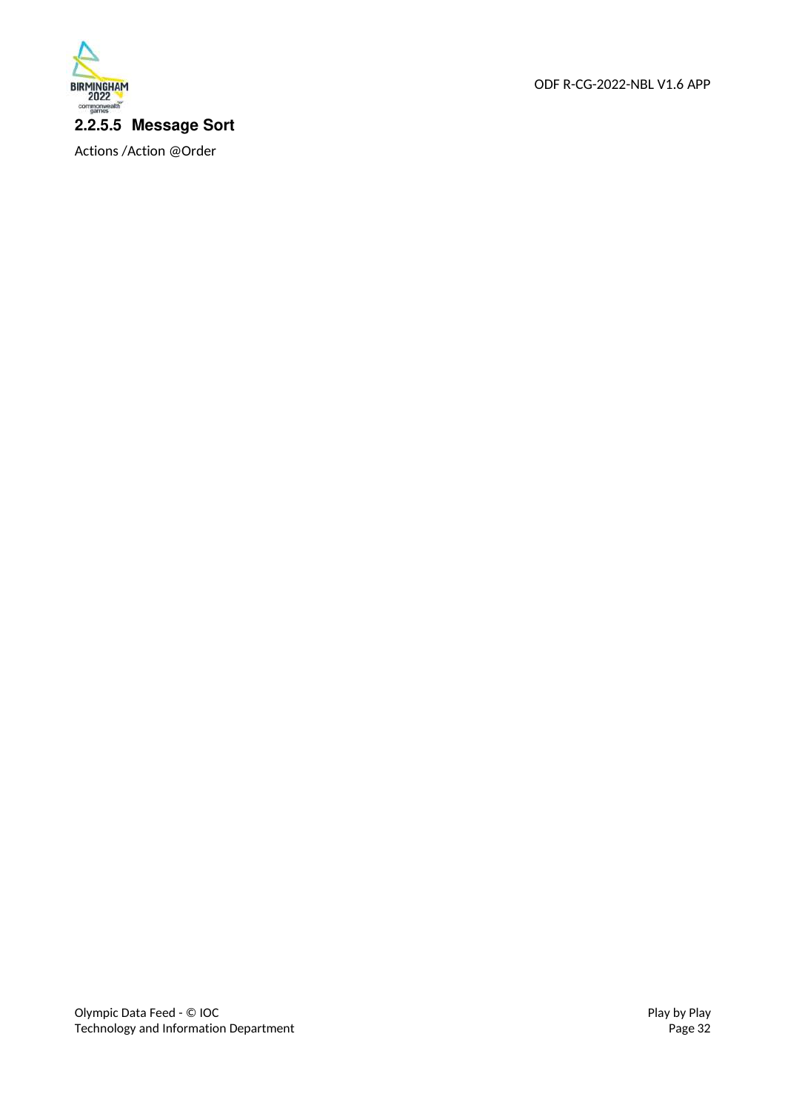

Actions /Action @Order

ODF R-CG-2022-NBL V1.6 APP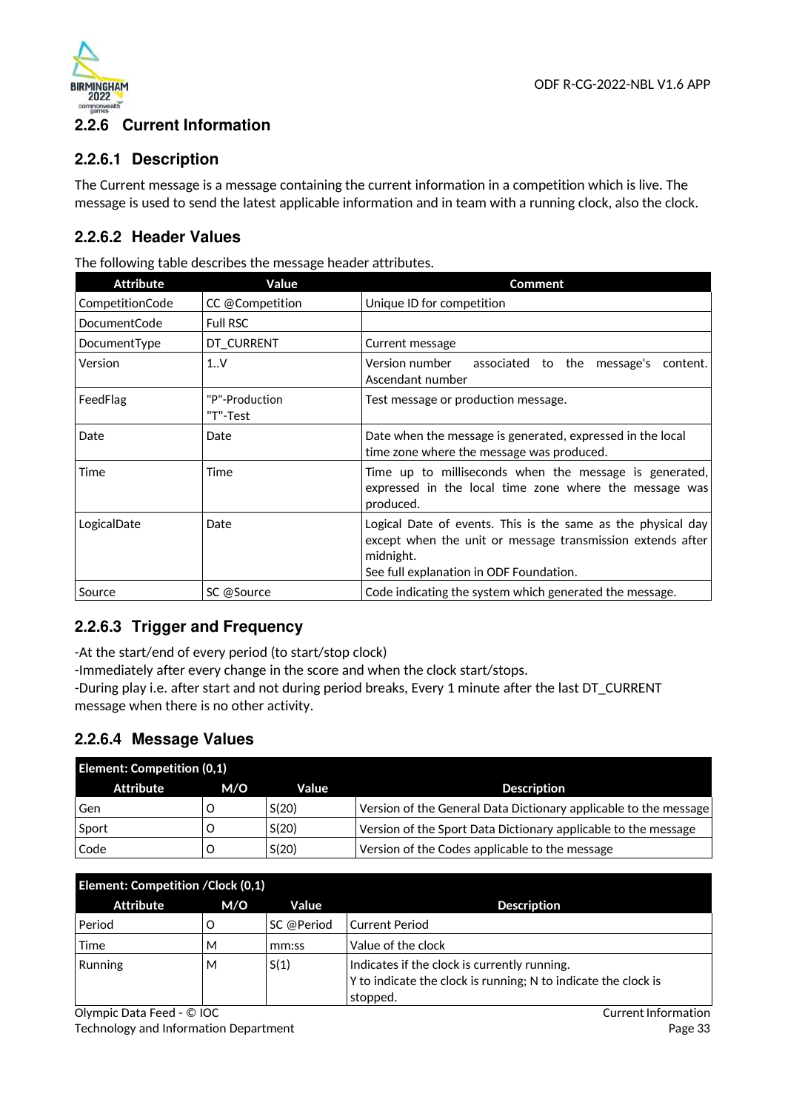

# **2.2.6 Current Information**

### **2.2.6.1 Description**

The Current message is a message containing the current information in a competition which is live. The message is used to send the latest applicable information and in team with a running clock, also the clock.

## **2.2.6.2 Header Values**

The following table describes the message header attributes.

| <b>Attribute</b>    | Value                      | <b>Comment</b>                                                                                                                                                                     |
|---------------------|----------------------------|------------------------------------------------------------------------------------------------------------------------------------------------------------------------------------|
| CompetitionCode     | CC @Competition            | Unique ID for competition                                                                                                                                                          |
| <b>DocumentCode</b> | <b>Full RSC</b>            |                                                                                                                                                                                    |
| DocumentType        | DT_CURRENT                 | Current message                                                                                                                                                                    |
| Version             | 1.0 <sub>Y</sub>           | Version number<br>associated to the message's content.<br>Ascendant number                                                                                                         |
| FeedFlag            | "P"-Production<br>"T"-Test | Test message or production message.                                                                                                                                                |
| Date                | Date                       | Date when the message is generated, expressed in the local<br>time zone where the message was produced.                                                                            |
| Time                | Time                       | Time up to milliseconds when the message is generated,<br>expressed in the local time zone where the message was<br>produced.                                                      |
| LogicalDate         | Date                       | Logical Date of events. This is the same as the physical day<br>except when the unit or message transmission extends after<br>midnight.<br>See full explanation in ODF Foundation. |
| Source              | SC @Source                 | Code indicating the system which generated the message.                                                                                                                            |

## **2.2.6.3 Trigger and Frequency**

-At the start/end of every period (to start/stop clock)

-Immediately after every change in the score and when the clock start/stops.

-During play i.e. after start and not during period breaks, Every 1 minute after the last DT\_CURRENT message when there is no other activity.

## **2.2.6.4 Message Values**

| <b>Element: Competition (0,1)</b> |     |       |                                                                  |
|-----------------------------------|-----|-------|------------------------------------------------------------------|
| Attribute                         | M/O | Value | <b>Description</b>                                               |
| Gen                               |     | S(20) | Version of the General Data Dictionary applicable to the message |
| Sport                             |     | S(20) | Version of the Sport Data Dictionary applicable to the message   |
| Code                              |     | S(20) | Version of the Codes applicable to the message                   |

| Element: Competition / Clock (0,1) |     |            |                                                                                                                            |
|------------------------------------|-----|------------|----------------------------------------------------------------------------------------------------------------------------|
| <b>Attribute</b>                   | M/O | Value      | <b>Description</b>                                                                                                         |
| Period                             |     | SC @Period | Current Period                                                                                                             |
| Time                               | М   | mm:ss      | Value of the clock                                                                                                         |
| Running                            | M   | S(1)       | Indicates if the clock is currently running.<br>Y to indicate the clock is running; N to indicate the clock is<br>stopped. |

Olympic Data Feed - © IOC

Technology and Information Department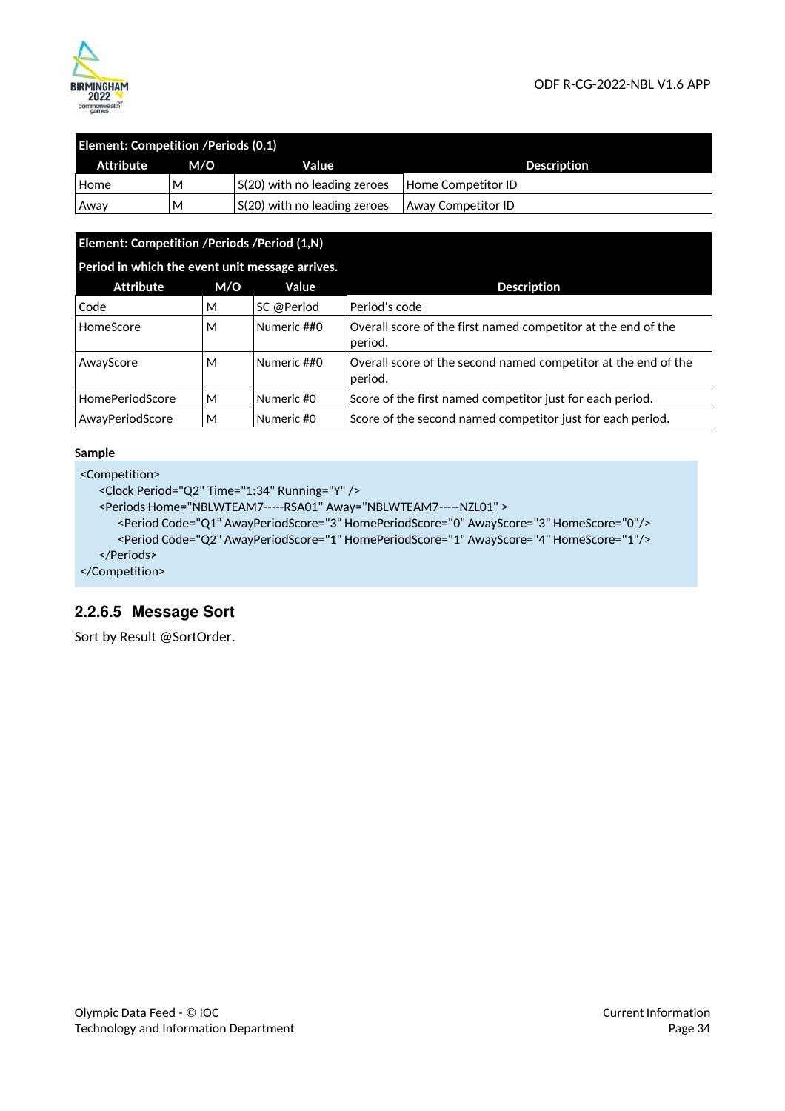

| <b>Element: Competition /Periods (0,1)</b> |     |                                      |                           |  |
|--------------------------------------------|-----|--------------------------------------|---------------------------|--|
| Attribute                                  | M/O | Value                                | <b>Description</b>        |  |
| Home                                       | м   | S(20) with no leading zeroes         | Home Competitor ID        |  |
| Away                                       | M   | $\vert$ S(20) with no leading zeroes | <b>Away Competitor ID</b> |  |

### **Element: Competition /Periods /Period (1,N)**

|  | Period in which the event unit message arrives. |
|--|-------------------------------------------------|
|  |                                                 |
|  |                                                 |
|  |                                                 |

| <b>Attribute</b>       | M/O | Value       | <b>Description</b>                                                        |
|------------------------|-----|-------------|---------------------------------------------------------------------------|
| Code                   | м   | SC @Period  | Period's code                                                             |
| HomeScore              | М   | Numeric ##0 | Overall score of the first named competitor at the end of the<br>period.  |
| AwayScore              | М   | Numeric ##0 | Overall score of the second named competitor at the end of the<br>period. |
| <b>HomePeriodScore</b> | М   | Numeric #0  | Score of the first named competitor just for each period.                 |
| AwayPeriodScore        | М   | Numeric #0  | Score of the second named competitor just for each period.                |

#### **Sample**

```
<Competition>
```

```
<Clock Period="Q2" Time="1:34" Running="Y" />
```

```
<Periods Home="NBLWTEAM7-----RSA01" Away="NBLWTEAM7 ----- NZL01" >
```

```
<Period Code="Q1" AwayPeriodScore="3" HomePeriodScore="0" AwayScore="3" HomeScore="0"/> 
  <Period Code="Q2" AwayPeriodScore="1" HomePeriodScore="1" AwayScore="4" HomeScore="1"/> 
</Periods>
```
</Competition>

## **2.2.6.5 Message Sort**

Sort by Result @SortOrder.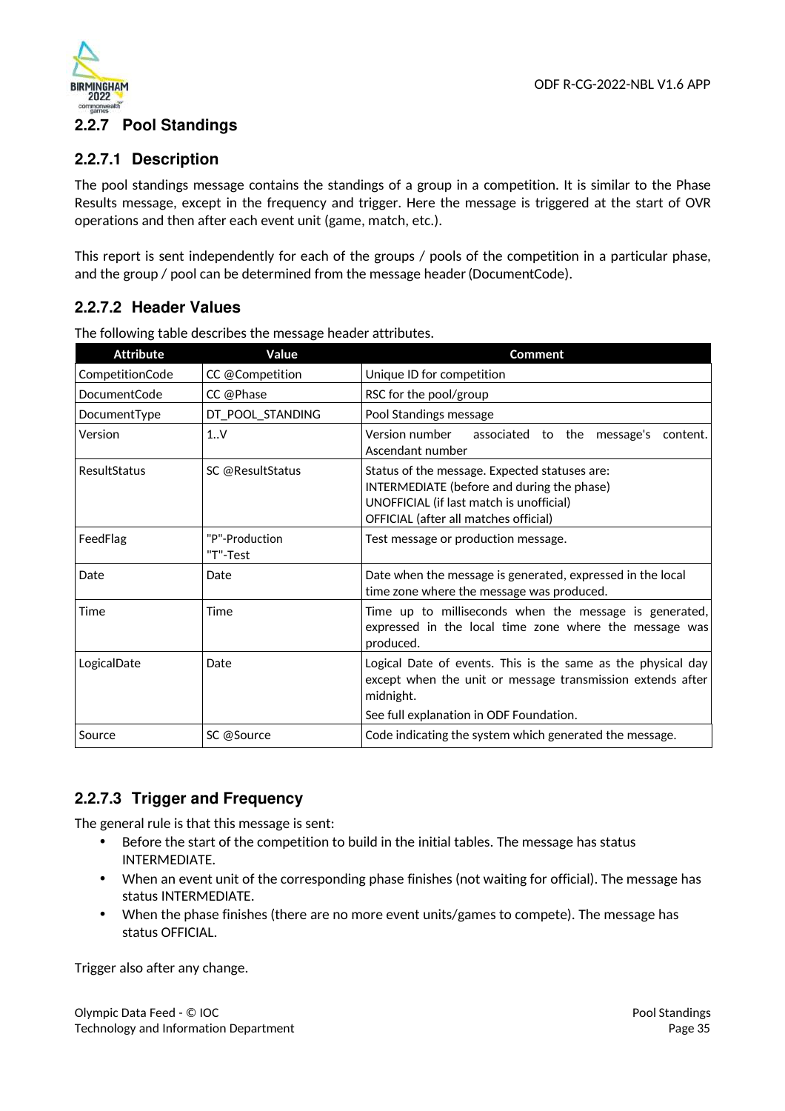

# **2.2.7 Pool Standings**

### **2.2.7.1 Description**

The pool standings message contains the standings of a group in a competition. It is similar to the Phase Results message, except in the frequency and trigger. Here the message is triggered at the start of OVR operations and then after each event unit (game, match, etc.).

This report is sent independently for each of the groups / pools of the competition in a particular phase, and the group / pool can be determined from the message header (DocumentCode).

### **2.2.7.2 Header Values**

| <b>Attribute</b>    | Value                      | <b>Comment</b>                                                                                                                                                                   |
|---------------------|----------------------------|----------------------------------------------------------------------------------------------------------------------------------------------------------------------------------|
| CompetitionCode     | CC @Competition            | Unique ID for competition                                                                                                                                                        |
| <b>DocumentCode</b> | CC @Phase                  | RSC for the pool/group                                                                                                                                                           |
| DocumentType        | DT_POOL_STANDING           | Pool Standings message                                                                                                                                                           |
| Version             | 1.1V                       | Version number<br>associated to the message's<br>content.<br>Ascendant number                                                                                                    |
| ResultStatus        | SC @ResultStatus           | Status of the message. Expected statuses are:<br>INTERMEDIATE (before and during the phase)<br>UNOFFICIAL (if last match is unofficial)<br>OFFICIAL (after all matches official) |
| FeedFlag            | "P"-Production<br>"T"-Test | Test message or production message.                                                                                                                                              |
| Date                | Date                       | Date when the message is generated, expressed in the local<br>time zone where the message was produced.                                                                          |
| Time                | Time                       | Time up to milliseconds when the message is generated,<br>expressed in the local time zone where the message was<br>produced.                                                    |
| LogicalDate         | Date                       | Logical Date of events. This is the same as the physical day<br>except when the unit or message transmission extends after<br>midnight.                                          |
|                     |                            | See full explanation in ODF Foundation.                                                                                                                                          |
| Source              | SC @Source                 | Code indicating the system which generated the message.                                                                                                                          |

The following table describes the message header attributes.

## **2.2.7.3 Trigger and Frequency**

The general rule is that this message is sent:

- Before the start of the competition to build in the initial tables. The message has status INTERMEDIATE.
- When an event unit of the corresponding phase finishes (not waiting for official). The message has status INTERMEDIATE.
- When the phase finishes (there are no more event units/games to compete). The message has status OFFICIAL.

Trigger also after any change.

Olympic Data Feed - © IOC Technology and Information Department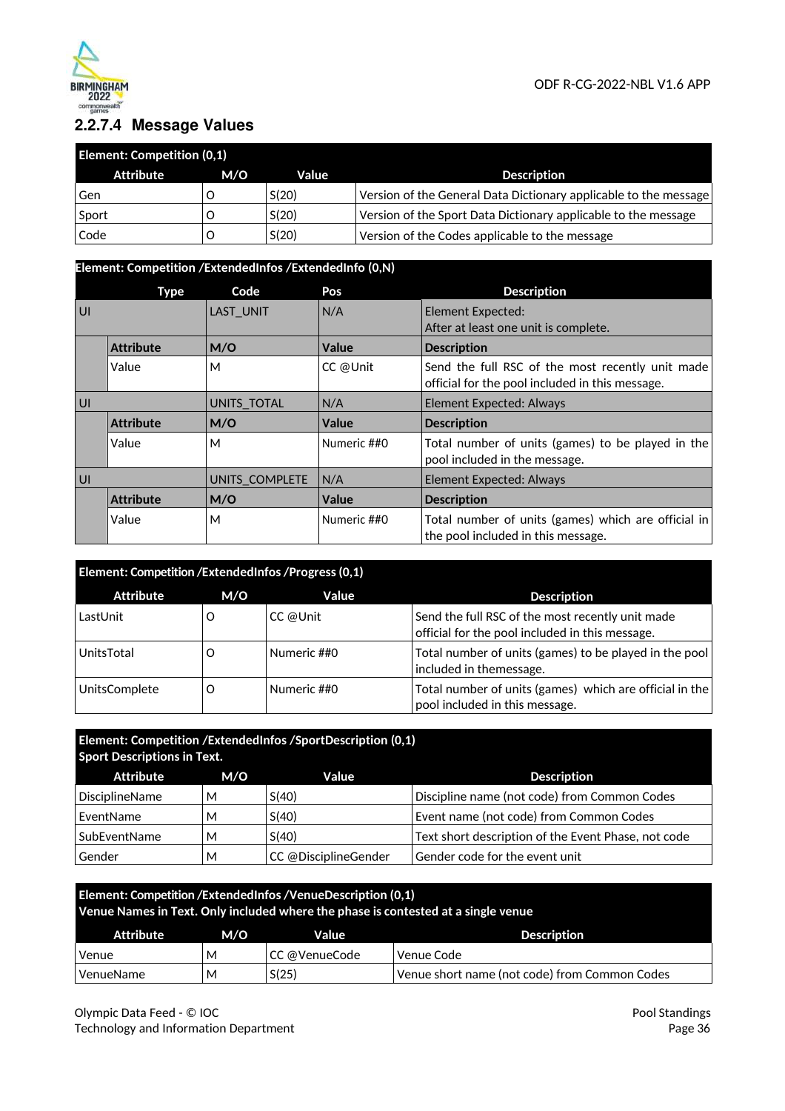

# **2.2.7.4 Message Values**

| <b>Element: Competition (0,1)</b> |     |       |                                                                  |
|-----------------------------------|-----|-------|------------------------------------------------------------------|
| Attribute                         | M/O | Value | <b>Description</b>                                               |
| Gen                               |     | S(20) | Version of the General Data Dictionary applicable to the message |
| Sport                             |     | S(20) | Version of the Sport Data Dictionary applicable to the message   |
| Code                              |     | S(20) | Version of the Codes applicable to the message                   |

### **Element: Competition /ExtendedInfos /ExtendedInfo (0,N)**

|    | Type             | Code             | Pos         | <b>Description</b>                                                                                  |
|----|------------------|------------------|-------------|-----------------------------------------------------------------------------------------------------|
| UI |                  | <b>LAST UNIT</b> | N/A         | Element Expected:                                                                                   |
|    |                  |                  |             | After at least one unit is complete.                                                                |
|    | <b>Attribute</b> | M/O              | Value       | <b>Description</b>                                                                                  |
|    | Value            | M                | CC @Unit    | Send the full RSC of the most recently unit made<br>official for the pool included in this message. |
| U  |                  | UNITS TOTAL      | N/A         | <b>Element Expected: Always</b>                                                                     |
|    | <b>Attribute</b> | M/O              | Value       | <b>Description</b>                                                                                  |
|    | Value            | M                | Numeric ##0 | Total number of units (games) to be played in the<br>pool included in the message.                  |
| U  |                  | UNITS COMPLETE   | N/A         | <b>Element Expected: Always</b>                                                                     |
|    | <b>Attribute</b> | M/O              | Value       | <b>Description</b>                                                                                  |
|    | Value            | M                | Numeric ##0 | Total number of units (games) which are official in<br>the pool included in this message.           |

| Element: Competition / Extended Infos / Progress (0,1) |     |             |                                                                                                     |
|--------------------------------------------------------|-----|-------------|-----------------------------------------------------------------------------------------------------|
| <b>Attribute</b>                                       | M/O | Value       | <b>Description</b>                                                                                  |
| LastUnit                                               | Ő   | CC @Unit    | Send the full RSC of the most recently unit made<br>official for the pool included in this message. |
| UnitsTotal                                             | Ő   | Numeric ##0 | Total number of units (games) to be played in the pool<br>included in themessage.                   |
| UnitsComplete                                          | Ő   | Numeric ##0 | Total number of units (games) which are official in the<br>pool included in this message.           |

### **Element: Competition /ExtendedInfos /SportDescription (0,1) Sport Descriptions in Text.**

| Attribute             | M/O | Value                | <b>Description</b>                                  |
|-----------------------|-----|----------------------|-----------------------------------------------------|
| <b>DisciplineName</b> | м   | S(40)                | Discipline name (not code) from Common Codes        |
| EventName             | M   | S(40)                | Event name (not code) from Common Codes             |
| SubEventName          | M   | S(40)                | Text short description of the Event Phase, not code |
| Gender                | М   | CC @DisciplineGender | Gender code for the event unit                      |

| Element: Competition / Extended Infos / Venue Description (0,1)<br>Venue Names in Text. Only included where the phase is contested at a single venue |     |               |                                               |
|------------------------------------------------------------------------------------------------------------------------------------------------------|-----|---------------|-----------------------------------------------|
| Attribute                                                                                                                                            | M/O | Value         | <b>Description</b>                            |
| Venue                                                                                                                                                | м   | CC @VenueCode | Venue Code                                    |
| VenueName                                                                                                                                            | М   | S(25)         | Venue short name (not code) from Common Codes |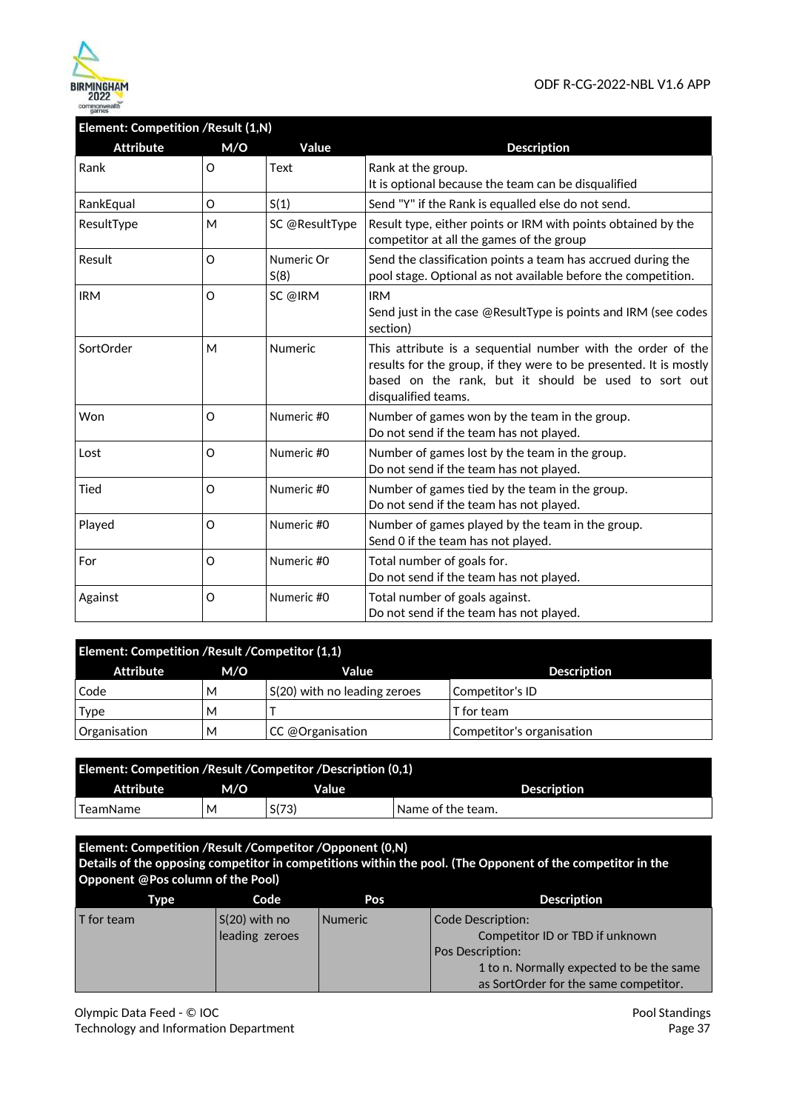

# **Element: Competition /Result (1,N)**

| <b>Attribute</b> | M/O     | Value              | <b>Description</b>                                                                                                                                                                                              |
|------------------|---------|--------------------|-----------------------------------------------------------------------------------------------------------------------------------------------------------------------------------------------------------------|
| Rank             | O       | Text               | Rank at the group.<br>It is optional because the team can be disqualified                                                                                                                                       |
| RankEqual        | O       | S(1)               | Send "Y" if the Rank is equalled else do not send.                                                                                                                                                              |
| ResultType       | M       | SC @ResultType     | Result type, either points or IRM with points obtained by the<br>competitor at all the games of the group                                                                                                       |
| Result           | O       | Numeric Or<br>S(8) | Send the classification points a team has accrued during the<br>pool stage. Optional as not available before the competition.                                                                                   |
| <b>IRM</b>       | O       | SC @IRM            | <b>IRM</b><br>Send just in the case @ResultType is points and IRM (see codes<br>section)                                                                                                                        |
| SortOrder        | M       | <b>Numeric</b>     | This attribute is a sequential number with the order of the<br>results for the group, if they were to be presented. It is mostly<br>based on the rank, but it should be used to sort out<br>disqualified teams. |
| Won              | O       | Numeric #0         | Number of games won by the team in the group.<br>Do not send if the team has not played.                                                                                                                        |
| Lost             | O       | Numeric #0         | Number of games lost by the team in the group.<br>Do not send if the team has not played.                                                                                                                       |
| Tied             | $\circ$ | Numeric #0         | Number of games tied by the team in the group.<br>Do not send if the team has not played.                                                                                                                       |
| Played           | O       | Numeric #0         | Number of games played by the team in the group.<br>Send 0 if the team has not played.                                                                                                                          |
| For              | O       | Numeric #0         | Total number of goals for.<br>Do not send if the team has not played.                                                                                                                                           |
| Against          | O       | Numeric #0         | Total number of goals against.<br>Do not send if the team has not played.                                                                                                                                       |

| Element: Competition / Result / Competitor (1,1) |     |                                           |                           |  |
|--------------------------------------------------|-----|-------------------------------------------|---------------------------|--|
| Attribute                                        | M/O | Value                                     | <b>Description</b>        |  |
| Code                                             | М   | S(20) with no leading zeroes              | Competitor's ID           |  |
| <b>Type</b>                                      | м   |                                           | T for team                |  |
| Organisation                                     | М   | $ CC \text{\textcircled{a}}$ Organisation | Competitor's organisation |  |

| <b>Element: Competition /Result /Competitor /Description (0,1)</b> |     |       |                   |  |
|--------------------------------------------------------------------|-----|-------|-------------------|--|
| <b>Attribute</b>                                                   | M/O | Value | Description       |  |
| l TeamName                                                         | М   | S(73) | Name of the team. |  |

**Element: Competition /Result /Competitor /Opponent (0,N) Details of the opposing competitor in competitions within the pool. (The Opponent of the competitor in the Opponent @Pos column of the Pool) Type Code Pos Pos Description** 

| $ S(20)$ with no<br>$\mathsf I$ for team<br><b>Numeric</b><br>leading zeroes | Code Description:<br>Competitor ID or TBD if unknown<br><b>Pos Description:</b><br>1 to n. Normally expected to be the same<br>as SortOrder for the same competitor. |
|------------------------------------------------------------------------------|----------------------------------------------------------------------------------------------------------------------------------------------------------------------|
|------------------------------------------------------------------------------|----------------------------------------------------------------------------------------------------------------------------------------------------------------------|

Olympic Data Feed - © IOC Technology and Information Department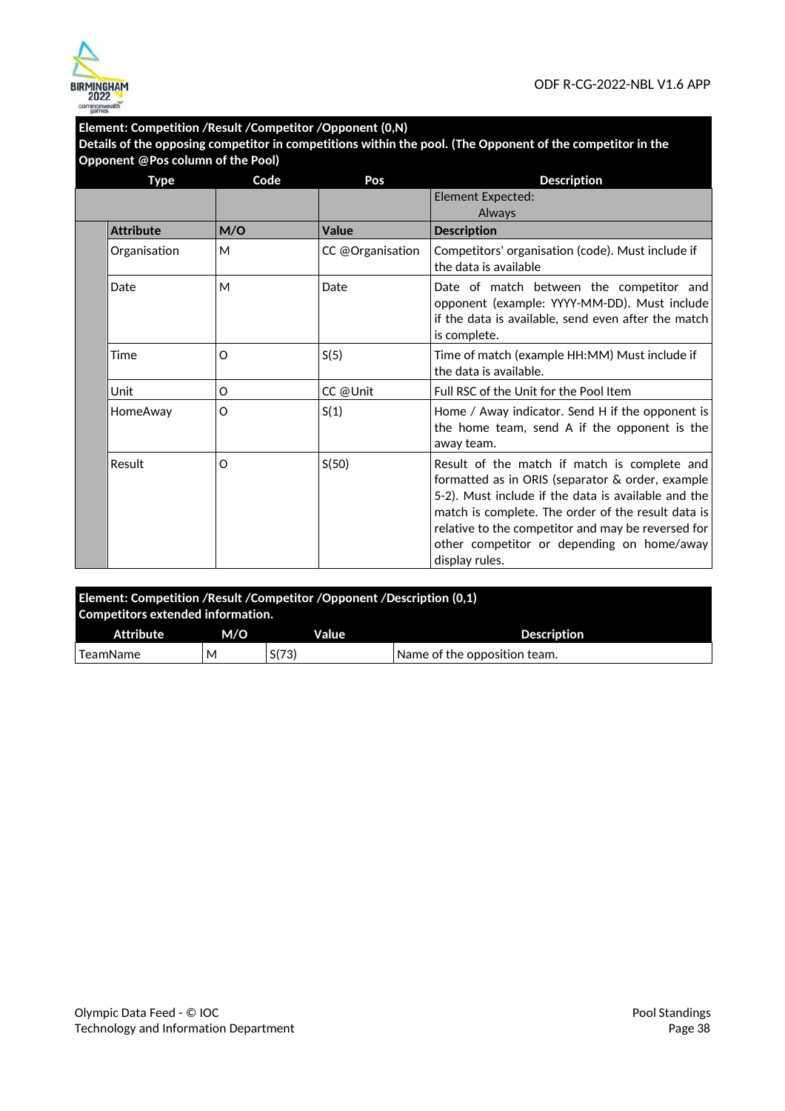

### **Element: Competition /Result /Competitor /Opponent (0,N)**

**Details of the opposing competitor in competitions within the pool. (The Opponent of the competitor in the Opponent @Pos column of the Pool)** 

| <b>Type</b>      | Code | Pos              | <b>Description</b>                                                                                                                                                                                                                                                                                                                  |
|------------------|------|------------------|-------------------------------------------------------------------------------------------------------------------------------------------------------------------------------------------------------------------------------------------------------------------------------------------------------------------------------------|
|                  |      |                  | Element Expected:<br>Always                                                                                                                                                                                                                                                                                                         |
| <b>Attribute</b> | M/O  | Value            | <b>Description</b>                                                                                                                                                                                                                                                                                                                  |
| Organisation     | M    | CC @Organisation | Competitors' organisation (code). Must include if<br>the data is available                                                                                                                                                                                                                                                          |
| Date             | M    | Date             | Date of match between the competitor and<br>opponent (example: YYYY-MM-DD). Must include<br>if the data is available, send even after the match<br>is complete.                                                                                                                                                                     |
| Time             | O    | S(5)             | Time of match (example HH:MM) Must include if<br>the data is available.                                                                                                                                                                                                                                                             |
| Unit             | O    | CC @Unit         | Full RSC of the Unit for the Pool Item                                                                                                                                                                                                                                                                                              |
| HomeAway         | O    | S(1)             | Home / Away indicator. Send H if the opponent is<br>the home team, send A if the opponent is the<br>away team.                                                                                                                                                                                                                      |
| Result           | O    | S(50)            | Result of the match if match is complete and<br>formatted as in ORIS (separator & order, example<br>5-2). Must include if the data is available and the<br>match is complete. The order of the result data is<br>relative to the competitor and may be reversed for<br>other competitor or depending on home/away<br>display rules. |

| Element: Competition /Result /Competitor /Opponent /Description (0,1)<br>Competitors extended information. |     |       |                              |  |
|------------------------------------------------------------------------------------------------------------|-----|-------|------------------------------|--|
| Attribute                                                                                                  | M/O | Value | <b>Description</b>           |  |
| TeamName                                                                                                   | М   | S(73) | Name of the opposition team. |  |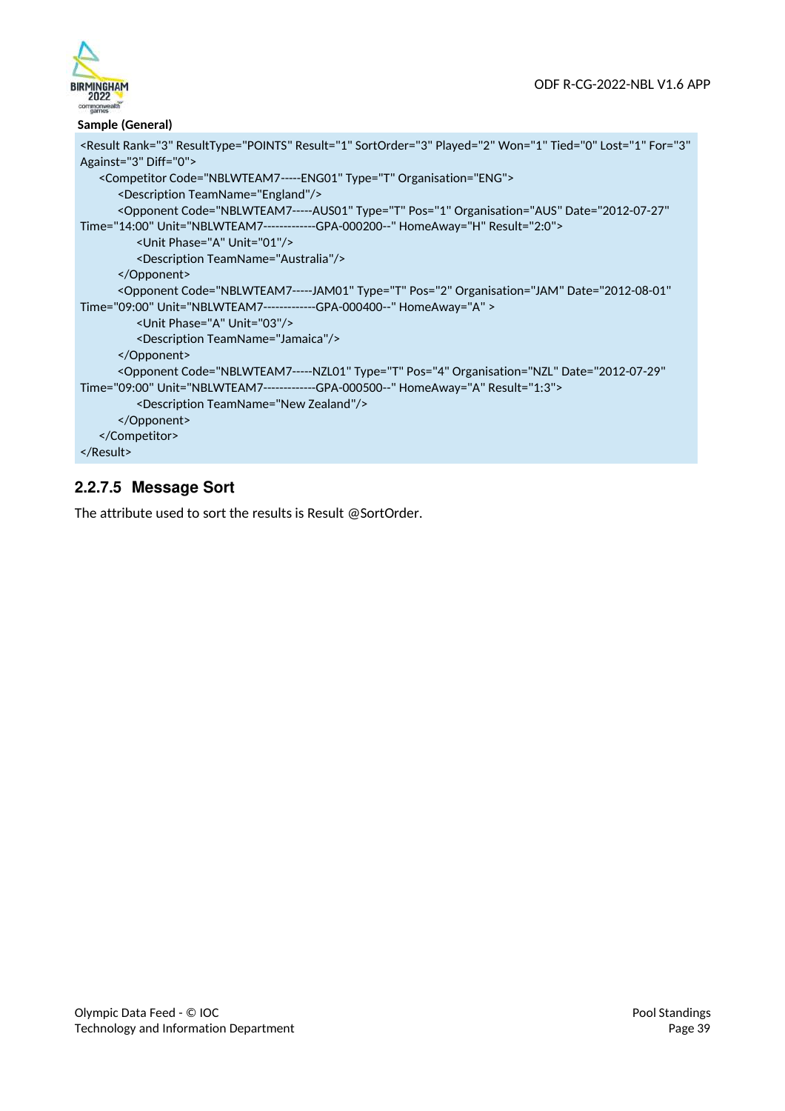

### **Sample (General)**

```
<Result Rank="3" ResultType="POINTS" Result="1" SortOrder="3" Played="2" Won="1" Tied="0" Lost="1" For="3" 
Against="3" Diff="0"> 
   <Competitor Code="NBLWTEAM7 ----- ENG01" Type="T" Organisation="ENG"> 
      <Description TeamName="England"/> 
      <Opponent Code="NBLWTEAM7-----AUS01" Type="T" Pos="1" Organisation="AUS" Date="2012-07-27" 
Time="14:00" Unit="NBLWTEAM7-------------GPA-000200--" HomeAway="H" Result="2:0"> 
         <Unit Phase="A" Unit="01"/> 
         <Description TeamName="Australia"/> 
      </Opponent> 
      <Opponent Code="NBLWTEAM7-----JAM01" Type="T" Pos="2" Organisation="JAM" Date="2012-08-01" 
Time="09:00" Unit="NBLWTEAM7-------------GPA-000400--" HomeAway="A" > 
         <Unit Phase="A" Unit="03"/> 
         <Description TeamName="Jamaica"/> 
      </Opponent> 
      <Opponent Code="NBLWTEAM7-----NZL01" Type="T" Pos="4" Organisation="NZL" Date="2012-07-29" 
Time="09:00" Unit="NBLWTEAM7-------------GPA-000500--" HomeAway="A" Result="1:3"> 
         <Description TeamName="New Zealand"/> 
      </Opponent> 
   </Competitor> 
</Result>
```
# **2.2.7.5 Message Sort**

The attribute used to sort the results is Result @SortOrder.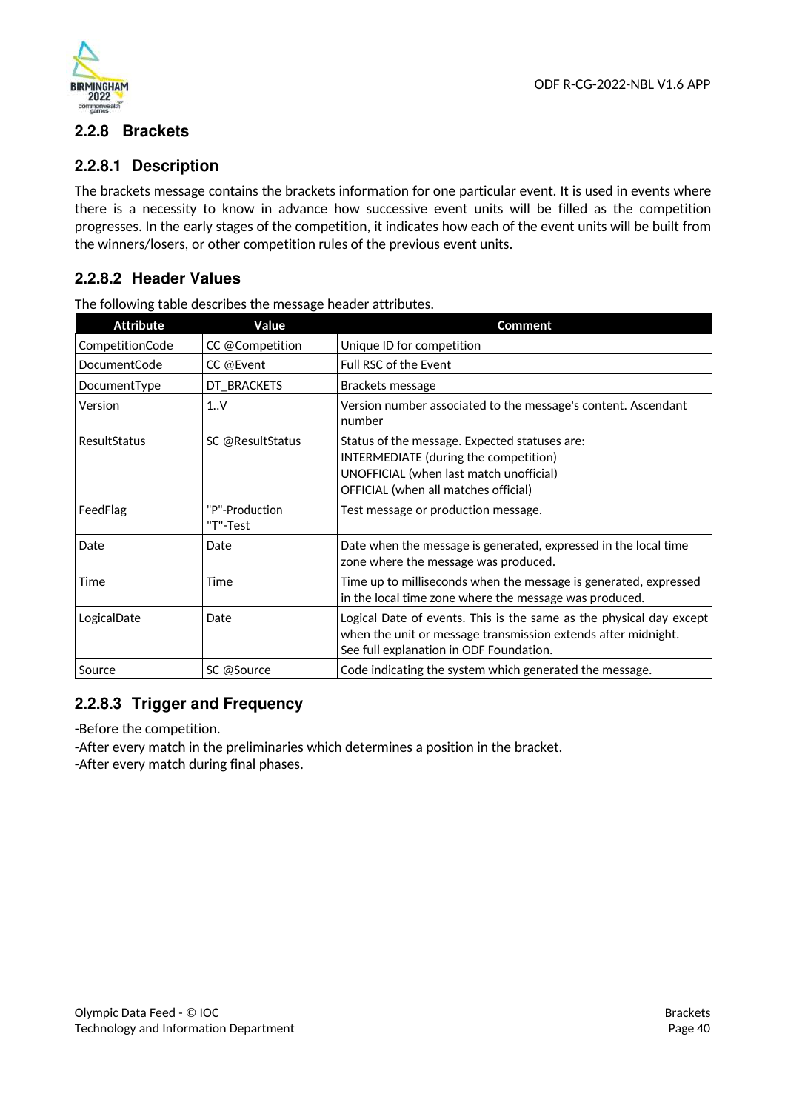



## **2.2.8 Brackets**

### **2.2.8.1 Description**

The brackets message contains the brackets information for one particular event. It is used in events where there is a necessity to know in advance how successive event units will be filled as the competition progresses. In the early stages of the competition, it indicates how each of the event units will be built from the winners/losers, or other competition rules of the previous event units.

### **2.2.8.2 Header Values**

| <b>Attribute</b> | Value                      | Comment                                                                                                                                                                         |
|------------------|----------------------------|---------------------------------------------------------------------------------------------------------------------------------------------------------------------------------|
| CompetitionCode  | CC @Competition            | Unique ID for competition                                                                                                                                                       |
| DocumentCode     | CC @Event                  | Full RSC of the Event                                                                                                                                                           |
| DocumentType     | DT_BRACKETS                | Brackets message                                                                                                                                                                |
| Version          | 1.1V                       | Version number associated to the message's content. Ascendant<br>number                                                                                                         |
| ResultStatus     | SC @ResultStatus           | Status of the message. Expected statuses are:<br>INTERMEDIATE (during the competition)<br>UNOFFICIAL (when last match unofficial)<br>OFFICIAL (when all matches official)       |
| FeedFlag         | "P"-Production<br>"T"-Test | Test message or production message.                                                                                                                                             |
| Date             | Date                       | Date when the message is generated, expressed in the local time<br>zone where the message was produced.                                                                         |
| Time             | Time                       | Time up to milliseconds when the message is generated, expressed<br>in the local time zone where the message was produced.                                                      |
| LogicalDate      | Date                       | Logical Date of events. This is the same as the physical day except<br>when the unit or message transmission extends after midnight.<br>See full explanation in ODF Foundation. |
| Source           | SC @Source                 | Code indicating the system which generated the message.                                                                                                                         |

The following table describes the message header attributes.

# **2.2.8.3 Trigger and Frequency**

-Before the competition.

-After every match in the preliminaries which determines a position in the bracket. -After every match during final phases.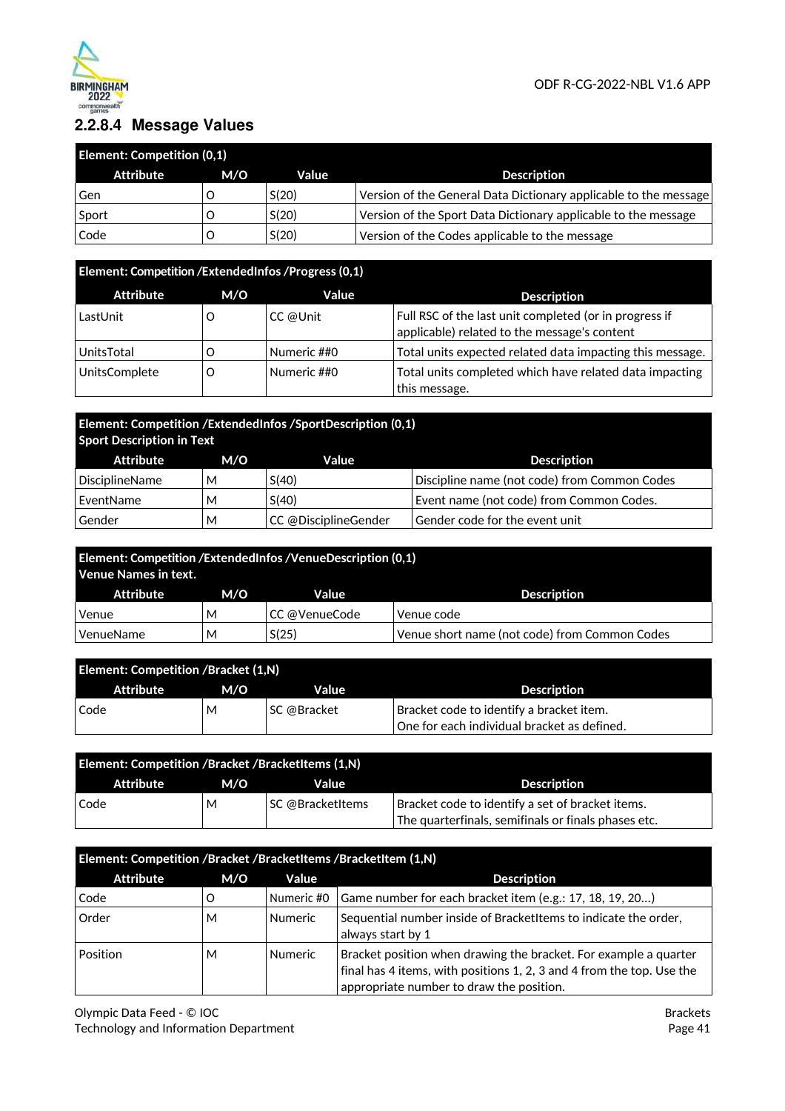

# **2.2.8.4 Message Values**

| <b>Element: Competition (0,1)</b> |     |       |                                                                  |
|-----------------------------------|-----|-------|------------------------------------------------------------------|
| Attribute                         | M/O | Value | <b>Description</b>                                               |
| Gen                               |     | S(20) | Version of the General Data Dictionary applicable to the message |
| Sport                             |     | S(20) | Version of the Sport Data Dictionary applicable to the message   |
| Code                              |     | S(20) | Version of the Codes applicable to the message                   |

# **Element: Competition /ExtendedInfos /Progress (0,1)**

| <b>Attribute</b> | M/O | Value       | <b>Description</b>                                                                                     |
|------------------|-----|-------------|--------------------------------------------------------------------------------------------------------|
| LastUnit         |     | CC @Unit    | Full RSC of the last unit completed (or in progress if<br>applicable) related to the message's content |
| UnitsTotal       |     | Numeric ##0 | Total units expected related data impacting this message.                                              |
| UnitsComplete    |     | Numeric ##0 | Total units completed which have related data impacting<br>this message.                               |

# **Element: Competition /ExtendedInfos /SportDescription (0,1) Sport Description in Text**

| Attribute      | M/O | Value                | <b>Description</b>                           |
|----------------|-----|----------------------|----------------------------------------------|
| DisciplineName | М   | S(40)                | Discipline name (not code) from Common Codes |
| EventName      | М   | S(40)                | Event name (not code) from Common Codes.     |
| Gender         | М   | CC @DisciplineGender | Gender code for the event unit               |

| Element: Competition /ExtendedInfos /VenueDescription (0,1)<br>Venue Names in text. |                                                             |               |                    |  |
|-------------------------------------------------------------------------------------|-------------------------------------------------------------|---------------|--------------------|--|
| Attribute                                                                           | M/O                                                         | Value         | <b>Description</b> |  |
| Venue                                                                               | м                                                           | CC @VenueCode | Venue code         |  |
| VenueName                                                                           | S(25)<br>Venue short name (not code) from Common Codes<br>М |               |                    |  |

| <b>Element: Competition /Bracket (1,N)</b> |     |             |                                             |
|--------------------------------------------|-----|-------------|---------------------------------------------|
| Attribute                                  | M/O | Value       | <b>Description</b>                          |
| Code                                       | М   | SC @Bracket | Bracket code to identify a bracket item.    |
|                                            |     |             | One for each individual bracket as defined. |

| <b>Element: Competition /Bracket /BracketItems (1,N)</b> |     |                         |                                                                                                              |
|----------------------------------------------------------|-----|-------------------------|--------------------------------------------------------------------------------------------------------------|
| Attribute                                                | M/O | Value                   | <b>Description</b>                                                                                           |
| Code                                                     | M   | <b>SC @BracketItems</b> | Bracket code to identify a set of bracket items.<br>$\,$ The quarterfinals, semifinals or finals phases etc. |

| Element: Competition /Bracket /BracketItems /BracketItem (1,N) |     |                |                                                                                                                                                                                       |
|----------------------------------------------------------------|-----|----------------|---------------------------------------------------------------------------------------------------------------------------------------------------------------------------------------|
| <b>Attribute</b>                                               | M/O | Value          | <b>Description</b>                                                                                                                                                                    |
| Code                                                           |     | Numeric #0     | Game number for each bracket item (e.g.: 17, 18, 19, 20)                                                                                                                              |
| Order                                                          | М   | <b>Numeric</b> | Sequential number inside of BracketItems to indicate the order,<br>always start by 1                                                                                                  |
| Position                                                       | М   | <b>Numeric</b> | Bracket position when drawing the bracket. For example a quarter<br>final has 4 items, with positions 1, 2, 3 and 4 from the top. Use the<br>appropriate number to draw the position. |

Olympic Data Feed - © IOC Technology and Information Department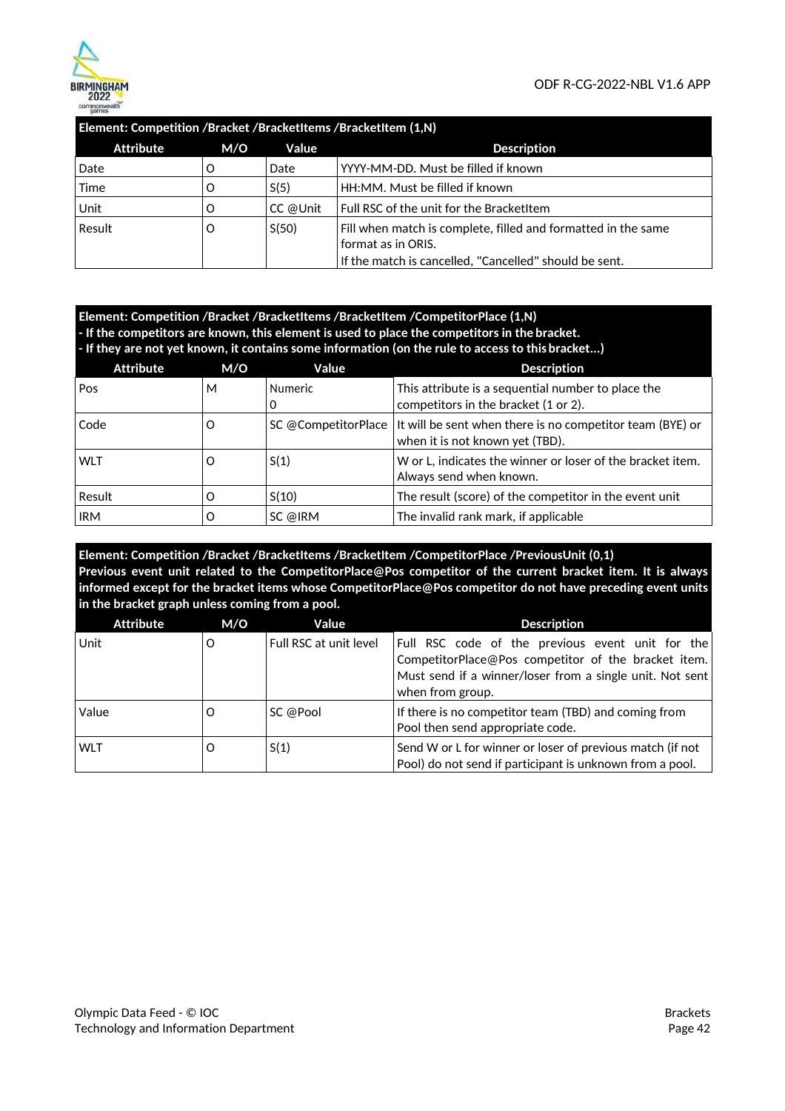

### **Element: Competition /Bracket /BracketItems /BracketItem (1,N)**

| <b>Attribute</b> | M/O | Value    | <b>Description</b>                                                                  |
|------------------|-----|----------|-------------------------------------------------------------------------------------|
| Date             |     | Date     | YYYY-MM-DD. Must be filled if known                                                 |
| Time             | O   | S(5)     | HH:MM. Must be filled if known                                                      |
| Unit             | O   | CC @Unit | Full RSC of the unit for the BracketItem                                            |
| Result           | O   | S(50)    | Fill when match is complete, filled and formatted in the same<br>format as in ORIS. |
|                  |     |          | If the match is cancelled, "Cancelled" should be sent.                              |

| Element: Competition /Bracket /BracketItems /BracketItem /CompetitorPlace (1,N)                   |     |       |             |
|---------------------------------------------------------------------------------------------------|-----|-------|-------------|
| - If the competitors are known, this element is used to place the competitors in the bracket.     |     |       |             |
| - If they are not vet known, it contains some information (on the rule to access to this bracket) |     |       |             |
| Attribute                                                                                         | M/O | Value | Description |

| Pos        | м | <b>Numeric</b> | This attribute is a sequential number to place the                                                                 |
|------------|---|----------------|--------------------------------------------------------------------------------------------------------------------|
|            |   |                | competitors in the bracket (1 or 2).                                                                               |
| Code       | Ő |                | SC @CompetitorPlace   It will be sent when there is no competitor team (BYE) or<br>when it is not known yet (TBD). |
| <b>WLT</b> | Ő | S(1)           | W or L, indicates the winner or loser of the bracket item.<br>Always send when known.                              |
| Result     |   | S(10)          | The result (score) of the competitor in the event unit                                                             |
| <b>IRM</b> |   | SC @IRM        | The invalid rank mark, if applicable                                                                               |

**Element: Competition /Bracket /BracketItems /BracketItem /CompetitorPlace /PreviousUnit (0,1) Previous event unit related to the CompetitorPlace@Pos competitor of the current bracket item. It is always informed except for the bracket items whose CompetitorPlace@Pos competitor do not have preceding event units in the bracket graph unless coming from a pool.** 

| <b>Attribute</b> | M/O | Value                  | <b>Description</b>                                                                                                                                                                      |
|------------------|-----|------------------------|-----------------------------------------------------------------------------------------------------------------------------------------------------------------------------------------|
| Unit             | O   | Full RSC at unit level | Full RSC code of the previous event unit for the<br>CompetitorPlace@Pos competitor of the bracket item.<br>Must send if a winner/loser from a single unit. Not sent<br>when from group. |
| Value            | O   | SC @Pool               | If there is no competitor team (TBD) and coming from<br>Pool then send appropriate code.                                                                                                |
| <b>WLT</b>       | O   | S(1)                   | Send W or L for winner or loser of previous match (if not<br>Pool) do not send if participant is unknown from a pool.                                                                   |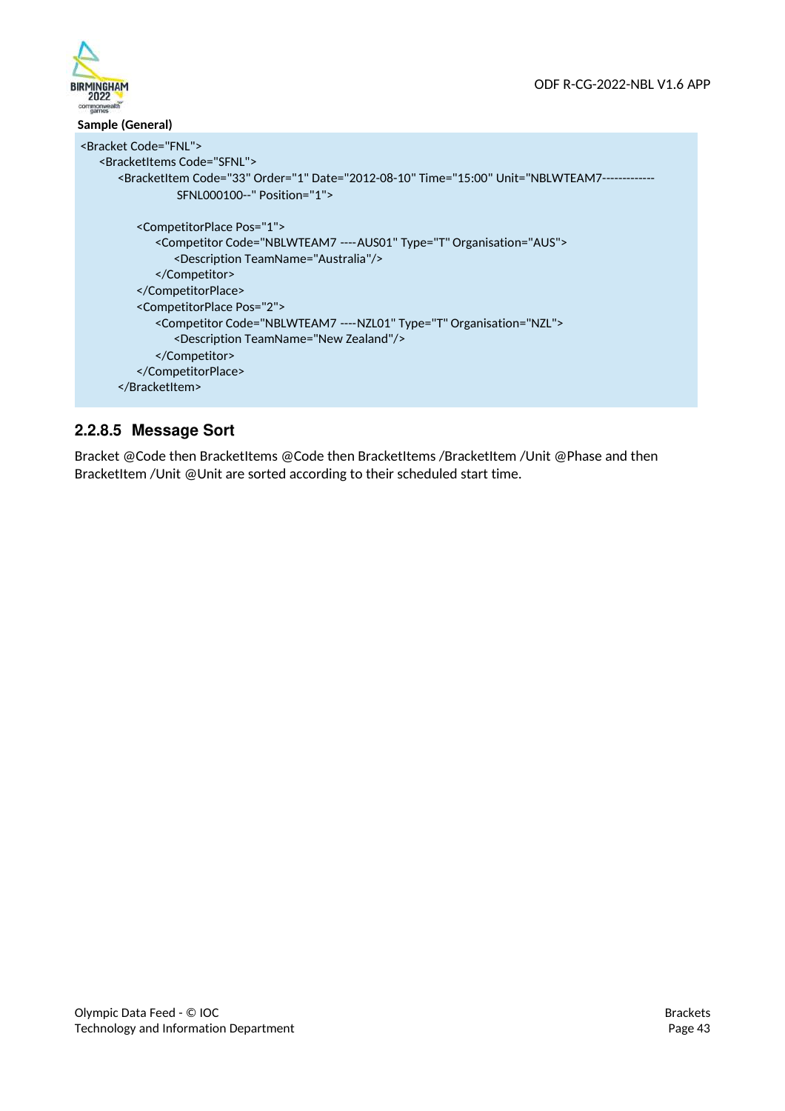



### **Sample (General)**  <Bracket Code="FNL"> <BracketItems Code="SFNL"> <BracketItem Code="33" Order="1" Date="2012-08-10" Time="15:00" Unit="NBLWTEAM7-----SFNL000100--" Position="1"> <CompetitorPlace Pos="1"> <Competitor Code="NBLWTEAM7 ---- AUS01" Type="T" Organisation="AUS"> <Description TeamName="Australia"/> </Competitor> </CompetitorPlace> <CompetitorPlace Pos="2"> <Competitor Code="NBLWTEAM7 ---- NZL01" Type="T" Organisation="NZL"> <Description TeamName="New Zealand"/> </Competitor> </CompetitorPlace> </BracketItem>

# **2.2.8.5 Message Sort**

Bracket @Code then BracketItems @Code then BracketItems /BracketItem /Unit @Phase and then BracketItem /Unit @Unit are sorted according to their scheduled start time.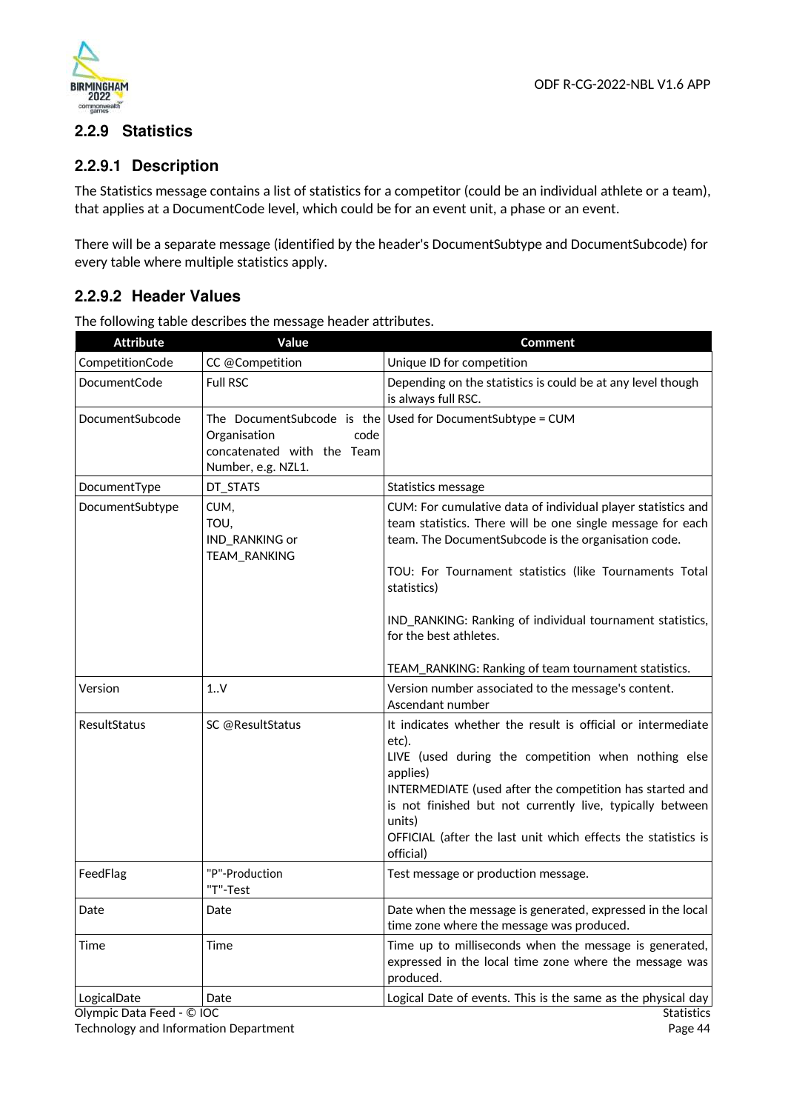



# **2.2.9 Statistics**

## **2.2.9.1 Description**

The Statistics message contains a list of statistics for a competitor (could be an individual athlete or a team), that applies at a DocumentCode level, which could be for an event unit, a phase or an event.

There will be a separate message (identified by the header's DocumentSubtype and DocumentSubcode) for every table where multiple statistics apply.

## **2.2.9.2 Header Values**

| <b>Attribute</b>                         | Value                                                                                                  | <b>Comment</b>                                                                                                                                                                                                                                                                                                                                           |
|------------------------------------------|--------------------------------------------------------------------------------------------------------|----------------------------------------------------------------------------------------------------------------------------------------------------------------------------------------------------------------------------------------------------------------------------------------------------------------------------------------------------------|
| CompetitionCode                          | CC @Competition                                                                                        | Unique ID for competition                                                                                                                                                                                                                                                                                                                                |
| DocumentCode                             | <b>Full RSC</b>                                                                                        | Depending on the statistics is could be at any level though<br>is always full RSC.                                                                                                                                                                                                                                                                       |
| DocumentSubcode                          | The DocumentSubcode is the<br>Organisation<br>code<br>concatenated with the Team<br>Number, e.g. NZL1. | Used for DocumentSubtype = CUM                                                                                                                                                                                                                                                                                                                           |
| DocumentType                             | DT_STATS                                                                                               | Statistics message                                                                                                                                                                                                                                                                                                                                       |
| DocumentSubtype                          | CUM,<br>TOU,<br>IND_RANKING or<br>TEAM_RANKING                                                         | CUM: For cumulative data of individual player statistics and<br>team statistics. There will be one single message for each<br>team. The DocumentSubcode is the organisation code.<br>TOU: For Tournament statistics (like Tournaments Total<br>statistics)<br>IND_RANKING: Ranking of individual tournament statistics,                                  |
|                                          |                                                                                                        | for the best athletes.                                                                                                                                                                                                                                                                                                                                   |
|                                          |                                                                                                        | TEAM_RANKING: Ranking of team tournament statistics.                                                                                                                                                                                                                                                                                                     |
| Version                                  | 1.0V                                                                                                   | Version number associated to the message's content.<br>Ascendant number                                                                                                                                                                                                                                                                                  |
| <b>ResultStatus</b>                      | SC @ResultStatus                                                                                       | It indicates whether the result is official or intermediate<br>etc).<br>LIVE (used during the competition when nothing else<br>applies)<br>INTERMEDIATE (used after the competition has started and<br>is not finished but not currently live, typically between<br>units)<br>OFFICIAL (after the last unit which effects the statistics is<br>official) |
| FeedFlag                                 | "P"-Production<br>"T"-Test                                                                             | Test message or production message.                                                                                                                                                                                                                                                                                                                      |
| Date                                     | Date                                                                                                   | Date when the message is generated, expressed in the local<br>time zone where the message was produced.                                                                                                                                                                                                                                                  |
| Time                                     | Time                                                                                                   | Time up to milliseconds when the message is generated,<br>expressed in the local time zone where the message was<br>produced.                                                                                                                                                                                                                            |
| LogicalDate<br>Olympic Data Feed - © IOC | Date                                                                                                   | Logical Date of events. This is the same as the physical day<br><b>Statistics</b>                                                                                                                                                                                                                                                                        |

The following table describes the message header attributes.

Technology and Information Department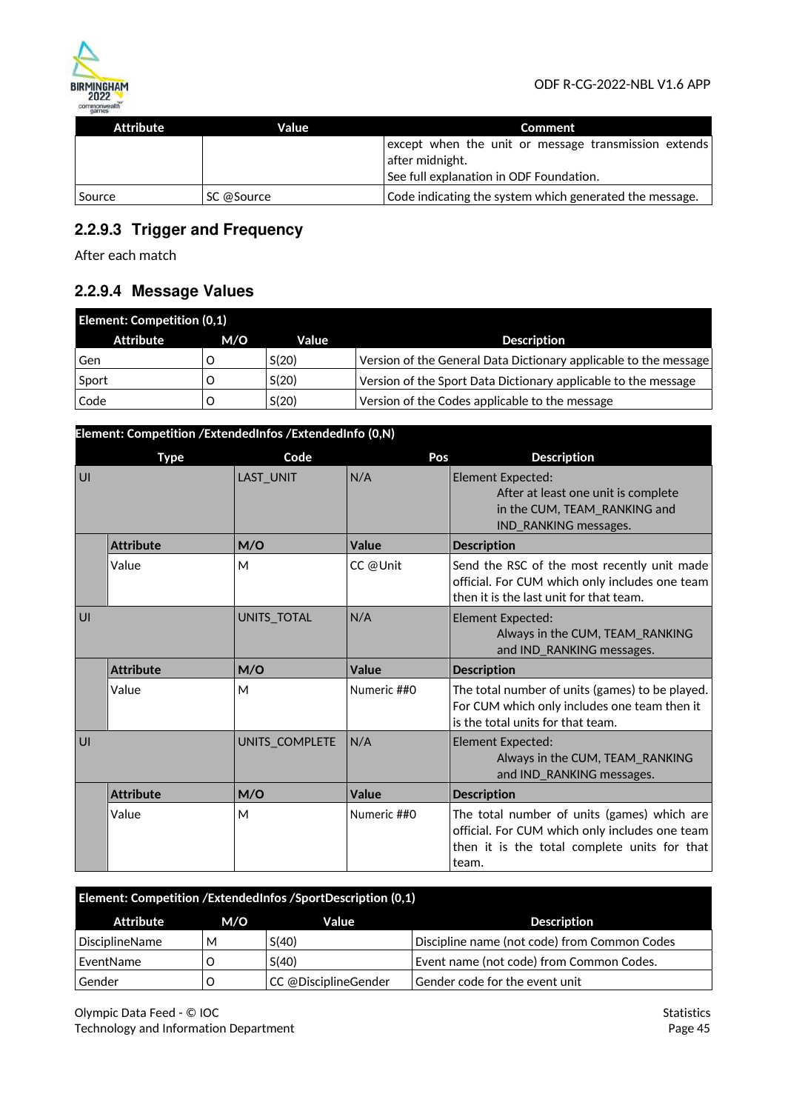

| Attribute | Value      | Comment                                                                                                            |
|-----------|------------|--------------------------------------------------------------------------------------------------------------------|
|           |            | except when the unit or message transmission extends<br>after midnight.<br>See full explanation in ODF Foundation. |
| Source    | SC @Source | Code indicating the system which generated the message.                                                            |

# **2.2.9.3 Trigger and Frequency**

After each match

# **2.2.9.4 Message Values**

| <b>Element: Competition (0,1)</b> |     |       |                                                                  |
|-----------------------------------|-----|-------|------------------------------------------------------------------|
| Attribute                         | M/O | Value | <b>Description</b>                                               |
| Gen                               |     | S(20) | Version of the General Data Dictionary applicable to the message |
| Sport                             |     | S(20) | Version of the Sport Data Dictionary applicable to the message   |
| Code                              |     | S(20) | Version of the Codes applicable to the message                   |

|    | Element: Competition / ExtendedInfos / ExtendedInfo (0,N) |                  |             |                                                                                                                                                        |
|----|-----------------------------------------------------------|------------------|-------------|--------------------------------------------------------------------------------------------------------------------------------------------------------|
|    | <b>Type</b>                                               | Code             | Pos         | <b>Description</b>                                                                                                                                     |
| U  |                                                           | <b>LAST UNIT</b> | N/A         | <b>Element Expected:</b><br>After at least one unit is complete<br>in the CUM, TEAM RANKING and<br>IND_RANKING messages.                               |
|    | <b>Attribute</b>                                          | M/O              | Value       | <b>Description</b>                                                                                                                                     |
|    | Value                                                     | M                | CC @Unit    | Send the RSC of the most recently unit made<br>official. For CUM which only includes one team<br>then it is the last unit for that team.               |
| UI |                                                           | UNITS_TOTAL      | N/A         | Element Expected:<br>Always in the CUM, TEAM RANKING<br>and IND RANKING messages.                                                                      |
|    | <b>Attribute</b>                                          | M/O              | Value       | <b>Description</b>                                                                                                                                     |
|    | Value                                                     | M                | Numeric ##0 | The total number of units (games) to be played.<br>For CUM which only includes one team then it<br>is the total units for that team.                   |
| UI |                                                           | UNITS COMPLETE   | N/A         | <b>Element Expected:</b><br>Always in the CUM, TEAM RANKING<br>and IND_RANKING messages.                                                               |
|    | <b>Attribute</b>                                          | M/O              | Value       | <b>Description</b>                                                                                                                                     |
|    | Value                                                     | M                | Numeric ##0 | The total number of units (games) which are<br>official. For CUM which only includes one team<br>then it is the total complete units for that<br>team. |

| Element: Competition /ExtendedInfos /SportDescription (0,1) |     |                      |                                              |
|-------------------------------------------------------------|-----|----------------------|----------------------------------------------|
| Attribute                                                   | M/O | Value                | <b>Description</b>                           |
| <b>DisciplineName</b>                                       | м   | S(40)                | Discipline name (not code) from Common Codes |
| EventName                                                   |     | S(40)                | Event name (not code) from Common Codes.     |
| Gender                                                      |     | CC @DisciplineGender | Gender code for the event unit               |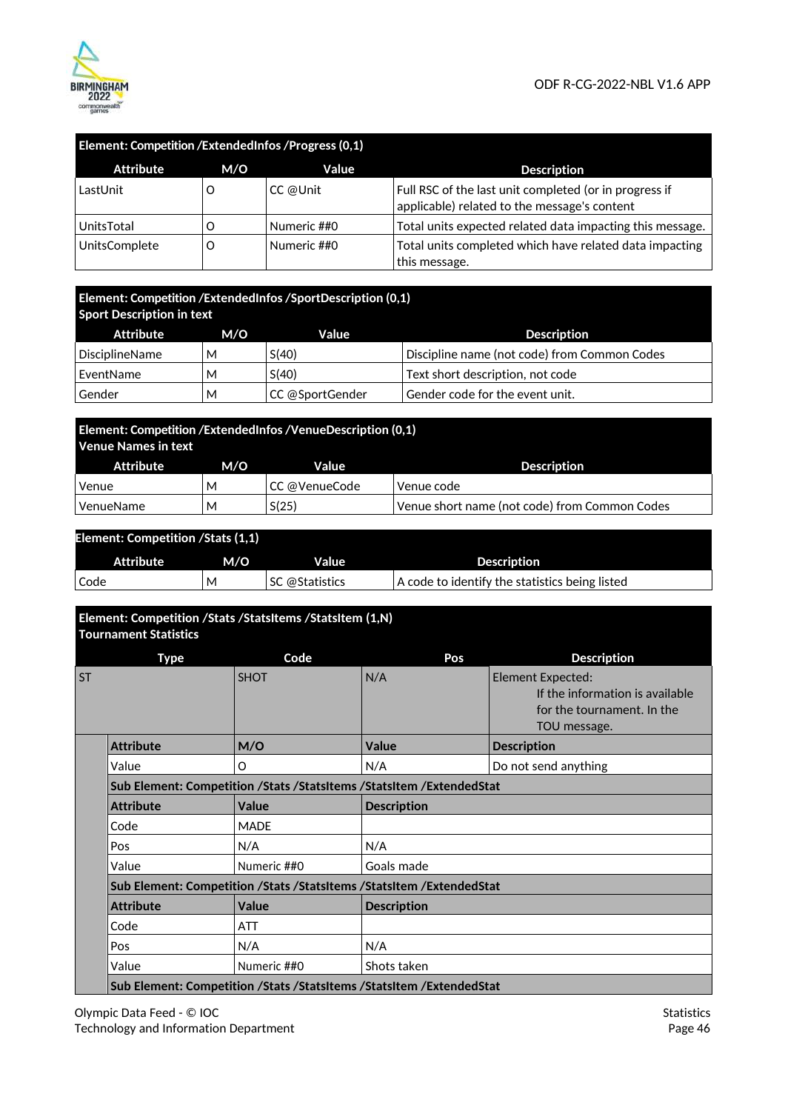



| Element: Competition / Extended Infos / Progress (0,1) |     |             |                                                                                                        |
|--------------------------------------------------------|-----|-------------|--------------------------------------------------------------------------------------------------------|
| <b>Attribute</b>                                       | M/O | Value       | <b>Description</b>                                                                                     |
| LastUnit                                               |     | CC @Unit    | Full RSC of the last unit completed (or in progress if<br>applicable) related to the message's content |
| UnitsTotal                                             |     | Numeric ##0 | Total units expected related data impacting this message.                                              |
| <b>UnitsComplete</b>                                   |     | Numeric ##0 | Total units completed which have related data impacting<br>this message.                               |

### **Element: Competition /ExtendedInfos /SportDescription (0,1) Sport Description in text**

| Attribute             | M/O | Value           | <b>Description</b>                           |  |  |
|-----------------------|-----|-----------------|----------------------------------------------|--|--|
| <b>DisciplineName</b> | м   | S(40)           | Discipline name (not code) from Common Codes |  |  |
| EventName             | M   | S(40)           | Text short description, not code             |  |  |
| Gender                | M   | CC @SportGender | Gender code for the event unit.              |  |  |

| Element: Competition /ExtendedInfos /VenueDescription (0,1)<br>Venue Names in text |     |                |                                               |  |  |  |
|------------------------------------------------------------------------------------|-----|----------------|-----------------------------------------------|--|--|--|
| Attribute                                                                          | M/O | Value          | <b>Description</b>                            |  |  |  |
| Venue                                                                              | м   | ∣CC @VenueCode | Venue code                                    |  |  |  |
| VenueName                                                                          | М   | S(25)          | Venue short name (not code) from Common Codes |  |  |  |

| <b>Element: Competition / Stats (1,1)</b> |     |                |                                                |  |  |  |
|-------------------------------------------|-----|----------------|------------------------------------------------|--|--|--|
| Attribute                                 | M/O | Value          | <b>Description</b>                             |  |  |  |
| Code                                      | M   | SC @Statistics | A code to identify the statistics being listed |  |  |  |

|           | Element: Competition /Stats /StatsItems /StatsItem (1,N)<br><b>Tournament Statistics</b> |              |                                                                      |                                                                                                    |  |  |  |
|-----------|------------------------------------------------------------------------------------------|--------------|----------------------------------------------------------------------|----------------------------------------------------------------------------------------------------|--|--|--|
|           | <b>Type</b>                                                                              | Code         | Pos                                                                  | <b>Description</b>                                                                                 |  |  |  |
| <b>ST</b> |                                                                                          | <b>SHOT</b>  | N/A                                                                  | Element Expected:<br>If the information is available<br>for the tournament. In the<br>TOU message. |  |  |  |
|           | <b>Attribute</b>                                                                         | M/O          | Value                                                                | <b>Description</b>                                                                                 |  |  |  |
|           | Value                                                                                    | O            | N/A                                                                  | Do not send anything                                                                               |  |  |  |
|           |                                                                                          |              | Sub Element: Competition /Stats /StatsItems /StatsItem /ExtendedStat |                                                                                                    |  |  |  |
|           | <b>Attribute</b>                                                                         | <b>Value</b> | <b>Description</b>                                                   |                                                                                                    |  |  |  |
|           | Code                                                                                     | <b>MADE</b>  |                                                                      |                                                                                                    |  |  |  |
|           | Pos                                                                                      | N/A          | N/A                                                                  |                                                                                                    |  |  |  |
|           | Value                                                                                    | Numeric ##0  | Goals made                                                           |                                                                                                    |  |  |  |
|           |                                                                                          |              | Sub Element: Competition /Stats /StatsItems /StatsItem /ExtendedStat |                                                                                                    |  |  |  |
|           | <b>Attribute</b>                                                                         | Value        | <b>Description</b>                                                   |                                                                                                    |  |  |  |
|           | Code                                                                                     | <b>ATT</b>   |                                                                      |                                                                                                    |  |  |  |
|           | Pos                                                                                      | N/A          | N/A                                                                  |                                                                                                    |  |  |  |
|           | Value                                                                                    | Numeric ##0  | Shots taken                                                          |                                                                                                    |  |  |  |
|           | Sub Element: Competition / Stats / StatsItems / StatsItem / Extended Stat                |              |                                                                      |                                                                                                    |  |  |  |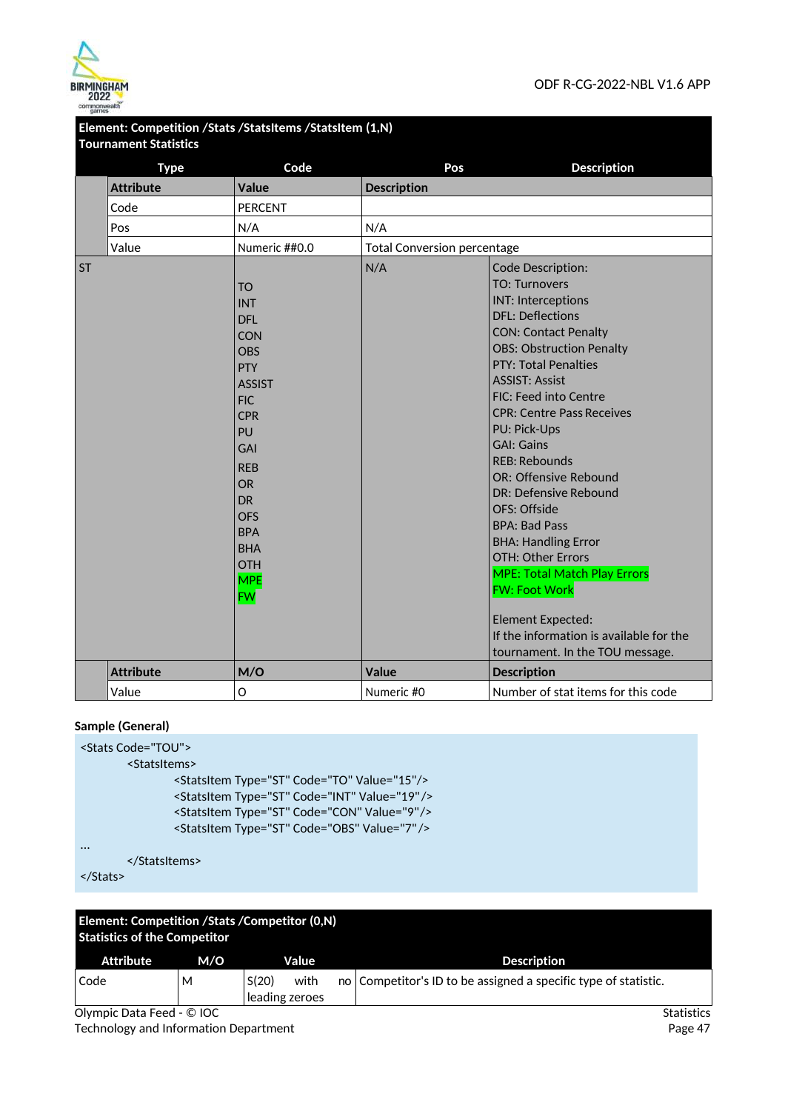

|           | Tournament Statistics |                                                                                                                                                                                                                                                                      |                                    |                                                                                                                                                                                                                                                                                                                                                                                                                                                                                                                                                                                                                                                                                    |
|-----------|-----------------------|----------------------------------------------------------------------------------------------------------------------------------------------------------------------------------------------------------------------------------------------------------------------|------------------------------------|------------------------------------------------------------------------------------------------------------------------------------------------------------------------------------------------------------------------------------------------------------------------------------------------------------------------------------------------------------------------------------------------------------------------------------------------------------------------------------------------------------------------------------------------------------------------------------------------------------------------------------------------------------------------------------|
|           | <b>Type</b>           | Code                                                                                                                                                                                                                                                                 | Pos                                | <b>Description</b>                                                                                                                                                                                                                                                                                                                                                                                                                                                                                                                                                                                                                                                                 |
|           | <b>Attribute</b>      | <b>Value</b>                                                                                                                                                                                                                                                         | <b>Description</b>                 |                                                                                                                                                                                                                                                                                                                                                                                                                                                                                                                                                                                                                                                                                    |
|           | Code                  | <b>PERCENT</b>                                                                                                                                                                                                                                                       |                                    |                                                                                                                                                                                                                                                                                                                                                                                                                                                                                                                                                                                                                                                                                    |
|           | Pos                   | N/A                                                                                                                                                                                                                                                                  | N/A                                |                                                                                                                                                                                                                                                                                                                                                                                                                                                                                                                                                                                                                                                                                    |
|           | Value                 | Numeric ##0.0                                                                                                                                                                                                                                                        | <b>Total Conversion percentage</b> |                                                                                                                                                                                                                                                                                                                                                                                                                                                                                                                                                                                                                                                                                    |
| <b>ST</b> |                       | <b>TO</b><br><b>INT</b><br><b>DFL</b><br>CON<br><b>OBS</b><br><b>PTY</b><br><b>ASSIST</b><br><b>FIC</b><br><b>CPR</b><br>PU<br><b>GAI</b><br><b>REB</b><br><b>OR</b><br><b>DR</b><br><b>OFS</b><br><b>BPA</b><br><b>BHA</b><br><b>OTH</b><br><b>MPE</b><br><b>FW</b> | N/A                                | Code Description:<br><b>TO: Turnovers</b><br><b>INT: Interceptions</b><br><b>DFL: Deflections</b><br><b>CON: Contact Penalty</b><br><b>OBS: Obstruction Penalty</b><br><b>PTY: Total Penalties</b><br><b>ASSIST: Assist</b><br>FIC: Feed into Centre<br><b>CPR: Centre Pass Receives</b><br><b>PU: Pick-Ups</b><br><b>GAI: Gains</b><br>RFB: Rebounds<br>OR: Offensive Rebound<br>DR: Defensive Rebound<br>OFS: Offside<br><b>BPA: Bad Pass</b><br><b>BHA: Handling Error</b><br><b>OTH: Other Errors</b><br><b>MPE: Total Match Play Errors</b><br><b>FW: Foot Work</b><br><b>Element Expected:</b><br>If the information is available for the<br>tournament. In the TOU message. |
|           | <b>Attribute</b>      | M/O                                                                                                                                                                                                                                                                  | <b>Value</b>                       | <b>Description</b>                                                                                                                                                                                                                                                                                                                                                                                                                                                                                                                                                                                                                                                                 |
|           | Value                 | O                                                                                                                                                                                                                                                                    | Numeric #0                         | Number of stat items for this code                                                                                                                                                                                                                                                                                                                                                                                                                                                                                                                                                                                                                                                 |

### **Element: Competition /Stats /StatsItems /StatsItem (1,N) Tournament Statistics**

### **Sample (General)**

| <stats code="TOU"></stats> |                                                         |
|----------------------------|---------------------------------------------------------|
| <statsitems></statsitems>  |                                                         |
|                            | <statsitem code="TO" type="ST" value="15"></statsitem>  |
|                            | <statsitem code="INT" type="ST" value="19"></statsitem> |
|                            | <statsitem code="CON" type="ST" value="9"></statsitem>  |
|                            | <statsitem code="OBS" type="ST" value="7"></statsitem>  |
|                            |                                                         |
|                            |                                                         |

```
</Stats>
```

| Element: Competition / Stats / Competitor (0, N)<br><b>Statistics of the Competitor</b> |     |                                 |  |                                                                 |  |  |
|-----------------------------------------------------------------------------------------|-----|---------------------------------|--|-----------------------------------------------------------------|--|--|
| Attribute                                                                               | M/O | Value                           |  | <b>Description</b>                                              |  |  |
| Code                                                                                    | м   | S(20)<br>with<br>leading zeroes |  | no Competitor's ID to be assigned a specific type of statistic. |  |  |

Olympic Data Feed - © IOC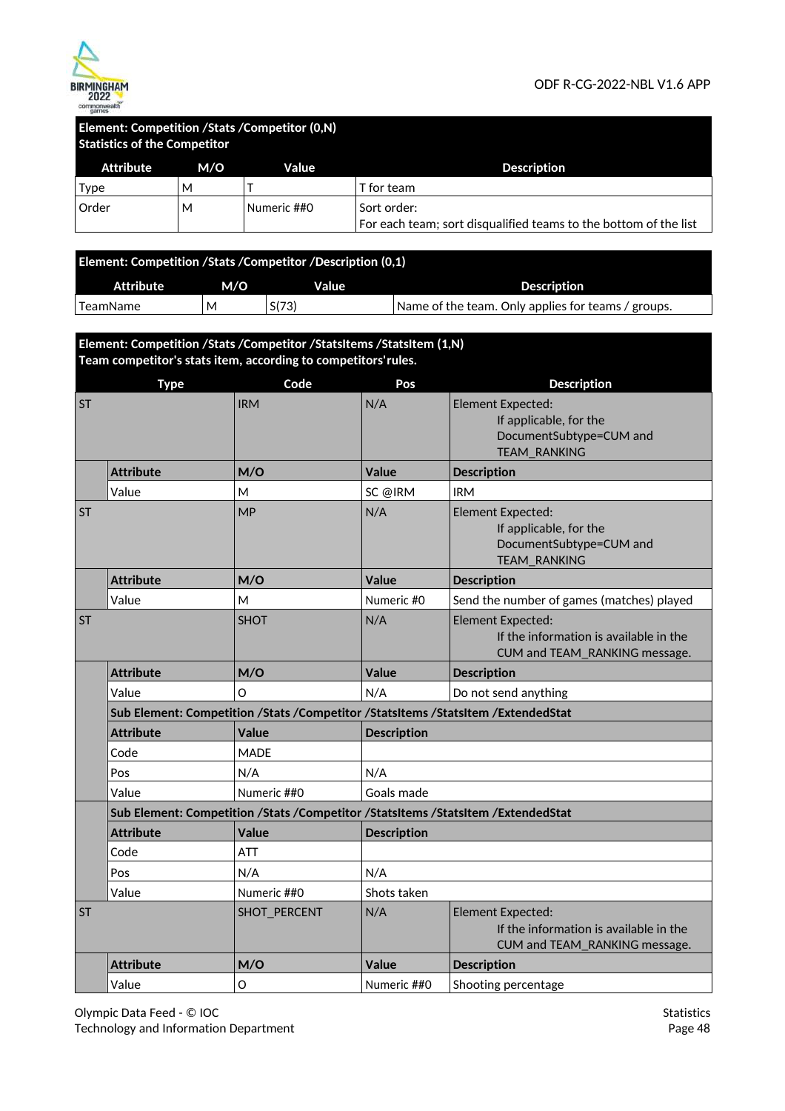

### **Element: Competition /Stats /Competitor (0,N) Statistics of the Competitor**

| <b>Attribute</b> | M/O | Value       | <b>Description</b>                                               |  |
|------------------|-----|-------------|------------------------------------------------------------------|--|
| Type             | м   |             | T for team                                                       |  |
| Order            | M   | Numeric ##0 | Sort order:                                                      |  |
|                  |     |             | For each team; sort disqualified teams to the bottom of the list |  |

| Element: Competition /Stats /Competitor /Description (0,1) |     |       |                                                    |  |  |  |
|------------------------------------------------------------|-----|-------|----------------------------------------------------|--|--|--|
| Attribute                                                  | M/O | Value | <b>Description</b>                                 |  |  |  |
| TeamName                                                   | M   | S(73) | Name of the team. Only applies for teams / groups. |  |  |  |

**Element: Competition /Stats /Competitor /StatsItems /StatsItem (1,N) Team competitor's stats item, according to competitors' rules.** 

|           | <b>Type</b>      | Code         | Pos                | <b>Description</b>                                                                                   |
|-----------|------------------|--------------|--------------------|------------------------------------------------------------------------------------------------------|
| <b>ST</b> |                  | <b>IRM</b>   | N/A                | <b>Element Expected:</b><br>If applicable, for the<br>DocumentSubtype=CUM and<br><b>TEAM RANKING</b> |
|           | <b>Attribute</b> | M/O          | Value              | <b>Description</b>                                                                                   |
|           | Value            | M            | SC @IRM            | <b>IRM</b>                                                                                           |
| <b>ST</b> |                  | <b>MP</b>    | N/A                | Element Expected:<br>If applicable, for the<br>DocumentSubtype=CUM and<br>TEAM_RANKING               |
|           | <b>Attribute</b> | M/O          | Value              | <b>Description</b>                                                                                   |
|           | Value            | M            | Numeric #0         | Send the number of games (matches) played                                                            |
| <b>ST</b> |                  | <b>SHOT</b>  | N/A                | <b>Element Expected:</b><br>If the information is available in the<br>CUM and TEAM_RANKING message.  |
|           | <b>Attribute</b> | M/O          | Value              | <b>Description</b>                                                                                   |
|           | Value            | O            | N/A                | Do not send anything                                                                                 |
|           |                  |              |                    | Sub Element: Competition /Stats /Competitor /StatsItems /StatsItem /ExtendedStat                     |
|           | <b>Attribute</b> | <b>Value</b> | <b>Description</b> |                                                                                                      |
|           | Code             | <b>MADE</b>  |                    |                                                                                                      |
|           | Pos              | N/A          | N/A                |                                                                                                      |
|           | Value            | Numeric ##0  | Goals made         |                                                                                                      |
|           |                  |              |                    | Sub Element: Competition /Stats /Competitor /StatsItems /StatsItem /ExtendedStat                     |
|           | <b>Attribute</b> | Value        | <b>Description</b> |                                                                                                      |
|           | Code             | <b>ATT</b>   |                    |                                                                                                      |
|           | Pos              | N/A          | N/A                |                                                                                                      |
|           | Value            | Numeric ##0  | Shots taken        |                                                                                                      |
| <b>ST</b> |                  | SHOT_PERCENT | N/A                | <b>Element Expected:</b><br>If the information is available in the<br>CUM and TEAM_RANKING message.  |
|           | <b>Attribute</b> | M/O          | Value              | <b>Description</b>                                                                                   |
|           | Value            | O            | Numeric ##0        | Shooting percentage                                                                                  |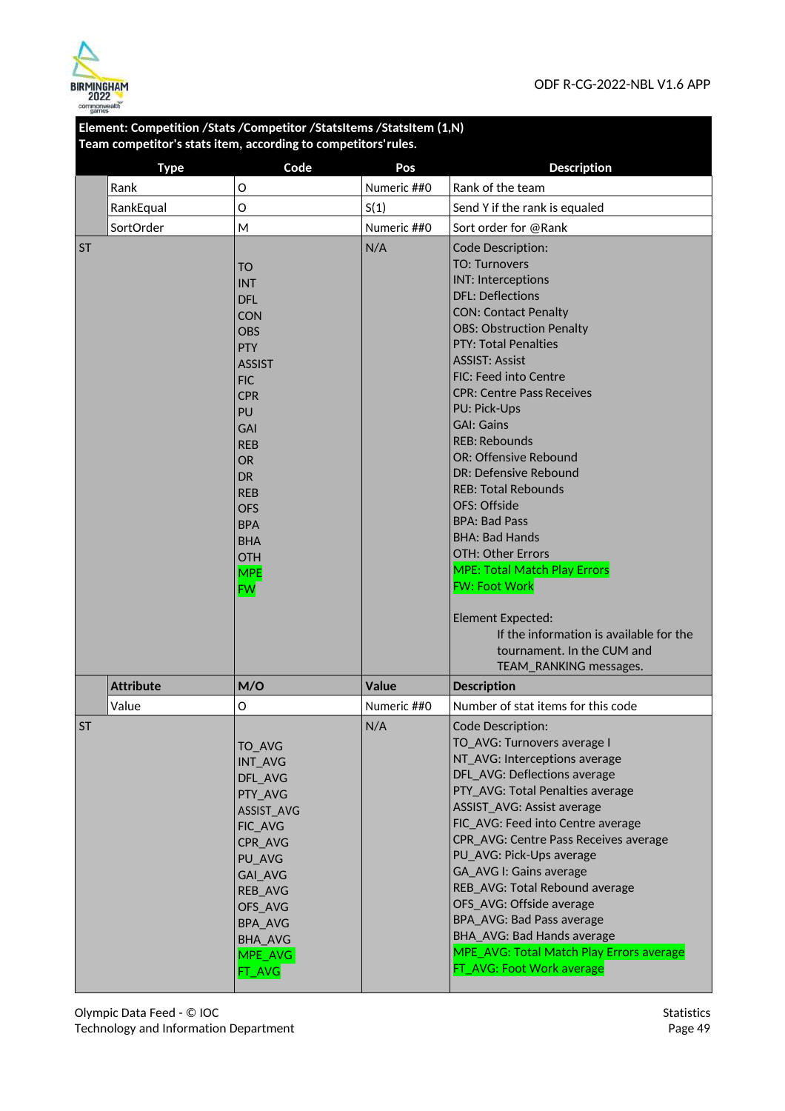

### **Element: Competition /Stats /Competitor /StatsItems /StatsItem (1,N) Team competitor's stats item, according to competitors' rules.**

|           | <b>Type</b>      | Code                     | Pos          | <b>Description</b>                                    |
|-----------|------------------|--------------------------|--------------|-------------------------------------------------------|
|           | Rank             | O                        | Numeric ##0  | Rank of the team                                      |
|           | RankEqual        | O                        | S(1)         | Send Y if the rank is equaled                         |
|           | SortOrder        | M                        | Numeric ##0  | Sort order for @Rank                                  |
| <b>ST</b> |                  |                          | N/A          | Code Description:                                     |
|           |                  | <b>TO</b>                |              | <b>TO: Turnovers</b>                                  |
|           |                  | <b>INT</b>               |              | <b>INT: Interceptions</b>                             |
|           |                  | <b>DFL</b>               |              | <b>DFL: Deflections</b>                               |
|           |                  | <b>CON</b>               |              | <b>CON: Contact Penalty</b>                           |
|           |                  | <b>OBS</b>               |              | <b>OBS: Obstruction Penalty</b>                       |
|           |                  | <b>PTY</b>               |              | <b>PTY: Total Penalties</b>                           |
|           |                  | <b>ASSIST</b>            |              | <b>ASSIST: Assist</b>                                 |
|           |                  | <b>FIC</b>               |              | FIC: Feed into Centre                                 |
|           |                  | <b>CPR</b>               |              | <b>CPR: Centre Pass Receives</b>                      |
|           |                  | PU                       |              | PU: Pick-Ups<br><b>GAI: Gains</b>                     |
|           |                  | <b>GAI</b>               |              | <b>RFB: Rebounds</b>                                  |
|           |                  | <b>REB</b>               |              | OR: Offensive Rebound                                 |
|           |                  | <b>OR</b><br><b>DR</b>   |              | DR: Defensive Rebound                                 |
|           |                  | <b>REB</b>               |              | <b>REB: Total Rebounds</b>                            |
|           |                  | <b>OFS</b>               |              | OFS: Offside                                          |
|           |                  | <b>BPA</b>               |              | <b>BPA: Bad Pass</b>                                  |
|           |                  | <b>BHA</b>               |              | <b>BHA: Bad Hands</b>                                 |
|           |                  | <b>OTH</b>               |              | OTH: Other Errors                                     |
|           |                  | <b>MPE</b>               |              | <b>MPE: Total Match Play Errors</b>                   |
|           |                  | <b>FW</b>                |              | <b>FW: Foot Work</b>                                  |
|           |                  |                          |              | Element Expected:                                     |
|           |                  |                          |              | If the information is available for the               |
|           |                  |                          |              | tournament. In the CUM and                            |
|           |                  |                          |              | TEAM_RANKING messages.                                |
|           | <b>Attribute</b> | M/O                      | <b>Value</b> | <b>Description</b>                                    |
|           | Value            | O                        | Numeric ##0  | Number of stat items for this code                    |
| <b>ST</b> |                  |                          | N/A          | Code Description:                                     |
|           |                  | TO_AVG                   |              | TO_AVG: Turnovers average I                           |
|           |                  | INT_AVG                  |              | NT_AVG: Interceptions average                         |
|           |                  | DFL_AVG                  |              | DFL AVG: Deflections average                          |
|           |                  | PTY_AVG                  |              | PTY_AVG: Total Penalties average                      |
|           |                  | ASSIST_AVG               |              | ASSIST_AVG: Assist average                            |
|           |                  | FIC_AVG                  |              | FIC_AVG: Feed into Centre average                     |
|           |                  | CPR_AVG                  |              | CPR AVG: Centre Pass Receives average                 |
|           |                  | PU_AVG                   |              | PU_AVG: Pick-Ups average                              |
|           |                  | GAI_AVG                  |              | GA AVG I: Gains average                               |
|           |                  | REB_AVG                  |              | REB_AVG: Total Rebound average                        |
|           |                  | OFS_AVG                  |              | OFS_AVG: Offside average<br>BPA_AVG: Bad Pass average |
|           |                  | <b>BPA_AVG</b>           |              | BHA_AVG: Bad Hands average                            |
|           |                  | <b>BHA AVG</b>           |              | MPE_AVG: Total Match Play Errors average              |
|           |                  | MPE_AVG<br><b>FT_AVG</b> |              | FT_AVG: Foot Work average                             |
|           |                  |                          |              |                                                       |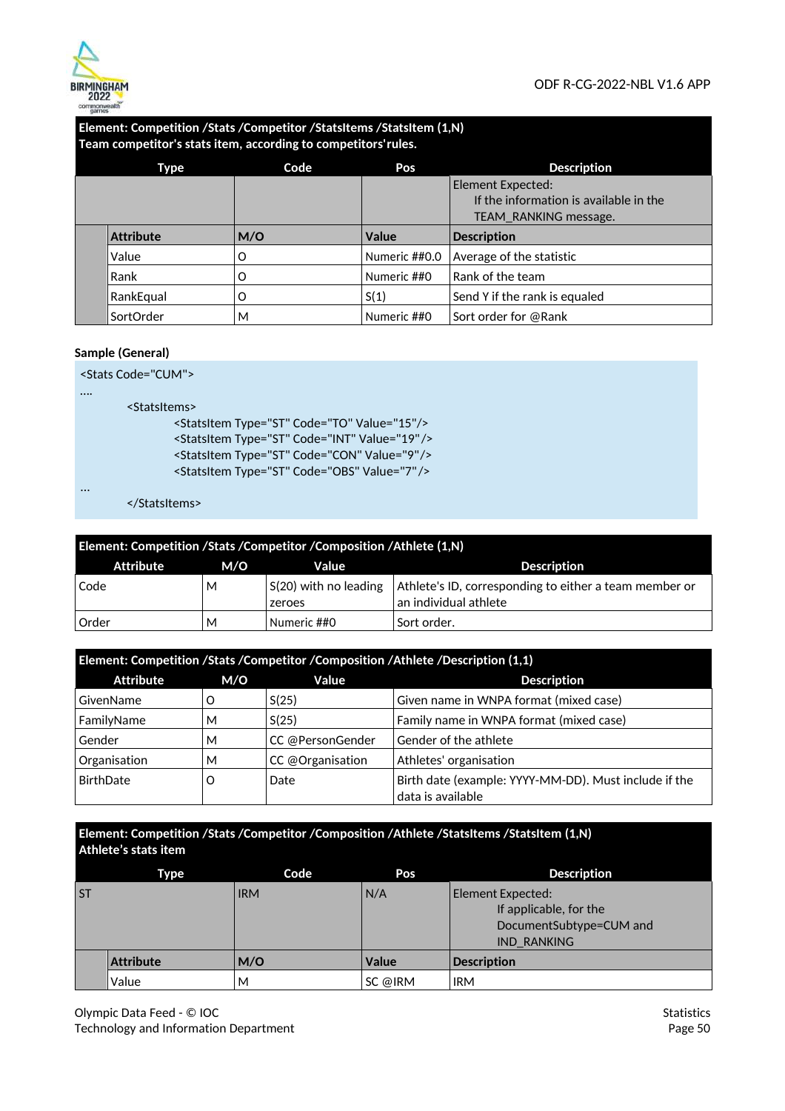

### **Element: Competition /Stats /Competitor /StatsItems /StatsItem (1,N) Team competitor's stats item, according to competitors' rules.**

| Type             | Code | Pos           | <b>Description</b>                     |
|------------------|------|---------------|----------------------------------------|
|                  |      |               | Element Expected:                      |
|                  |      |               | If the information is available in the |
|                  |      |               | TEAM RANKING message.                  |
| <b>Attribute</b> | M/O  | <b>Value</b>  | <b>Description</b>                     |
| Value            | Ω    | Numeric ##0.0 | Average of the statistic               |
| Rank             | O    | Numeric ##0   | Rank of the team                       |
| RankEqual        | O    | S(1)          | Send Y if the rank is equaled          |
| SortOrder        | М    | Numeric ##0   | Sort order for @Rank                   |

#### **Sample (General)**

<Stats Code="CUM">

….

...

<StatsItems>

<StatsItem Type="ST" Code="TO" Value="15"/> <StatsItem Type="ST" Code="INT" Value="19" /> <StatsItem Type="ST" Code="CON" Value="9" /> <StatsItem Type="ST" Code="OBS" Value="7" />

</StatsItems>

| Element: Competition /Stats /Competitor /Composition /Athlete (1,N) |     |                                         |                                                                                 |  |  |
|---------------------------------------------------------------------|-----|-----------------------------------------|---------------------------------------------------------------------------------|--|--|
| Attribute                                                           | M/O | Value                                   | <b>Description</b>                                                              |  |  |
| Code                                                                | м   | $\vert$ S(20) with no leading<br>zeroes | Athlete's ID, corresponding to either a team member or<br>an individual athlete |  |  |
| Order                                                               | м   | Numeric ##0                             | Sort order.                                                                     |  |  |

### **Element: Competition /Stats /Competitor /Composition /Athlete /Description (1,1)**

| Attribute    | M/O | Value            | <b>Description</b>                                                         |
|--------------|-----|------------------|----------------------------------------------------------------------------|
| GivenName    |     | S(25)            | Given name in WNPA format (mixed case)                                     |
| FamilyName   | М   | S(25)            | Family name in WNPA format (mixed case)                                    |
| Gender       | М   | CC @PersonGender | Gender of the athlete                                                      |
| Organisation | М   | CC @Organisation | Athletes' organisation                                                     |
| BirthDate    | O   | Date             | Birth date (example: YYYY-MM-DD). Must include if the<br>data is available |

### **Element: Competition /Stats /Competitor /Composition /Athlete /StatsItems /StatsItem (1,N) Athlete's stats item**

|           | Type             | Code       | Pos          | <b>Description</b>                                                                           |
|-----------|------------------|------------|--------------|----------------------------------------------------------------------------------------------|
| <b>ST</b> |                  | <b>IRM</b> | N/A          | Element Expected:<br>If applicable, for the<br>DocumentSubtype=CUM and<br><b>IND RANKING</b> |
|           | <b>Attribute</b> | M/O        | <b>Value</b> | <b>Description</b>                                                                           |
|           | Value            | M          | SC @IRM      | <b>IRM</b>                                                                                   |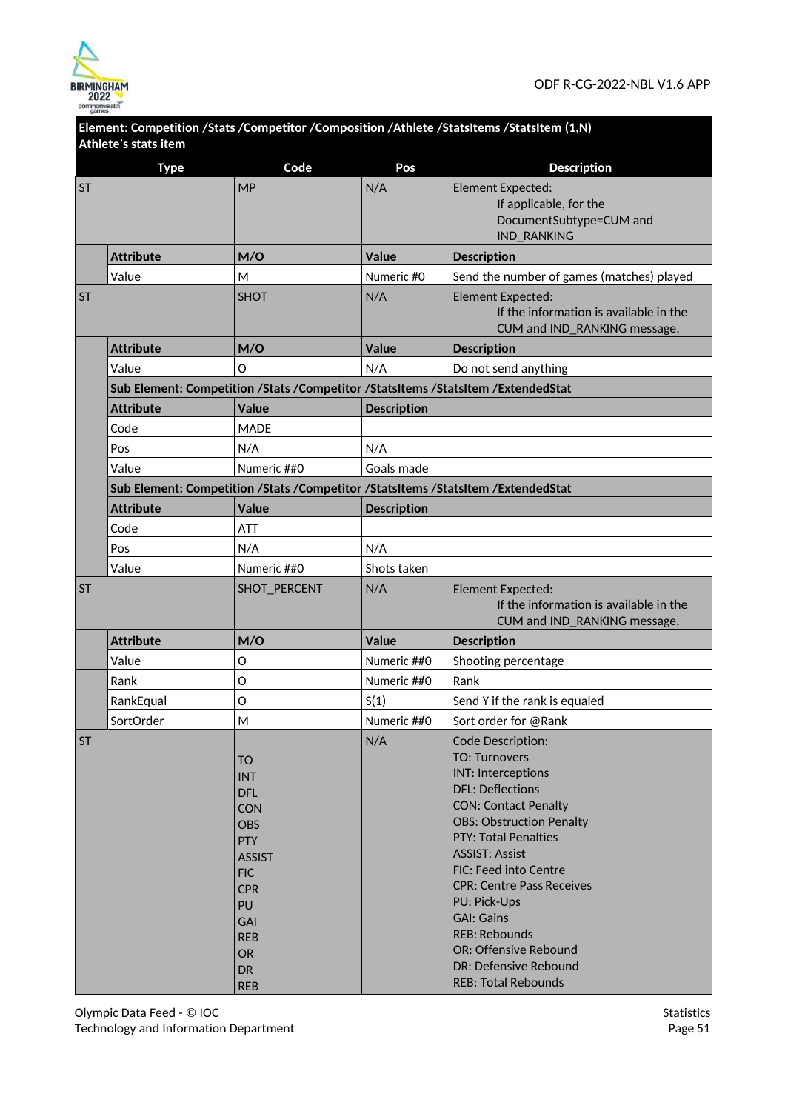

| Athlete's stats item | <b>Type</b>      | Code                                                                                                                                                                                                   | Pos                | <b>Description</b>                                                                                                                                                                                                                                                                                                                                                                                                                    |
|----------------------|------------------|--------------------------------------------------------------------------------------------------------------------------------------------------------------------------------------------------------|--------------------|---------------------------------------------------------------------------------------------------------------------------------------------------------------------------------------------------------------------------------------------------------------------------------------------------------------------------------------------------------------------------------------------------------------------------------------|
| <b>ST</b>            |                  | <b>MP</b>                                                                                                                                                                                              | N/A                | Element Expected:<br>If applicable, for the<br>DocumentSubtype=CUM and<br><b>IND_RANKING</b>                                                                                                                                                                                                                                                                                                                                          |
|                      | <b>Attribute</b> | M/O                                                                                                                                                                                                    | <b>Value</b>       | <b>Description</b>                                                                                                                                                                                                                                                                                                                                                                                                                    |
|                      | Value            | М                                                                                                                                                                                                      | Numeric #0         | Send the number of games (matches) played                                                                                                                                                                                                                                                                                                                                                                                             |
| <b>ST</b>            |                  | <b>SHOT</b>                                                                                                                                                                                            | N/A                | Element Expected:<br>If the information is available in the<br>CUM and IND_RANKING message.                                                                                                                                                                                                                                                                                                                                           |
|                      | <b>Attribute</b> | M/O                                                                                                                                                                                                    | <b>Value</b>       | <b>Description</b>                                                                                                                                                                                                                                                                                                                                                                                                                    |
|                      | Value            | $\circ$                                                                                                                                                                                                | N/A                | Do not send anything                                                                                                                                                                                                                                                                                                                                                                                                                  |
|                      |                  |                                                                                                                                                                                                        |                    | Sub Element: Competition /Stats /Competitor /StatsItems /StatsItem /ExtendedStat                                                                                                                                                                                                                                                                                                                                                      |
|                      | <b>Attribute</b> | <b>Value</b>                                                                                                                                                                                           | <b>Description</b> |                                                                                                                                                                                                                                                                                                                                                                                                                                       |
|                      | Code             | <b>MADE</b>                                                                                                                                                                                            |                    |                                                                                                                                                                                                                                                                                                                                                                                                                                       |
|                      | Pos              | N/A                                                                                                                                                                                                    | N/A                |                                                                                                                                                                                                                                                                                                                                                                                                                                       |
|                      | Value            | Numeric ##0                                                                                                                                                                                            | Goals made         |                                                                                                                                                                                                                                                                                                                                                                                                                                       |
|                      |                  |                                                                                                                                                                                                        |                    | Sub Element: Competition /Stats /Competitor /StatsItems /StatsItem /ExtendedStat                                                                                                                                                                                                                                                                                                                                                      |
|                      | <b>Attribute</b> | <b>Value</b>                                                                                                                                                                                           | <b>Description</b> |                                                                                                                                                                                                                                                                                                                                                                                                                                       |
|                      | Code             | <b>ATT</b>                                                                                                                                                                                             |                    |                                                                                                                                                                                                                                                                                                                                                                                                                                       |
|                      | Pos              | N/A                                                                                                                                                                                                    | N/A                |                                                                                                                                                                                                                                                                                                                                                                                                                                       |
|                      | Value            | Numeric ##0                                                                                                                                                                                            | Shots taken        |                                                                                                                                                                                                                                                                                                                                                                                                                                       |
| <b>ST</b>            |                  | SHOT_PERCENT                                                                                                                                                                                           | N/A                | <b>Element Expected:</b><br>If the information is available in the<br>CUM and IND_RANKING message.                                                                                                                                                                                                                                                                                                                                    |
|                      | <b>Attribute</b> | M/O                                                                                                                                                                                                    | Value              | <b>Description</b>                                                                                                                                                                                                                                                                                                                                                                                                                    |
|                      | Value            | O                                                                                                                                                                                                      | Numeric ##0        | Shooting percentage                                                                                                                                                                                                                                                                                                                                                                                                                   |
|                      | Rank             | O                                                                                                                                                                                                      | Numeric ##0        | Rank                                                                                                                                                                                                                                                                                                                                                                                                                                  |
|                      | RankEqual        | O                                                                                                                                                                                                      | S(1)               | Send Y if the rank is equaled                                                                                                                                                                                                                                                                                                                                                                                                         |
|                      | SortOrder        | M                                                                                                                                                                                                      | Numeric ##0        | Sort order for @Rank                                                                                                                                                                                                                                                                                                                                                                                                                  |
| <b>ST</b>            |                  | <b>TO</b><br><b>INT</b><br><b>DFL</b><br><b>CON</b><br><b>OBS</b><br><b>PTY</b><br><b>ASSIST</b><br><b>FIC</b><br><b>CPR</b><br>PU<br><b>GAI</b><br><b>REB</b><br><b>OR</b><br><b>DR</b><br><b>REB</b> | N/A                | Code Description:<br><b>TO: Turnovers</b><br><b>INT: Interceptions</b><br><b>DFL: Deflections</b><br><b>CON: Contact Penalty</b><br><b>OBS: Obstruction Penalty</b><br><b>PTY: Total Penalties</b><br><b>ASSIST: Assist</b><br>FIC: Feed into Centre<br><b>CPR: Centre Pass Receives</b><br>PU: Pick-Ups<br><b>GAI: Gains</b><br><b>REB: Rebounds</b><br>OR: Offensive Rebound<br>DR: Defensive Rebound<br><b>REB: Total Rebounds</b> |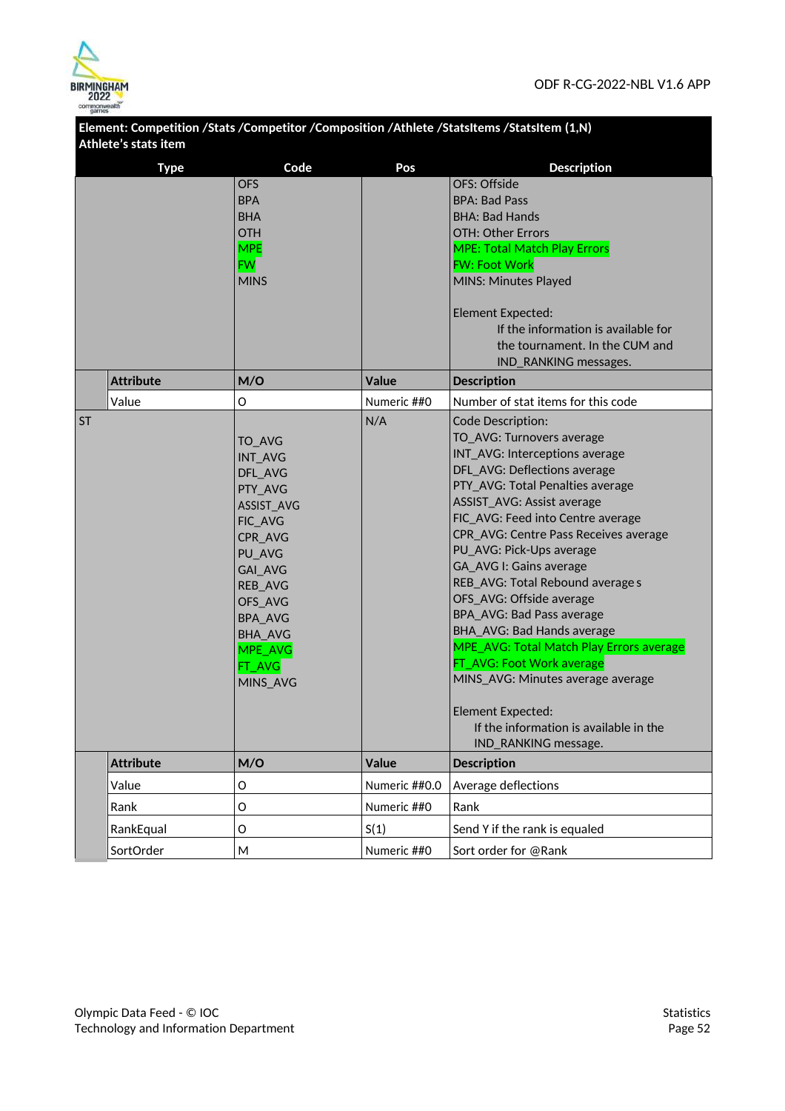

|           | Athlete's stats item |                                                                                                                                                                                                           |               | Element: Competition /Stats /Competitor /Composition /Athlete /StatsItems /StatsItem (1,N)                                                                                                                                                                                                                                                                                                                                                                                                                                                                                                                                                                            |
|-----------|----------------------|-----------------------------------------------------------------------------------------------------------------------------------------------------------------------------------------------------------|---------------|-----------------------------------------------------------------------------------------------------------------------------------------------------------------------------------------------------------------------------------------------------------------------------------------------------------------------------------------------------------------------------------------------------------------------------------------------------------------------------------------------------------------------------------------------------------------------------------------------------------------------------------------------------------------------|
|           | <b>Type</b>          | Code                                                                                                                                                                                                      | Pos           | <b>Description</b>                                                                                                                                                                                                                                                                                                                                                                                                                                                                                                                                                                                                                                                    |
|           |                      | <b>OFS</b><br><b>BPA</b><br><b>BHA</b><br><b>OTH</b><br><b>MPE</b><br><b>FW</b><br><b>MINS</b>                                                                                                            |               | OFS: Offside<br><b>BPA: Bad Pass</b><br><b>BHA: Bad Hands</b><br>OTH: Other Errors<br><b>MPE: Total Match Play Errors</b><br><b>FW: Foot Work</b><br>MINS: Minutes Played<br><b>Element Expected:</b><br>If the information is available for<br>the tournament. In the CUM and                                                                                                                                                                                                                                                                                                                                                                                        |
|           | <b>Attribute</b>     | M/O                                                                                                                                                                                                       | <b>Value</b>  | IND_RANKING messages.<br><b>Description</b>                                                                                                                                                                                                                                                                                                                                                                                                                                                                                                                                                                                                                           |
|           | Value                | O                                                                                                                                                                                                         | Numeric ##0   | Number of stat items for this code                                                                                                                                                                                                                                                                                                                                                                                                                                                                                                                                                                                                                                    |
| <b>ST</b> |                      | TO_AVG<br><b>INT AVG</b><br>DFL_AVG<br>PTY_AVG<br>ASSIST_AVG<br>FIC_AVG<br>CPR_AVG<br>PU_AVG<br>GAI_AVG<br><b>REB_AVG</b><br>OFS_AVG<br><b>BPA AVG</b><br><b>BHA_AVG</b><br>MPE_AVG<br>FT_AVG<br>MINS_AVG | N/A           | Code Description:<br>TO_AVG: Turnovers average<br>INT_AVG: Interceptions average<br>DFL_AVG: Deflections average<br>PTY AVG: Total Penalties average<br>ASSIST_AVG: Assist average<br>FIC_AVG: Feed into Centre average<br>CPR_AVG: Centre Pass Receives average<br>PU_AVG: Pick-Ups average<br><b>GA_AVG I: Gains average</b><br>REB_AVG: Total Rebound average s<br>OFS_AVG: Offside average<br>BPA_AVG: Bad Pass average<br>BHA_AVG: Bad Hands average<br>MPE_AVG: Total Match Play Errors average<br>FT_AVG: Foot Work average<br>MINS_AVG: Minutes average average<br><b>Element Expected:</b><br>If the information is available in the<br>IND_RANKING message. |
|           | <b>Attribute</b>     | M/O                                                                                                                                                                                                       | <b>Value</b>  | <b>Description</b>                                                                                                                                                                                                                                                                                                                                                                                                                                                                                                                                                                                                                                                    |
|           | Value                | O                                                                                                                                                                                                         | Numeric ##0.0 | Average deflections                                                                                                                                                                                                                                                                                                                                                                                                                                                                                                                                                                                                                                                   |
|           | Rank                 | O                                                                                                                                                                                                         | Numeric ##0   | Rank                                                                                                                                                                                                                                                                                                                                                                                                                                                                                                                                                                                                                                                                  |
|           | RankEqual            | O                                                                                                                                                                                                         | S(1)          | Send Y if the rank is equaled                                                                                                                                                                                                                                                                                                                                                                                                                                                                                                                                                                                                                                         |
|           | SortOrder            | M                                                                                                                                                                                                         | Numeric ##0   | Sort order for @Rank                                                                                                                                                                                                                                                                                                                                                                                                                                                                                                                                                                                                                                                  |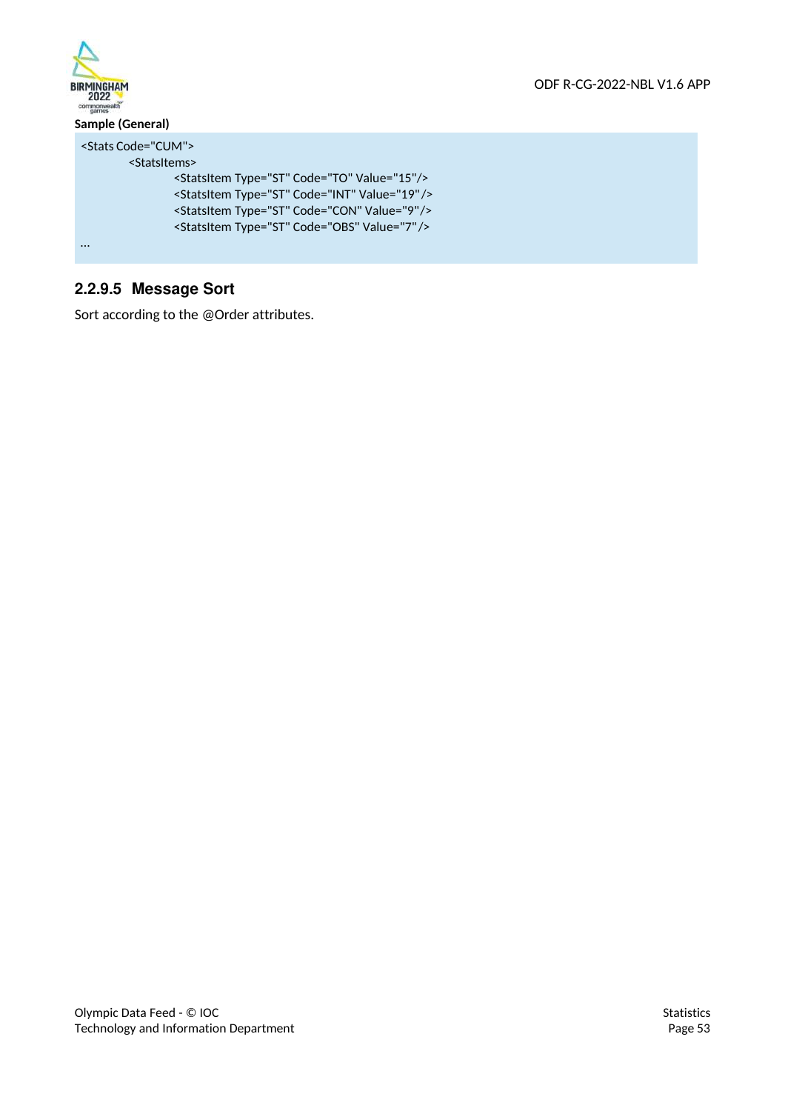

# **2.2.9.5 Message Sort**

Sort according to the @Order attributes.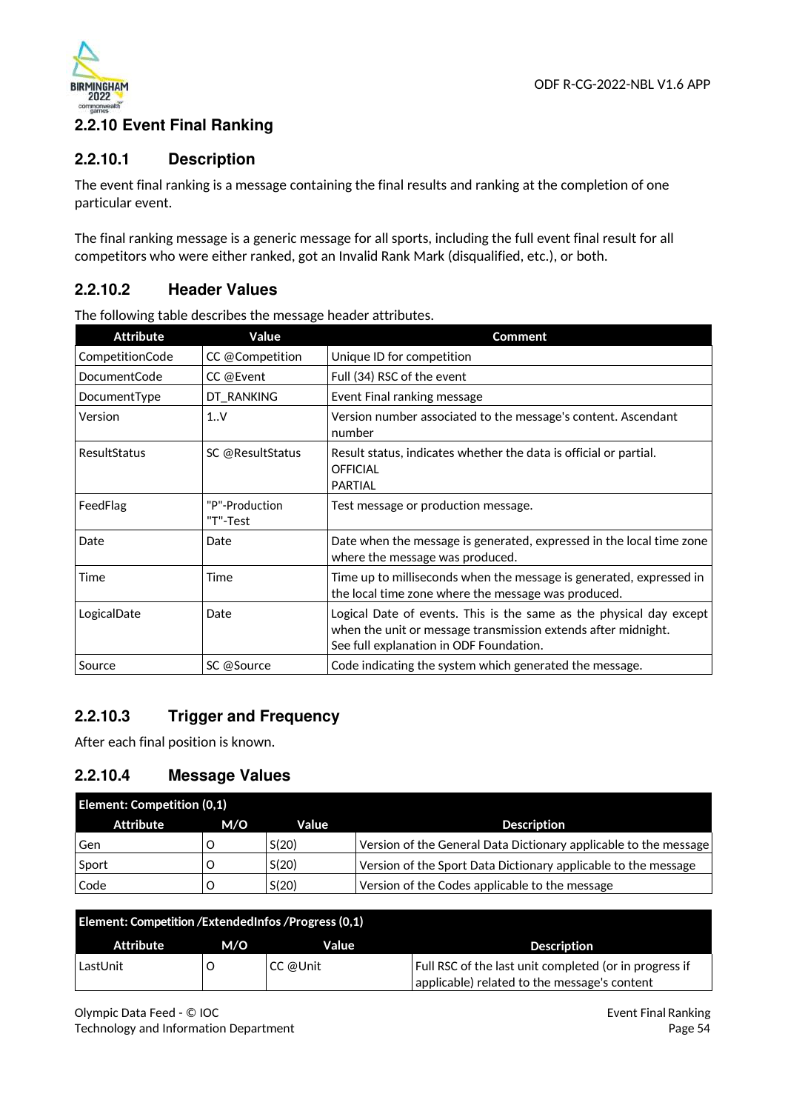

# **2.2.10 Event Final Ranking**

### **2.2.10.1 Description**

The event final ranking is a message containing the final results and ranking at the completion of one particular event.

The final ranking message is a generic message for all sports, including the full event final result for all competitors who were either ranked, got an Invalid Rank Mark (disqualified, etc.), or both.

## **2.2.10.2 Header Values**

| <b>Attribute</b> | Value                      | <b>Comment</b>                                                                                                                                                                  |
|------------------|----------------------------|---------------------------------------------------------------------------------------------------------------------------------------------------------------------------------|
| CompetitionCode  | CC @Competition            | Unique ID for competition                                                                                                                                                       |
| DocumentCode     | CC @Event                  | Full (34) RSC of the event                                                                                                                                                      |
| DocumentType     | DT_RANKING                 | Event Final ranking message                                                                                                                                                     |
| Version          | 1.0 <sub>Y</sub>           | Version number associated to the message's content. Ascendant<br>number                                                                                                         |
| ResultStatus     | SC @ResultStatus           | Result status, indicates whether the data is official or partial.<br><b>OFFICIAL</b><br><b>PARTIAL</b>                                                                          |
| FeedFlag         | "P"-Production<br>"T"-Test | Test message or production message.                                                                                                                                             |
| Date             | Date                       | Date when the message is generated, expressed in the local time zone<br>where the message was produced.                                                                         |
| Time             | Time                       | Time up to milliseconds when the message is generated, expressed in<br>the local time zone where the message was produced.                                                      |
| LogicalDate      | Date                       | Logical Date of events. This is the same as the physical day except<br>when the unit or message transmission extends after midnight.<br>See full explanation in ODF Foundation. |
| Source           | SC @Source                 | Code indicating the system which generated the message.                                                                                                                         |

The following table describes the message header attributes.

# **2.2.10.3 Trigger and Frequency**

After each final position is known.

## **2.2.10.4 Message Values**

| <b>Element: Competition (0,1)</b> |     |       |                                                                  |  |
|-----------------------------------|-----|-------|------------------------------------------------------------------|--|
| Attribute                         | M/O | Value | <b>Description</b>                                               |  |
| Gen                               |     | S(20) | Version of the General Data Dictionary applicable to the message |  |
| Sport                             |     | S(20) | Version of the Sport Data Dictionary applicable to the message   |  |
| Code                              |     | S(20) | Version of the Codes applicable to the message                   |  |

| Element: Competition / Extended Infos / Progress (0,1) |     |          |                                                                                                        |  |  |
|--------------------------------------------------------|-----|----------|--------------------------------------------------------------------------------------------------------|--|--|
| Attribute                                              | M/O | Value    | <b>Description</b>                                                                                     |  |  |
| LastUnit                                               |     | CC @Unit | Full RSC of the last unit completed (or in progress if<br>applicable) related to the message's content |  |  |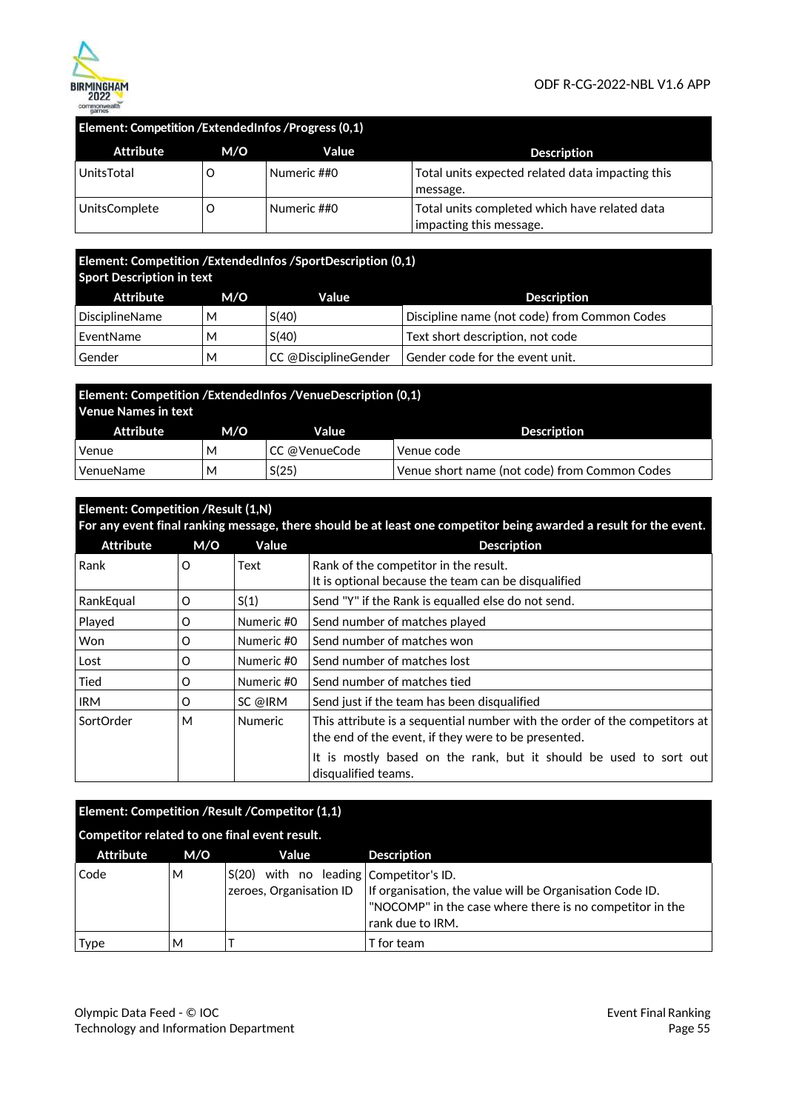

### **Element: Competition /ExtendedInfos /Progress (0,1)**

| Attribute     | M/O | Value       | <b>Description</b>                                                       |
|---------------|-----|-------------|--------------------------------------------------------------------------|
| UnitsTotal    |     | Numeric ##0 | Total units expected related data impacting this<br>message.             |
| UnitsComplete |     | Numeric ##0 | Total units completed which have related data<br>impacting this message. |

### **Element: Competition /ExtendedInfos /SportDescription (0,1) Sport Description in text**

| Attribute      | M/O | Value                | <b>Description</b>                           |
|----------------|-----|----------------------|----------------------------------------------|
| DisciplineName | м   | S(40)                | Discipline name (not code) from Common Codes |
| EventName      | М   | S(40)                | Text short description, not code             |
| Gender         | М   | CC @DisciplineGender | Gender code for the event unit.              |

| Element: Competition / Extended Infos / Venue Description (0,1)<br>Venue Names in text |     |               |                                               |  |  |
|----------------------------------------------------------------------------------------|-----|---------------|-----------------------------------------------|--|--|
| Attribute                                                                              | M/O | Value         | <b>Description</b>                            |  |  |
| Venue                                                                                  | М   | CC @VenueCode | Venue code                                    |  |  |
| VenueName                                                                              | М   | S(25)         | Venue short name (not code) from Common Codes |  |  |

# **Element: Competition /Result (1,N) For any event final ranking message, there should be at least one competitor being awarded a result for the event.** Attribute M/O Value **Description**

| Rank       | O | Text           | Rank of the competitor in the result.<br>It is optional because the team can be disqualified                                      |
|------------|---|----------------|-----------------------------------------------------------------------------------------------------------------------------------|
| RankEqual  | O | S(1)           | Send "Y" if the Rank is equalled else do not send.                                                                                |
| Played     | O | Numeric #0     | Send number of matches played                                                                                                     |
| Won        | O | Numeric #0     | Send number of matches won                                                                                                        |
| Lost       | O | Numeric #0     | Send number of matches lost                                                                                                       |
| Tied       | O | Numeric #0     | Send number of matches tied                                                                                                       |
| <b>IRM</b> | O | SC @IRM        | Send just if the team has been disqualified                                                                                       |
| SortOrder  | М | <b>Numeric</b> | This attribute is a sequential number with the order of the competitors at<br>the end of the event, if they were to be presented. |
|            |   |                | It is mostly based on the rank, but it should be used to sort out<br>disqualified teams.                                          |

| Element: Competition / Result / Competitor (1,1) |     |                                                                   |                                                                                                                                          |  |
|--------------------------------------------------|-----|-------------------------------------------------------------------|------------------------------------------------------------------------------------------------------------------------------------------|--|
| Competitor related to one final event result.    |     |                                                                   |                                                                                                                                          |  |
| <b>Attribute</b>                                 | M/O | Value                                                             | <b>Description</b>                                                                                                                       |  |
| Code                                             | М   | S(20) with no leading Competitor's ID.<br>zeroes, Organisation ID | If organisation, the value will be Organisation Code ID.<br>"NOCOMP" in the case where there is no competitor in the<br>rank due to IRM. |  |
| <b>Type</b>                                      | м   |                                                                   | T for team                                                                                                                               |  |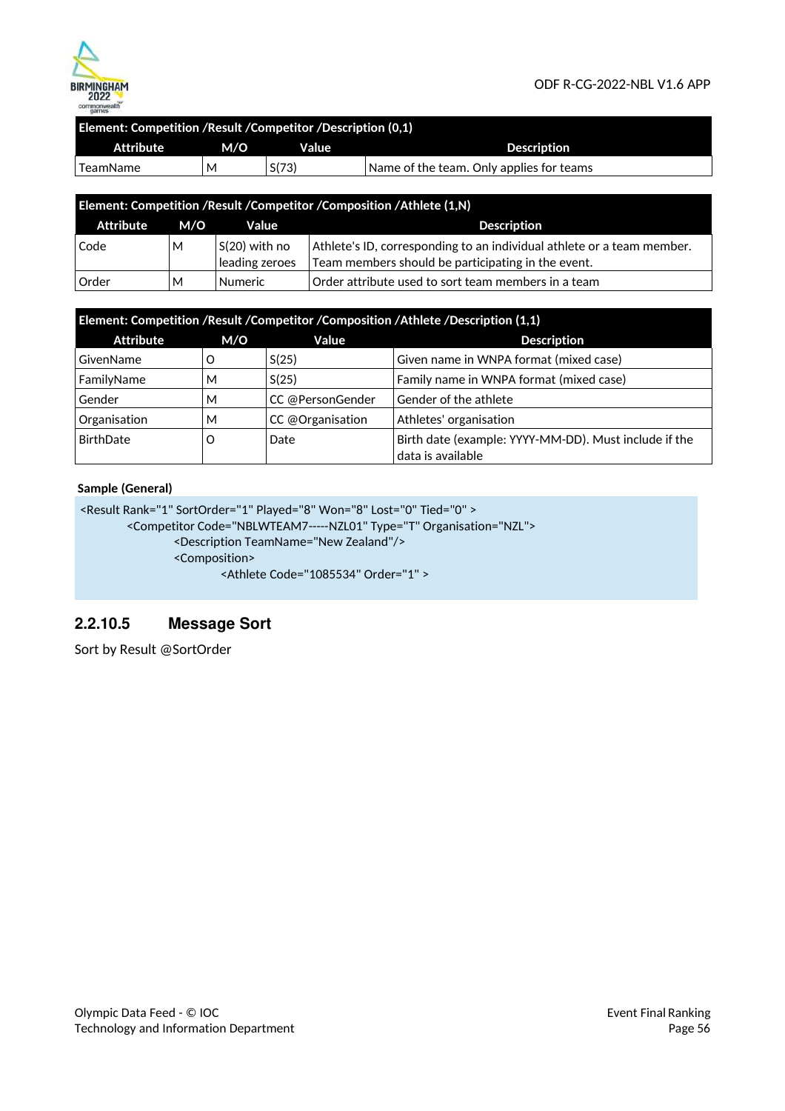

| Element: Competition /Result /Competitor /Description (0.1) |     |       |                                          |
|-------------------------------------------------------------|-----|-------|------------------------------------------|
| Attribute                                                   | M/O | Value | <b>Description</b>                       |
| TeamName                                                    | M   | S(73) | Name of the team. Only applies for teams |
|                                                             |     |       |                                          |

| Element: Competition /Result /Competitor /Composition /Athlete (1,N) |     |                                   |                                                                                                                              |
|----------------------------------------------------------------------|-----|-----------------------------------|------------------------------------------------------------------------------------------------------------------------------|
| Attribute                                                            | M/O | Value                             | <b>Description</b>                                                                                                           |
| Code                                                                 | М   | $S(20)$ with no<br>leading zeroes | Athlete's ID, corresponding to an individual athlete or a team member.<br>Team members should be participating in the event. |
| <b>Order</b>                                                         | М   | <b>Numeric</b>                    | Order attribute used to sort team members in a team                                                                          |

| Element: Competition /Result /Competitor /Composition /Athlete /Description (1,1) |     |                  |                                                                            |
|-----------------------------------------------------------------------------------|-----|------------------|----------------------------------------------------------------------------|
| <b>Attribute</b>                                                                  | M/O | Value            | <b>Description</b>                                                         |
| GivenName                                                                         | O   | S(25)            | Given name in WNPA format (mixed case)                                     |
| FamilyName                                                                        | м   | S(25)            | Family name in WNPA format (mixed case)                                    |
| Gender                                                                            | M   | CC @PersonGender | Gender of the athlete                                                      |
| Organisation                                                                      | M   | CC @Organisation | Athletes' organisation                                                     |
| BirthDate                                                                         | O   | Date             | Birth date (example: YYYY-MM-DD). Must include if the<br>data is available |

### **Sample (General)**

```
<Result Rank="1" SortOrder="1" Played="8" Won="8" Lost="0" Tied="0" > 
        <Competitor Code="NBLWTEAM7 ----- NZL01" Type="T" Organisation="NZL"> 
                <Description TeamName="New Zealand"/> 
                <Composition> 
                        <Athlete Code="1085534" Order="1" >
```
### **2.2.10.5 Message Sort**

Sort by Result @SortOrder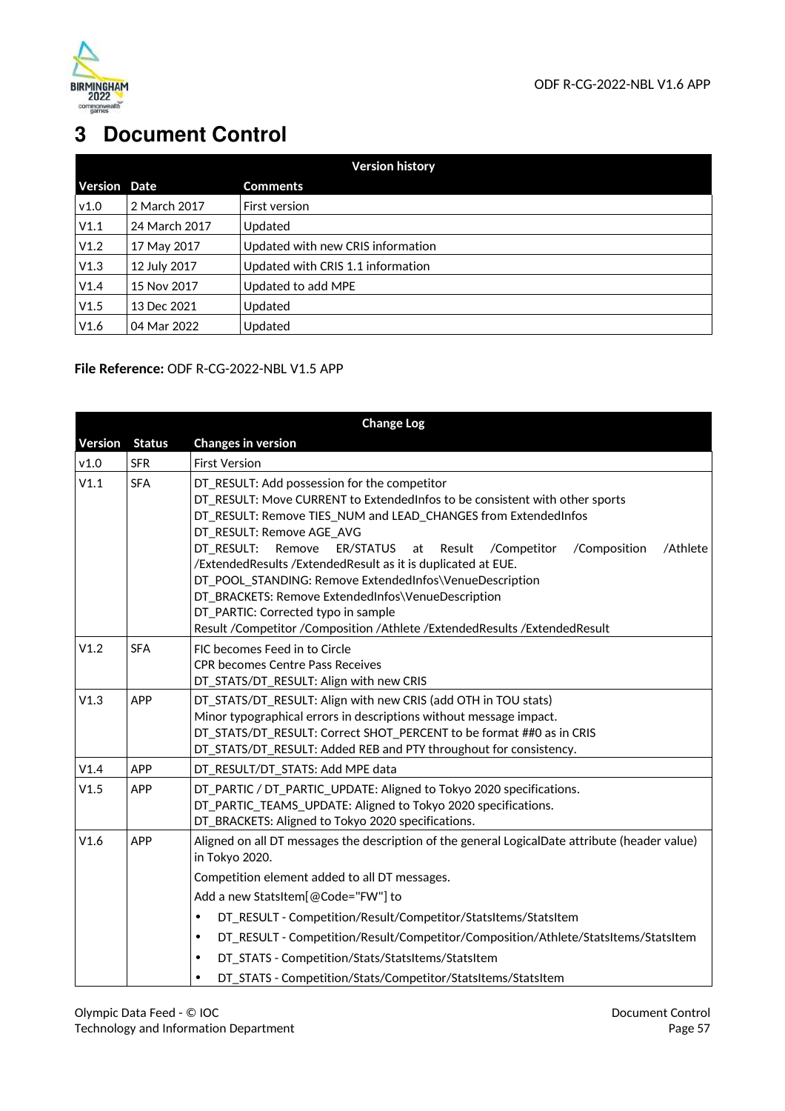

# **3 Document Control**

| <b>Version history</b> |               |                                   |  |
|------------------------|---------------|-----------------------------------|--|
| <b>Version Date</b>    |               | <b>Comments</b>                   |  |
| V1.0                   | 2 March 2017  | First version                     |  |
| V1.1                   | 24 March 2017 | Updated                           |  |
| V1.2                   | 17 May 2017   | Updated with new CRIS information |  |
| V1.3                   | 12 July 2017  | Updated with CRIS 1.1 information |  |
| V1.4                   | 15 Nov 2017   | Updated to add MPE                |  |
| V1.5                   | 13 Dec 2021   | Updated                           |  |
| V1.6                   | 04 Mar 2022   | Updated                           |  |

**File Reference:** ODF R-CG-2022-NBL V1.5 APP

|                |               | <b>Change Log</b>                                                                                                                                                                                                                                                                                                                                                                                                                                                                                                                                                                                                               |
|----------------|---------------|---------------------------------------------------------------------------------------------------------------------------------------------------------------------------------------------------------------------------------------------------------------------------------------------------------------------------------------------------------------------------------------------------------------------------------------------------------------------------------------------------------------------------------------------------------------------------------------------------------------------------------|
| <b>Version</b> | <b>Status</b> | <b>Changes in version</b>                                                                                                                                                                                                                                                                                                                                                                                                                                                                                                                                                                                                       |
| v1.0           | <b>SFR</b>    | <b>First Version</b>                                                                                                                                                                                                                                                                                                                                                                                                                                                                                                                                                                                                            |
| V1.1           | <b>SFA</b>    | DT_RESULT: Add possession for the competitor<br>DT_RESULT: Move CURRENT to ExtendedInfos to be consistent with other sports<br>DT_RESULT: Remove TIES_NUM and LEAD_CHANGES from ExtendedInfos<br>DT_RESULT: Remove AGE_AVG<br>Remove<br>DT RESULT:<br>ER/STATUS<br>at<br>Result<br>/Competitor<br>/Composition<br>/Athlete<br>/ExtendedResults /ExtendedResult as it is duplicated at EUE.<br>DT_POOL_STANDING: Remove ExtendedInfos\VenueDescription<br>DT_BRACKETS: Remove ExtendedInfos\VenueDescription<br>DT_PARTIC: Corrected typo in sample<br>Result /Competitor /Composition /Athlete /ExtendedResults /ExtendedResult |
| V1.2           | <b>SFA</b>    | FIC becomes Feed in to Circle<br><b>CPR becomes Centre Pass Receives</b><br>DT_STATS/DT_RESULT: Align with new CRIS                                                                                                                                                                                                                                                                                                                                                                                                                                                                                                             |
| V1.3           | <b>APP</b>    | DT_STATS/DT_RESULT: Align with new CRIS (add OTH in TOU stats)<br>Minor typographical errors in descriptions without message impact.<br>DT_STATS/DT_RESULT: Correct SHOT_PERCENT to be format ##0 as in CRIS<br>DT_STATS/DT_RESULT: Added REB and PTY throughout for consistency.                                                                                                                                                                                                                                                                                                                                               |
| V1.4           | APP           | DT_RESULT/DT_STATS: Add MPE data                                                                                                                                                                                                                                                                                                                                                                                                                                                                                                                                                                                                |
| V1.5           | <b>APP</b>    | DT_PARTIC / DT_PARTIC_UPDATE: Aligned to Tokyo 2020 specifications.<br>DT PARTIC_TEAMS_UPDATE: Aligned to Tokyo 2020 specifications.<br>DT_BRACKETS: Aligned to Tokyo 2020 specifications.                                                                                                                                                                                                                                                                                                                                                                                                                                      |
| V1.6           | <b>APP</b>    | Aligned on all DT messages the description of the general LogicalDate attribute (header value)<br>in Tokyo 2020.                                                                                                                                                                                                                                                                                                                                                                                                                                                                                                                |
|                |               | Competition element added to all DT messages.                                                                                                                                                                                                                                                                                                                                                                                                                                                                                                                                                                                   |
|                |               | Add a new StatsItem[@Code="FW"] to                                                                                                                                                                                                                                                                                                                                                                                                                                                                                                                                                                                              |
|                |               | DT RESULT - Competition/Result/Competitor/StatsItems/StatsItem<br>$\bullet$                                                                                                                                                                                                                                                                                                                                                                                                                                                                                                                                                     |
|                |               | DT RESULT - Competition/Result/Competitor/Composition/Athlete/StatsItems/StatsItem<br>$\bullet$                                                                                                                                                                                                                                                                                                                                                                                                                                                                                                                                 |
|                |               | DT_STATS - Competition/Stats/StatsItems/StatsItem<br>$\bullet$                                                                                                                                                                                                                                                                                                                                                                                                                                                                                                                                                                  |
|                |               | DT_STATS - Competition/Stats/Competitor/StatsItems/StatsItem<br>$\bullet$                                                                                                                                                                                                                                                                                                                                                                                                                                                                                                                                                       |